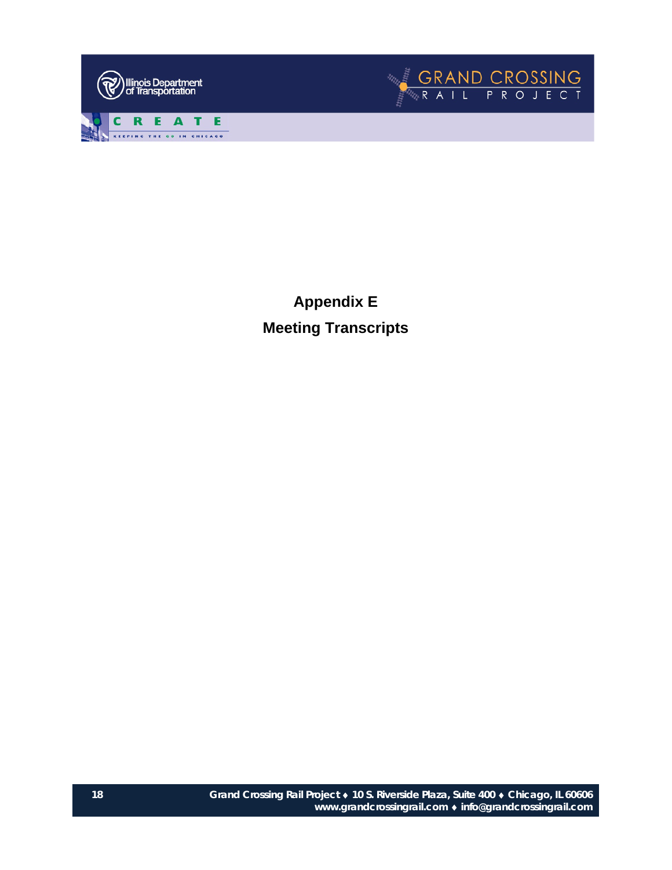



**Appendix E Meeting Transcripts**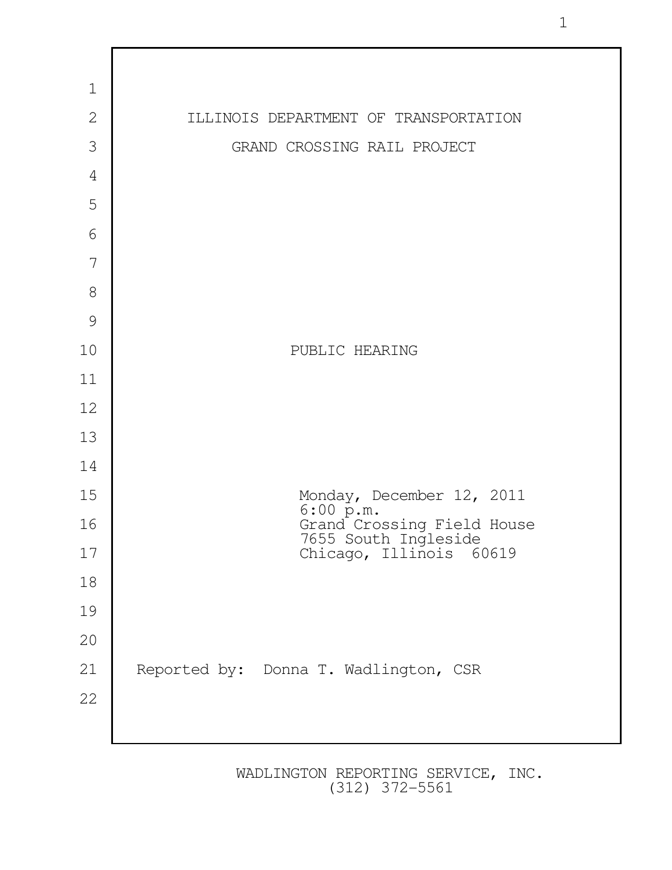

1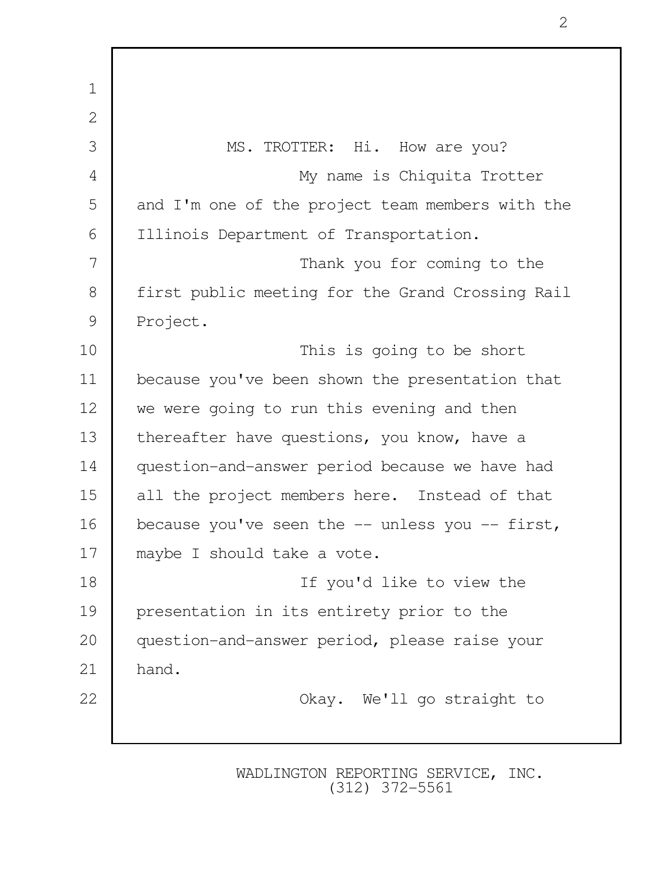1 2 3 MS. TROTTER: Hi. How are you? 4 My name is Chiquita Trotter 5 and I'm one of the project team members with the 6 Illinois Department of Transportation. 7 Thank you for coming to the 8 first public meeting for the Grand Crossing Rail 9 Project. 10 This is going to be short 11 because you've been shown the presentation that 12 we were going to run this evening and then 13 thereafter have questions, you know, have a 14 question-and-answer period because we have had 15 all the project members here. Instead of that 16 because you've seen the -- unless you -- first, 17 maybe I should take a vote. 18 If you'd like to view the 19 presentation in its entirety prior to the 20 question-and-answer period, please raise your  $21$  hand. 22 | Chay. We'll go straight to

> WADLINGTON REPORTING SERVICE, INC. (312) 372-5561

2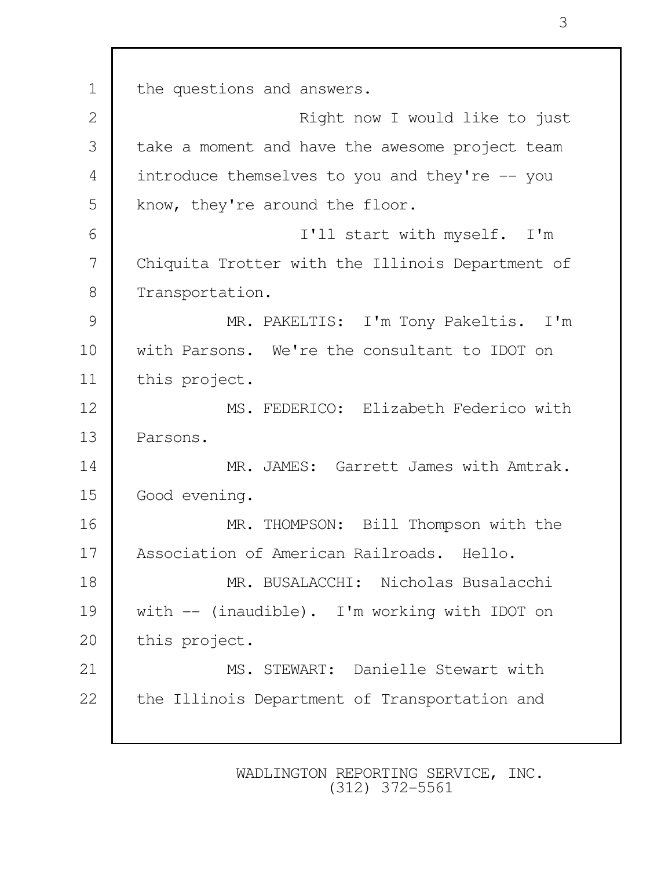1 the questions and answers. 2 Right now I would like to just 3 take a moment and have the awesome project team 4 introduce themselves to you and they're -- you 5 | know, they're around the floor. 6 I'll start with myself. I'm 7 Chiquita Trotter with the Illinois Department of 8 Transportation. 9 MR. PAKELTIS: I'm Tony Pakeltis. I'm 10 with Parsons. We're the consultant to IDOT on 11 this project. 12 MS. FEDERICO: Elizabeth Federico with 13 Parsons. 14 MR. JAMES: Garrett James with Amtrak. 15 Good evening. 16 MR. THOMPSON: Bill Thompson with the 17 Association of American Railroads. Hello. 18 MR. BUSALACCHI: Nicholas Busalacchi 19 with -- (inaudible). I'm working with IDOT on 20 | this project. 21 MS. STEWART: Danielle Stewart with 22 | the Illinois Department of Transportation and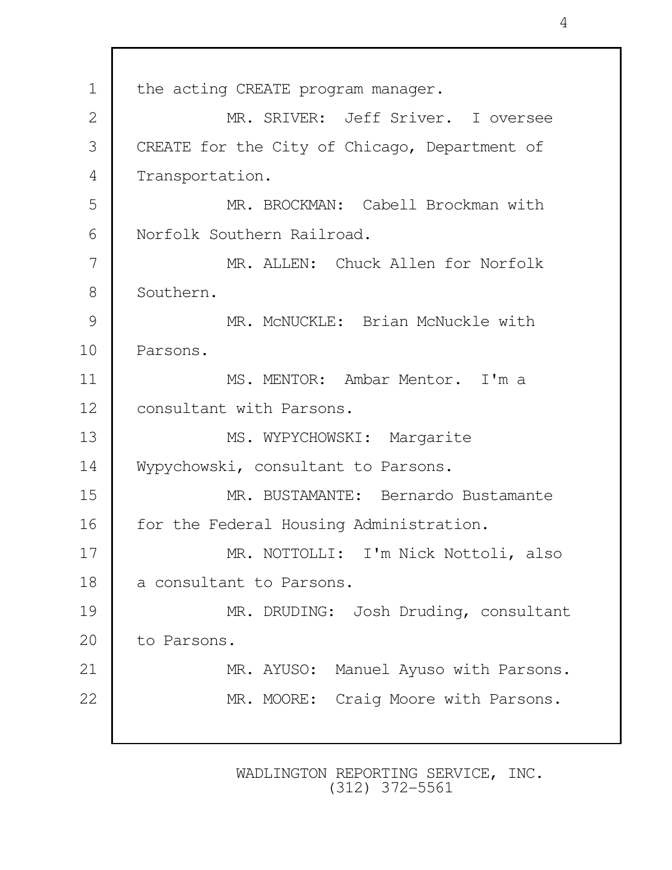1 the acting CREATE program manager. 2 MR. SRIVER: Jeff Sriver. I oversee 3 CREATE for the City of Chicago, Department of 4 Transportation. 5 MR. BROCKMAN: Cabell Brockman with 6 Norfolk Southern Railroad. 7 MR. ALLEN: Chuck Allen for Norfolk 8 Southern. 9 MR. McNUCKLE: Brian McNuckle with 10 Parsons. 11 MS. MENTOR: Ambar Mentor. I'm a 12 | consultant with Parsons. 13 MS. WYPYCHOWSKI: Margarite 14 Wypychowski, consultant to Parsons. 15 MR. BUSTAMANTE: Bernardo Bustamante 16 | for the Federal Housing Administration. 17 | MR. NOTTOLLI: I'm Nick Nottoli, also 18 a consultant to Parsons. 19 | MR. DRUDING: Josh Druding, consultant 20 to Parsons. 21 | MR. AYUSO: Manuel Ayuso with Parsons. 22 MR. MOORE: Craig Moore with Parsons.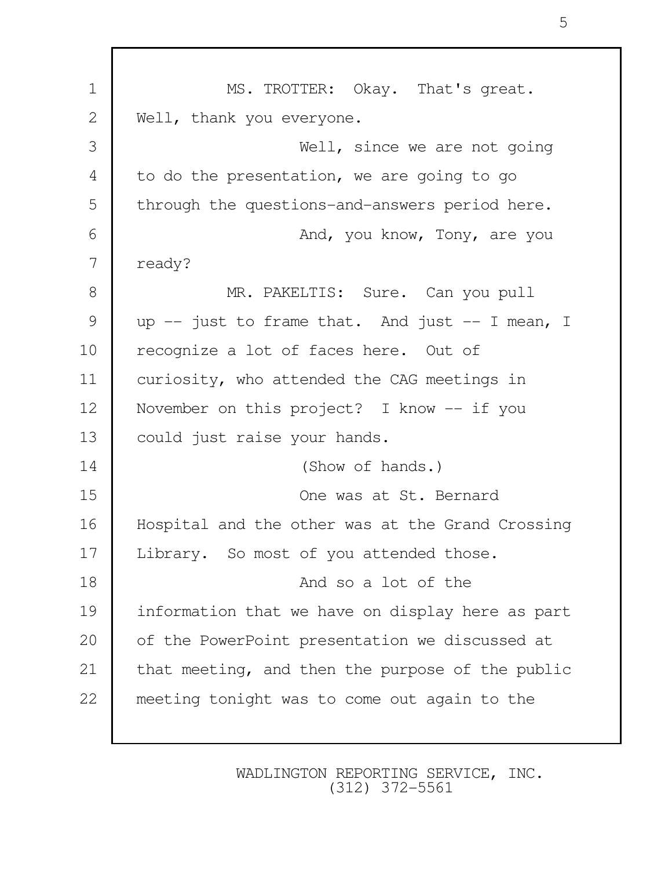| $\mathbf 1$   | MS. TROTTER: Okay. That's great.                 |
|---------------|--------------------------------------------------|
| $\mathbf{2}$  | Well, thank you everyone.                        |
| 3             | Well, since we are not going                     |
| 4             | to do the presentation, we are going to go       |
| 5             | through the questions-and-answers period here.   |
| 6             | And, you know, Tony, are you                     |
| 7             | ready?                                           |
| $8\,$         | MR. PAKELTIS: Sure. Can you pull                 |
| $\mathcal{G}$ | up -- just to frame that. And just -- I mean, I  |
| 10            | recognize a lot of faces here. Out of            |
| 11            | curiosity, who attended the CAG meetings in      |
| 12            | November on this project? I know $--$ if you     |
| 13            | could just raise your hands.                     |
| 14            | (Show of hands.)                                 |
| 15            | One was at St. Bernard                           |
| 16            | Hospital and the other was at the Grand Crossing |
| 17            | Library. So most of you attended those.          |
| 18            | And so a lot of the                              |
| 19            | information that we have on display here as part |
| 20            | of the PowerPoint presentation we discussed at   |
| 21            | that meeting, and then the purpose of the public |
| 22            | meeting tonight was to come out again to the     |
|               |                                                  |

Г

WADLINGTON REPORTING SERVICE, INC. (312) 372-5561

5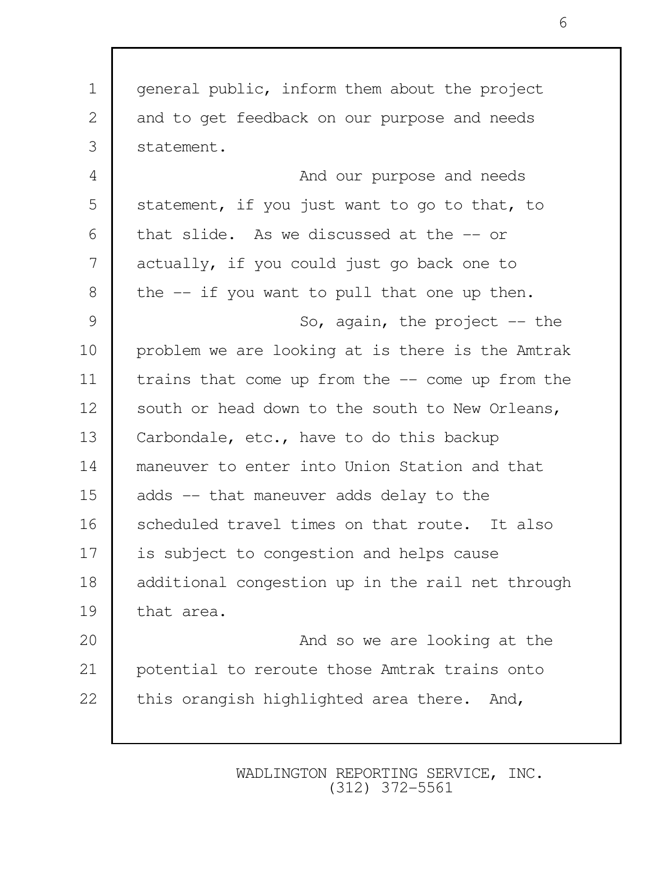| $\mathbf 1$   | general public, inform them about the project     |
|---------------|---------------------------------------------------|
| 2             | and to get feedback on our purpose and needs      |
| 3             | statement.                                        |
| 4             | And our purpose and needs                         |
| 5             | statement, if you just want to go to that, to     |
| 6             | that slide. As we discussed at the -- or          |
| 7             | actually, if you could just go back one to        |
| $8\,$         | the -- if you want to pull that one up then.      |
| $\mathcal{G}$ | So, again, the project $-$ the                    |
| 10            | problem we are looking at is there is the Amtrak  |
| 11            | trains that come up from the $-$ come up from the |
| 12            | south or head down to the south to New Orleans,   |
| 13            | Carbondale, etc., have to do this backup          |
| 14            | maneuver to enter into Union Station and that     |
| 15            | adds -- that maneuver adds delay to the           |
| 16            | scheduled travel times on that route. It also     |
| 17            | is subject to congestion and helps cause          |
| 18            | additional congestion up in the rail net through  |
| 19            | that area.                                        |
| 20            | And so we are looking at the                      |
| 21            | potential to reroute those Amtrak trains onto     |
| 22            | this orangish highlighted area there. And,        |
|               |                                                   |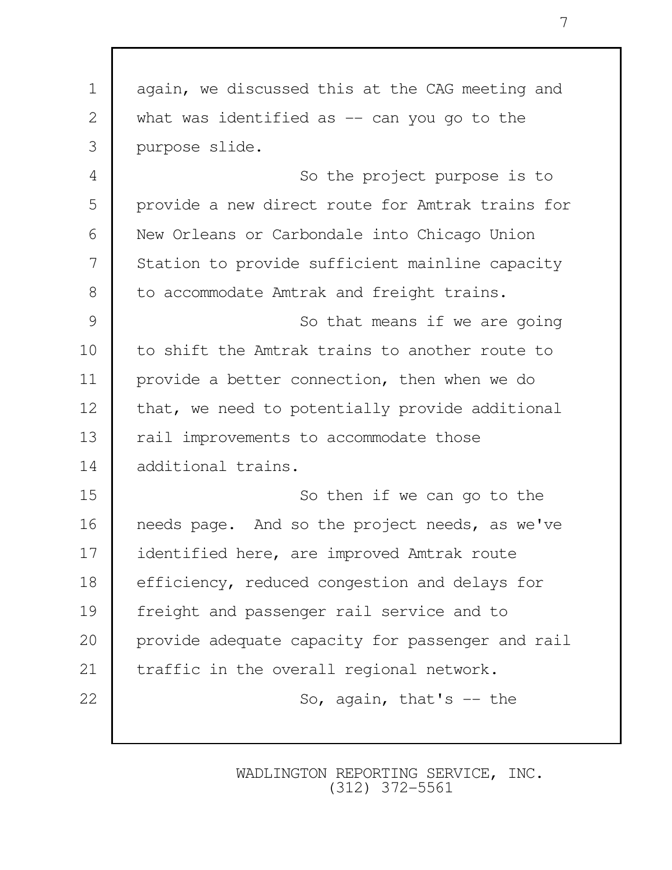1 again, we discussed this at the CAG meeting and 2 what was identified as -- can you go to the 3 purpose slide. 4 So the project purpose is to 5 provide a new direct route for Amtrak trains for 6 New Orleans or Carbondale into Chicago Union 7 Station to provide sufficient mainline capacity 8 to accommodate Amtrak and freight trains. 9 So that means if we are going 10 to shift the Amtrak trains to another route to 11 provide a better connection, then when we do 12 | that, we need to potentially provide additional 13 | rail improvements to accommodate those 14 additional trains. 15 So then if we can go to the 16 | needs page. And so the project needs, as we've 17 identified here, are improved Amtrak route 18 efficiency, reduced congestion and delays for 19 freight and passenger rail service and to 20 provide adequate capacity for passenger and rail 21 | traffic in the overall regional network. 22 So, again, that's -- the

> WADLINGTON REPORTING SERVICE, INC. (312) 372-5561

7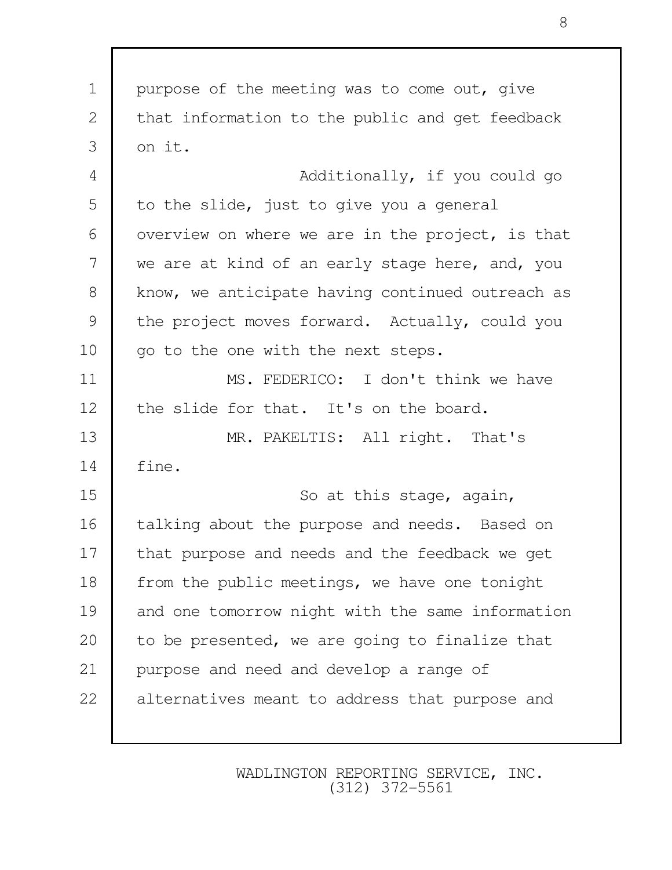1 | purpose of the meeting was to come out, give 2 that information to the public and get feedback  $3 \mid \text{on it.}$ 4 Additionally, if you could go 5 to the slide, just to give you a general 6 | overview on where we are in the project, is that 7 we are at kind of an early stage here, and, you 8 | know, we anticipate having continued outreach as 9 the project moves forward. Actually, could you 10 | go to the one with the next steps. 11 MS. FEDERICO: I don't think we have 12 the slide for that. It's on the board. 13 MR. PAKELTIS: All right. That's 14 fine. 15 So at this stage, again, 16 | talking about the purpose and needs. Based on 17 | that purpose and needs and the feedback we get 18 | from the public meetings, we have one tonight 19 and one tomorrow night with the same information 20 to be presented, we are going to finalize that 21 purpose and need and develop a range of 22 alternatives meant to address that purpose and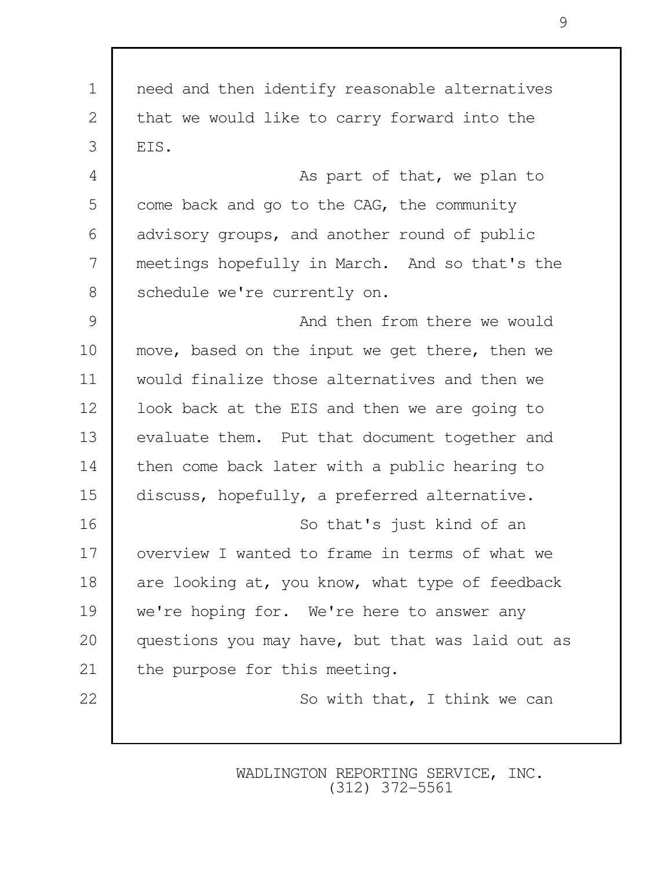1 need and then identify reasonable alternatives 2 that we would like to carry forward into the  $3 \mid$  FIS. 4 as part of that, we plan to 5 come back and go to the CAG, the community 6 advisory groups, and another round of public 7 meetings hopefully in March. And so that's the 8 Schedule we're currently on. 9 and then from there we would 10 | move, based on the input we get there, then we 11 would finalize those alternatives and then we 12 | look back at the EIS and then we are going to 13 evaluate them. Put that document together and 14 then come back later with a public hearing to 15 discuss, hopefully, a preferred alternative. 16 So that's just kind of an 17 | overview I wanted to frame in terms of what we 18 are looking at, you know, what type of feedback 19 we're hoping for. We're here to answer any 20 questions you may have, but that was laid out as 21 the purpose for this meeting. 22 | So with that, I think we can

> WADLINGTON REPORTING SERVICE, INC. (312) 372-5561

9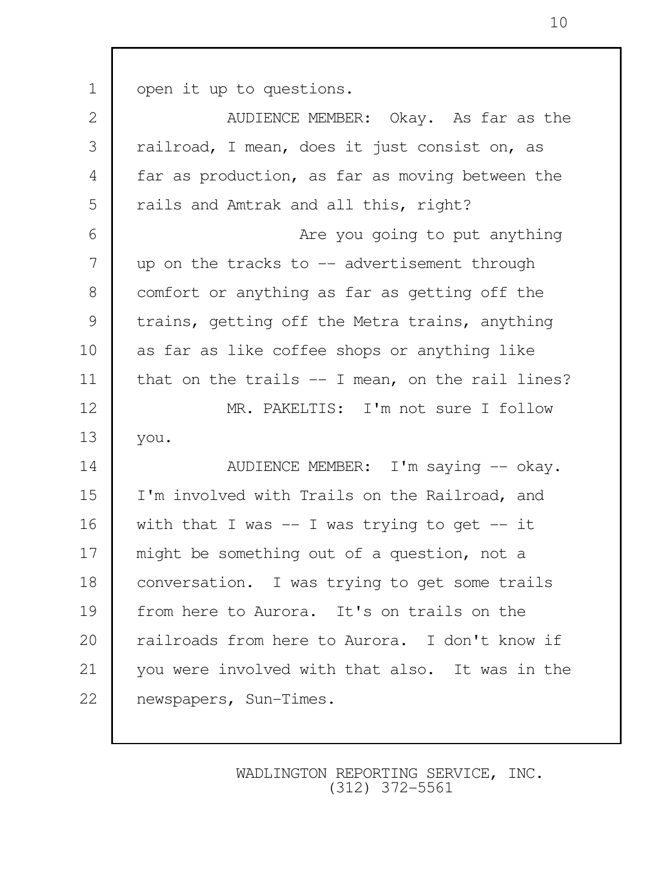1 open it up to questions.

| railroad, I mean, does it just consist on, as<br>far as production, as far as moving between the |  |  |  |
|--------------------------------------------------------------------------------------------------|--|--|--|
|                                                                                                  |  |  |  |
|                                                                                                  |  |  |  |
|                                                                                                  |  |  |  |
| Are you going to put anything                                                                    |  |  |  |
| up on the tracks to $-$ advertisement through                                                    |  |  |  |
| comfort or anything as far as getting off the                                                    |  |  |  |
| trains, getting off the Metra trains, anything                                                   |  |  |  |
| as far as like coffee shops or anything like                                                     |  |  |  |
| that on the trails $-$ I mean, on the rail lines?                                                |  |  |  |
| MR. PAKELTIS: I'm not sure I follow                                                              |  |  |  |
|                                                                                                  |  |  |  |
| AUDIENCE MEMBER: I'm saying -- okay.                                                             |  |  |  |
| I'm involved with Trails on the Railroad, and                                                    |  |  |  |
| with that I was $-$ I was trying to get $-$ it                                                   |  |  |  |
| might be something out of a question, not a                                                      |  |  |  |
| conversation. I was trying to get some trails                                                    |  |  |  |
| from here to Aurora. It's on trails on the                                                       |  |  |  |
| railroads from here to Aurora. I don't know if                                                   |  |  |  |
| you were involved with that also. It was in the                                                  |  |  |  |
|                                                                                                  |  |  |  |
|                                                                                                  |  |  |  |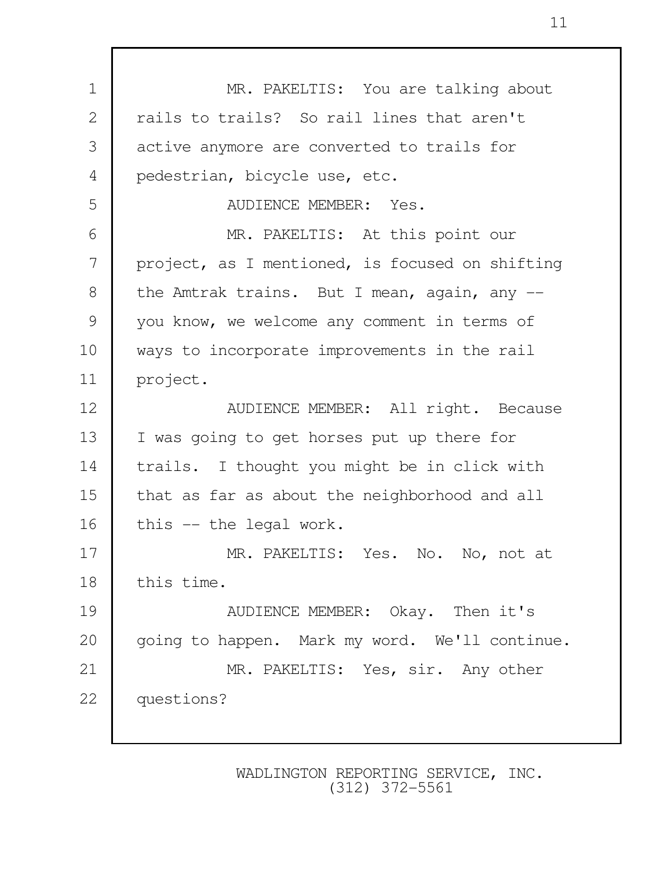1 | MR. PAKELTIS: You are talking about 2 rails to trails? So rail lines that aren't 3 active anymore are converted to trails for 4 pedestrian, bicycle use, etc. 5 AUDIENCE MEMBER: Yes. 6 MR. PAKELTIS: At this point our 7 project, as I mentioned, is focused on shifting 8 the Amtrak trains. But I mean, again, any --9 you know, we welcome any comment in terms of 10 ways to incorporate improvements in the rail 11 project. 12 | AUDIENCE MEMBER: All right. Because 13 I was going to get horses put up there for 14 trails. I thought you might be in click with 15 that as far as about the neighborhood and all 16 this -- the legal work. 17 MR. PAKELTIS: Yes. No. No, not at 18 this time. 19 NUDIENCE MEMBER: Okay. Then it's 20 | going to happen. Mark my word. We'll continue. 21 MR. PAKELTIS: Yes, sir. Any other 22 questions?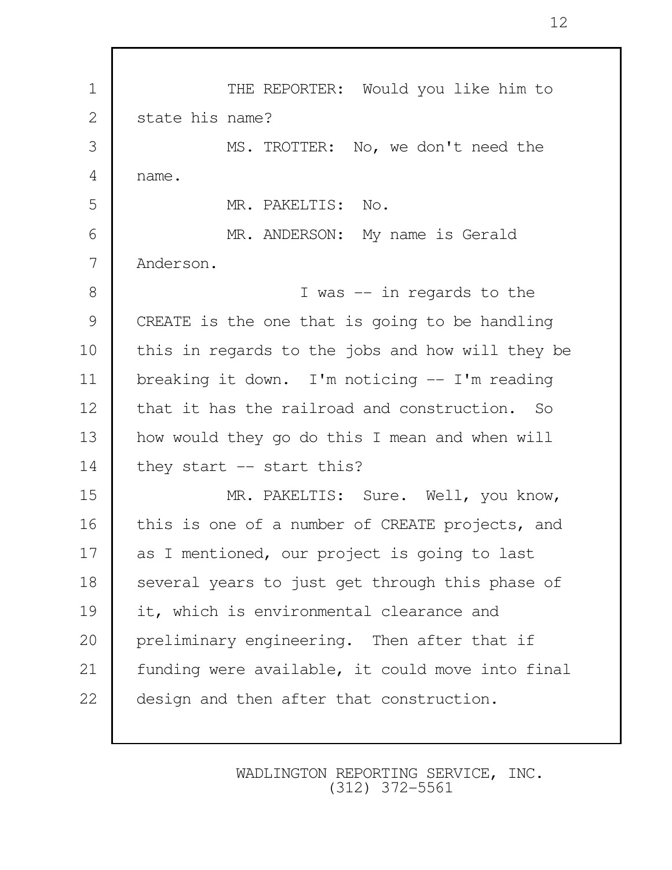1 THE REPORTER: Would you like him to 2 state his name? 3 MS. TROTTER: No, we don't need the 4 name. 5 MR. PAKELTIS: No. 6 MR. ANDERSON: My name is Gerald 7 Anderson. 8 I was -- in regards to the 9 CREATE is the one that is going to be handling 10 | this in regards to the jobs and how will they be 11 breaking it down. I'm noticing -- I'm reading 12 that it has the railroad and construction. So 13 how would they go do this I mean and when will 14 they start -- start this? 15 MR. PAKELTIS: Sure. Well, you know, 16 | this is one of a number of CREATE projects, and 17 as I mentioned, our project is going to last 18 Several years to just get through this phase of 19 it, which is environmental clearance and 20 preliminary engineering. Then after that if 21 | funding were available, it could move into final 22 design and then after that construction.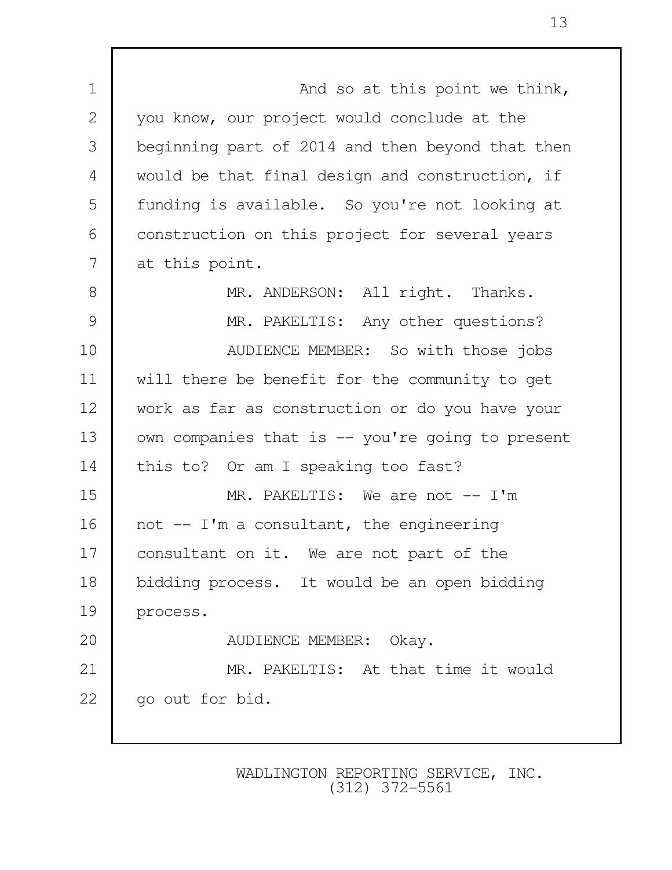1 and so at this point we think, 2 you know, our project would conclude at the 3 beginning part of 2014 and then beyond that then 4 would be that final design and construction, if 5 | funding is available. So you're not looking at 6 construction on this project for several years 7 at this point. 8 MR. ANDERSON: All right. Thanks. 9 MR. PAKELTIS: Any other questions? 10 | AUDIENCE MEMBER: So with those jobs 11 will there be benefit for the community to get 12 work as far as construction or do you have your 13 | own companies that is -- you're going to present 14 this to? Or am I speaking too fast? 15 MR. PAKELTIS: We are not -- I'm 16 | not  $-$  I'm a consultant, the engineering 17 | consultant on it. We are not part of the 18 bidding process. It would be an open bidding 19 process. 20 NUDIENCE MEMBER: Okay. 21 | MR. PAKELTIS: At that time it would 22 | go out for bid.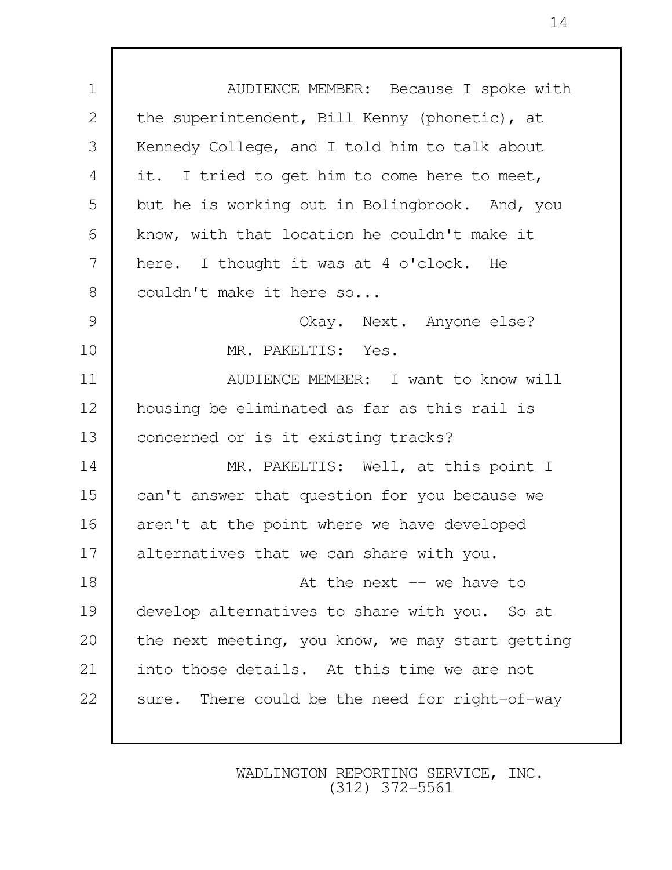1 **| AUDIENCE MEMBER:** Because I spoke with 2 the superintendent, Bill Kenny (phonetic), at 3 Kennedy College, and I told him to talk about 4 it. I tried to get him to come here to meet, 5 but he is working out in Bolingbrook. And, you 6 know, with that location he couldn't make it 7 here. I thought it was at 4 o'clock. He 8 couldn't make it here so... 9 Okay. Next. Anyone else? 10 MR. PAKELTIS: Yes. 11 AUDIENCE MEMBER: I want to know will 12 housing be eliminated as far as this rail is 13 concerned or is it existing tracks? 14 MR. PAKELTIS: Well, at this point I 15 can't answer that question for you because we 16 aren't at the point where we have developed 17 alternatives that we can share with you. 18 at the next -- we have to 19 develop alternatives to share with you. So at 20 the next meeting, you know, we may start getting 21 | into those details. At this time we are not 22 sure. There could be the need for right-of-way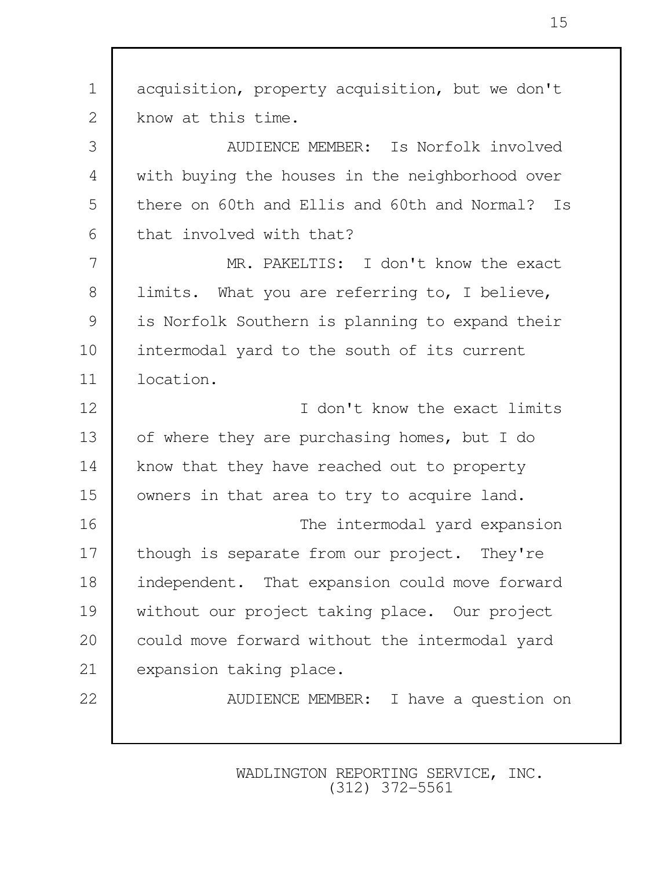1 acquisition, property acquisition, but we don't 2 | know at this time. 3 AUDIENCE MEMBER: Is Norfolk involved 4 with buying the houses in the neighborhood over 5 there on 60th and Ellis and 60th and Normal? Is 6 that involved with that? 7 MR. PAKELTIS: I don't know the exact 8 | limits. What you are referring to, I believe, 9 is Norfolk Southern is planning to expand their 10 intermodal yard to the south of its current 11 location. 12 I don't know the exact limits 13 of where they are purchasing homes, but I do 14 | know that they have reached out to property 15 | owners in that area to try to acquire land. 16 The intermodal yard expansion 17 | though is separate from our project. They're 18 independent. That expansion could move forward 19 without our project taking place. Our project 20 could move forward without the intermodal yard 21 expansion taking place. 22 | AUDIENCE MEMBER: I have a question on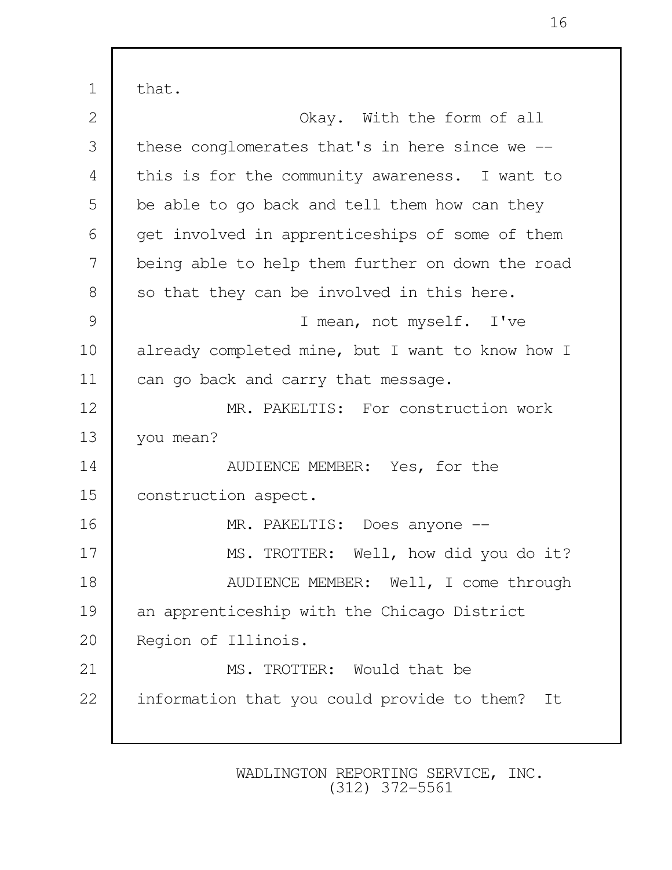1 that. 2 Okay. With the form of all 3 these conglomerates that's in here since we -- 4 this is for the community awareness. I want to 5 be able to go back and tell them how can they 6 get involved in apprenticeships of some of them 7 being able to help them further on down the road 8 so that they can be involved in this here. 9 I mean, not myself. I've 10 already completed mine, but I want to know how I 11 | can go back and carry that message. 12 | MR. PAKELTIS: For construction work 13 vou mean? 14 NUDIENCE MEMBER: Yes, for the 15 | construction aspect. 16 | MR. PAKELTIS: Does anyone --17 | MS. TROTTER: Well, how did you do it? 18 | AUDIENCE MEMBER: Well, I come through 19 an apprenticeship with the Chicago District 20 Region of Illinois. 21 MS. TROTTER: Would that be 22 | information that you could provide to them? It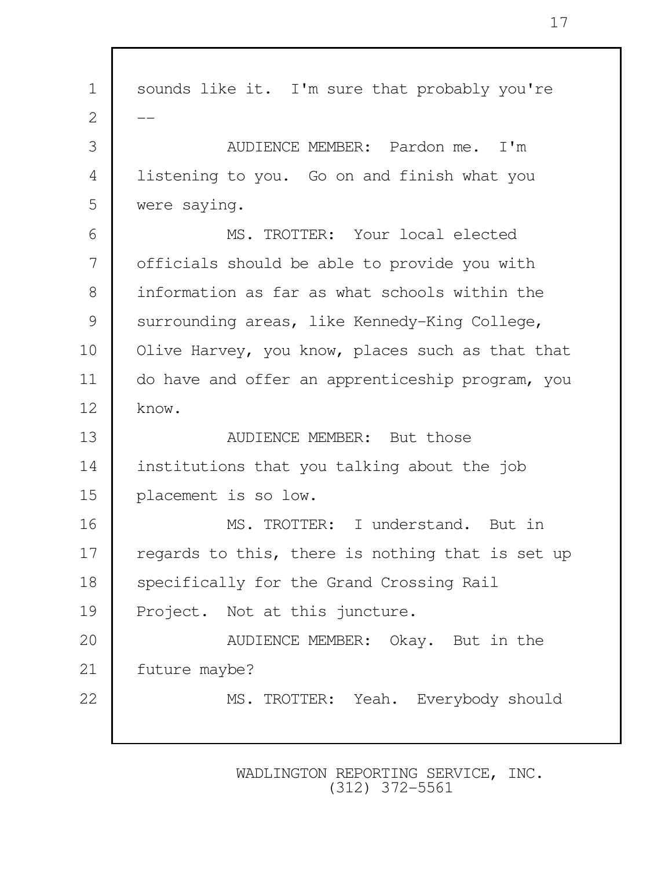1 | sounds like it. I'm sure that probably you're  $\overline{2}$  3 AUDIENCE MEMBER: Pardon me. I'm 4 listening to you. Go on and finish what you 5 were saying. 6 MS. TROTTER: Your local elected 7 officials should be able to provide you with 8 information as far as what schools within the 9 surrounding areas, like Kennedy-King College, 10 | Olive Harvey, you know, places such as that that 11 do have and offer an apprenticeship program, you  $12 \mid$  know. 13 **AUDIENCE MEMBER:** But those 14 institutions that you talking about the job 15 placement is so low. 16 MS. TROTTER: I understand. But in 17 | regards to this, there is nothing that is set up 18 Specifically for the Grand Crossing Rail 19 Project. Not at this juncture. 20 **AUDIENCE MEMBER:** Okay. But in the 21 | future maybe? 22 MS. TROTTER: Yeah. Everybody should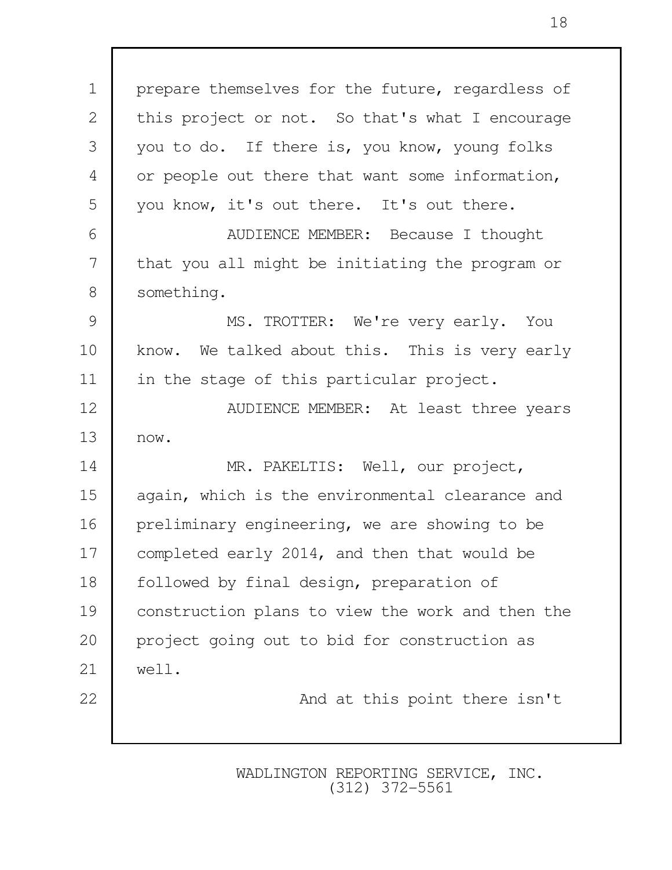1 | prepare themselves for the future, regardless of 2 this project or not. So that's what I encourage 3 you to do. If there is, you know, young folks 4 or people out there that want some information, 5 you know, it's out there. It's out there. 6 AUDIENCE MEMBER: Because I thought 7 that you all might be initiating the program or 8 something. 9 MS. TROTTER: We're very early. You 10 | know. We talked about this. This is very early 11 | in the stage of this particular project. 12 | AUDIENCE MEMBER: At least three years 13 now. 14 | MR. PAKELTIS: Well, our project, 15 again, which is the environmental clearance and 16 | preliminary engineering, we are showing to be 17 | completed early 2014, and then that would be 18 | followed by final design, preparation of 19 construction plans to view the work and then the 20 project going out to bid for construction as 21 well. 22 | And at this point there isn't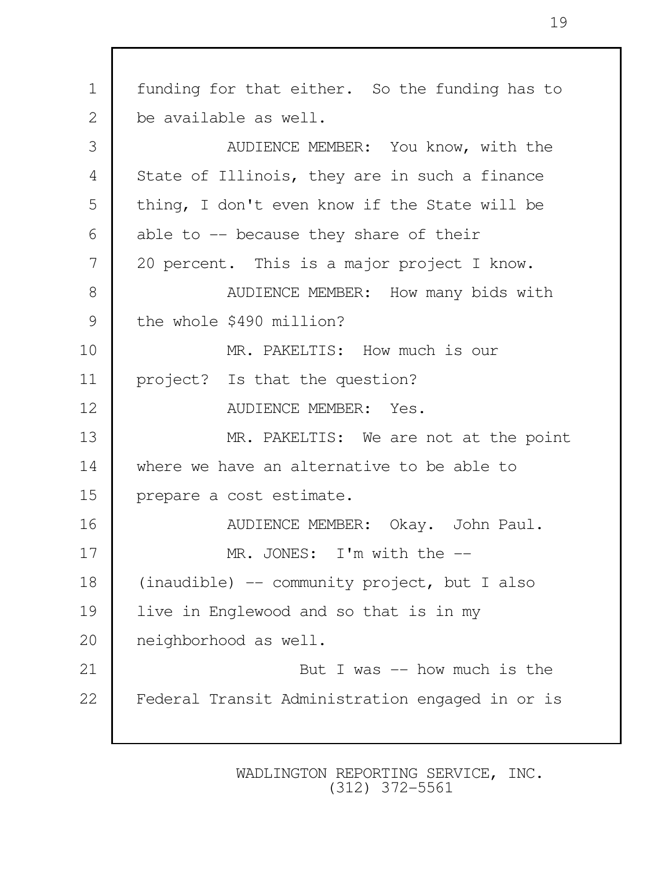| $\mathbf 1$    | funding for that either. So the funding has to  |  |  |
|----------------|-------------------------------------------------|--|--|
| 2              | be available as well.                           |  |  |
| 3              | AUDIENCE MEMBER: You know, with the             |  |  |
| $\overline{4}$ | State of Illinois, they are in such a finance   |  |  |
| 5              | thing, I don't even know if the State will be   |  |  |
| 6              | able to $-$ because they share of their         |  |  |
| 7              | 20 percent. This is a major project I know.     |  |  |
| 8              | AUDIENCE MEMBER: How many bids with             |  |  |
| 9              | the whole \$490 million?                        |  |  |
| 10             | MR. PAKELTIS: How much is our                   |  |  |
| 11             | project? Is that the question?                  |  |  |
| 12             | AUDIENCE MEMBER: Yes.                           |  |  |
| 13             | MR. PAKELTIS: We are not at the point           |  |  |
| 14             | where we have an alternative to be able to      |  |  |
| 15             | prepare a cost estimate.                        |  |  |
| 16             | AUDIENCE MEMBER: Okay. John Paul.               |  |  |
| 17             | MR. JONES: I'm with the --                      |  |  |
| 18             | (inaudible) -- community project, but I also    |  |  |
| 19             | live in Englewood and so that is in my          |  |  |
| 20             | neighborhood as well.                           |  |  |
| 21             | But I was $-$ how much is the                   |  |  |
| 22             | Federal Transit Administration engaged in or is |  |  |
|                |                                                 |  |  |

Г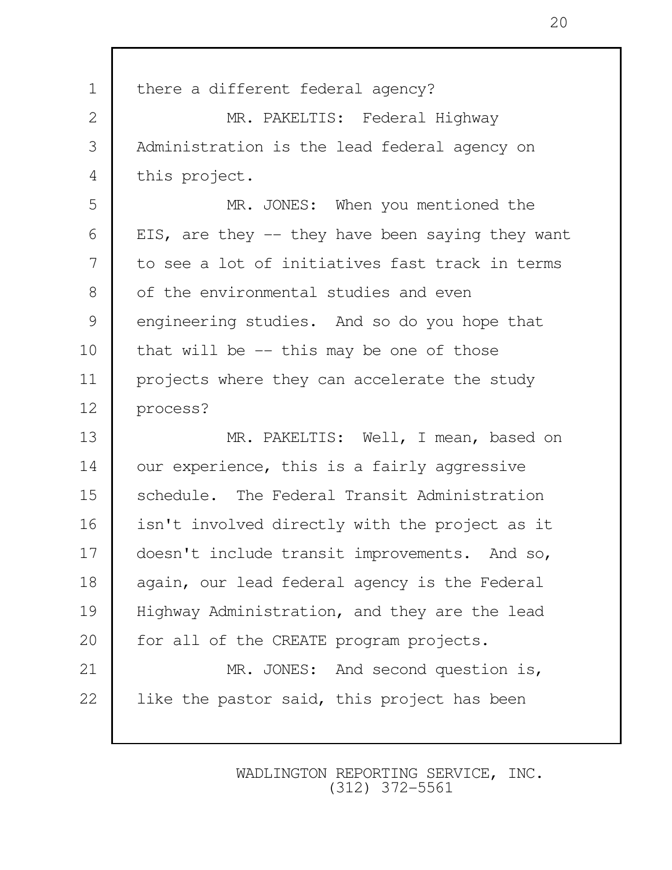| $\mathbf 1$  | there a different federal agency?                 |  |  |  |
|--------------|---------------------------------------------------|--|--|--|
| $\mathbf{2}$ | MR. PAKELTIS: Federal Highway                     |  |  |  |
| 3            | Administration is the lead federal agency on      |  |  |  |
| 4            | this project.                                     |  |  |  |
| 5            | MR. JONES: When you mentioned the                 |  |  |  |
| 6            | EIS, are they $-$ they have been saying they want |  |  |  |
| 7            | to see a lot of initiatives fast track in terms   |  |  |  |
| 8            | of the environmental studies and even             |  |  |  |
| 9            | engineering studies. And so do you hope that      |  |  |  |
| 10           | that will be $-$ - this may be one of those       |  |  |  |
| 11           | projects where they can accelerate the study      |  |  |  |
| 12           | process?                                          |  |  |  |
| 13           | MR. PAKELTIS: Well, I mean, based on              |  |  |  |
| 14           | our experience, this is a fairly aggressive       |  |  |  |
| 15           | schedule. The Federal Transit Administration      |  |  |  |
| 16           | isn't involved directly with the project as it    |  |  |  |
| 17           | doesn't include transit improvements. And so,     |  |  |  |
| 18           | again, our lead federal agency is the Federal     |  |  |  |
| 19           | Highway Administration, and they are the lead     |  |  |  |
| 20           | for all of the CREATE program projects.           |  |  |  |
| 21           | MR. JONES: And second question is,                |  |  |  |
| 22           | like the pastor said, this project has been       |  |  |  |
|              |                                                   |  |  |  |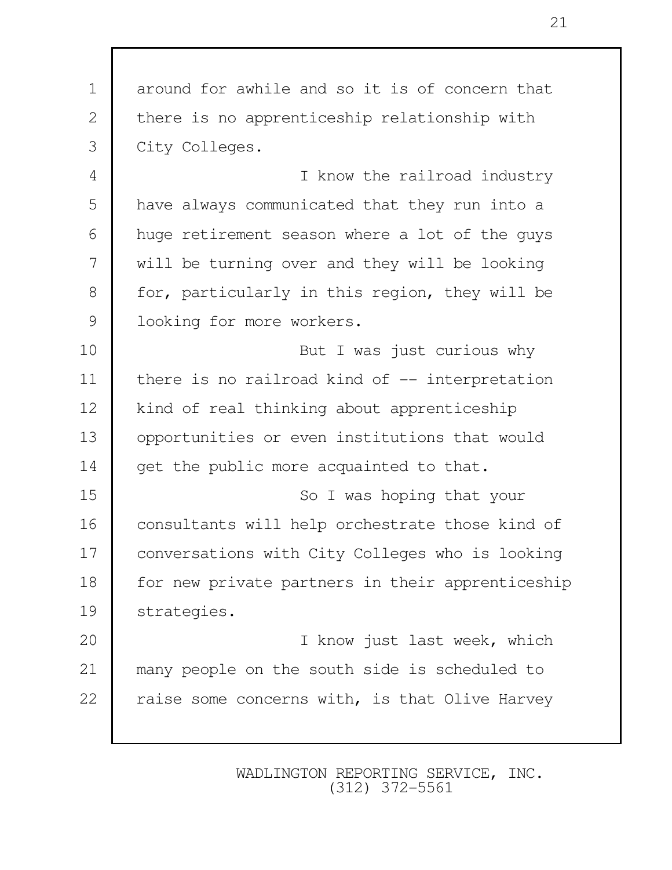1 around for awhile and so it is of concern that 2 there is no apprenticeship relationship with 3 City Colleges. 4 I know the railroad industry 5 have always communicated that they run into a 6 huge retirement season where a lot of the guys 7 will be turning over and they will be looking 8 for, particularly in this region, they will be 9 | looking for more workers. 10 | Note to be the But I was just curious why 11 | there is no railroad kind of -- interpretation 12 | kind of real thinking about apprenticeship 13 opportunities or even institutions that would 14 get the public more acquainted to that. 15 So I was hoping that your 16 | consultants will help orchestrate those kind of 17 conversations with City Colleges who is looking 18 | for new private partners in their apprenticeship 19 strategies. 20 I know just last week, which 21 many people on the south side is scheduled to 22  $\vert$  raise some concerns with, is that Olive Harvey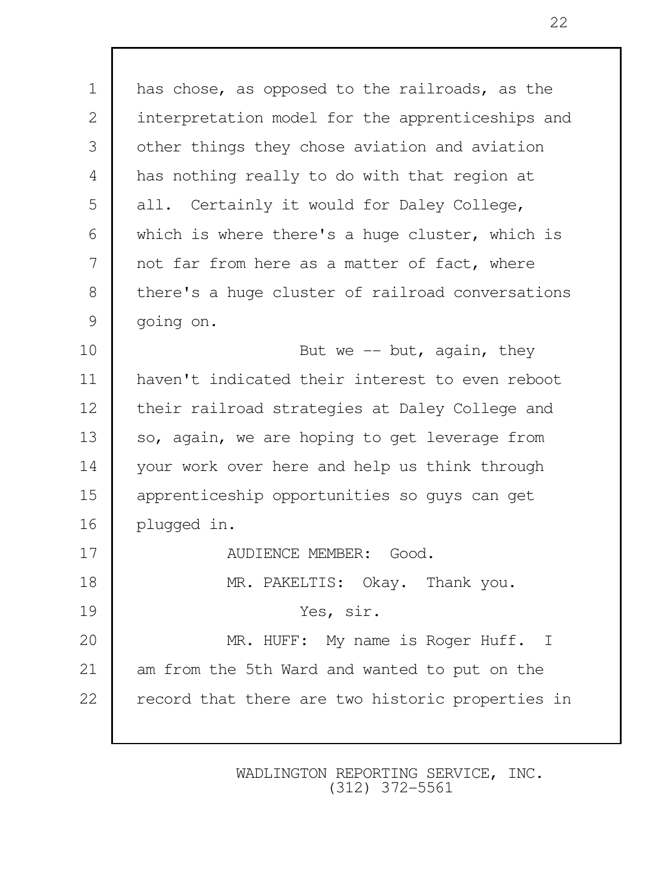1 has chose, as opposed to the railroads, as the 2 interpretation model for the apprenticeships and 3 other things they chose aviation and aviation 4 has nothing really to do with that region at 5 all. Certainly it would for Daley College, 6 which is where there's a huge cluster, which is 7 not far from here as a matter of fact, where 8 there's a huge cluster of railroad conversations 9 going on. 10 But we -- but, again, they 11 haven't indicated their interest to even reboot 12 | their railroad strategies at Daley College and 13 | so, again, we are hoping to get leverage from 14 | your work over here and help us think through 15 apprenticeship opportunities so guys can get 16 plugged in. 17 AUDIENCE MEMBER: Good. 18 MR. PAKELTIS: Okay. Thank you. 19 Yes, sir. 20 MR. HUFF: My name is Roger Huff. I 21 am from the 5th Ward and wanted to put on the 22 | record that there are two historic properties in

> WADLINGTON REPORTING SERVICE, INC. (312) 372-5561

22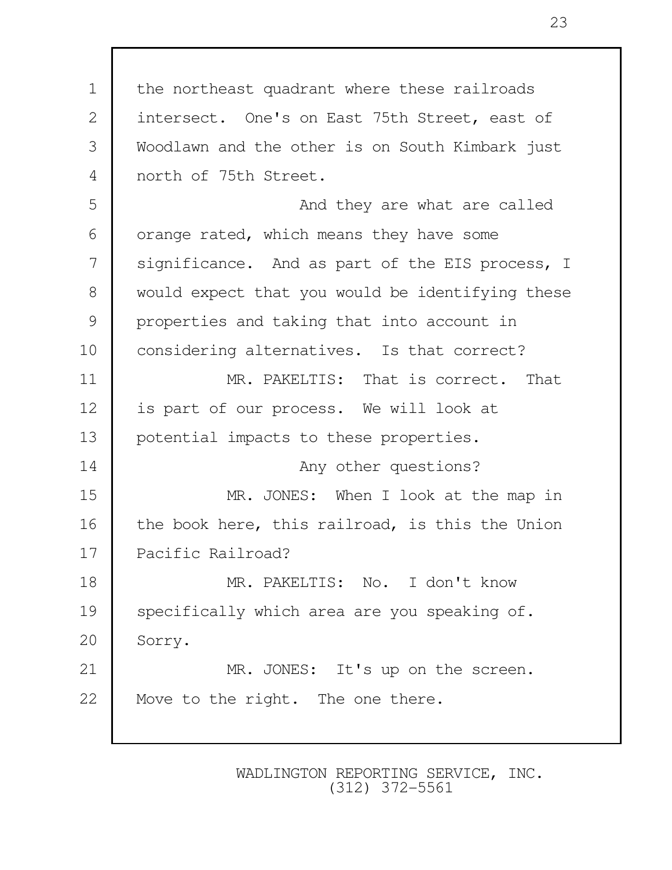1 the northeast quadrant where these railroads 2 intersect. One's on East 75th Street, east of 3 Woodlawn and the other is on South Kimbark just 4 north of 75th Street. 5 and they are what are called 6 orange rated, which means they have some 7 | significance. And as part of the EIS process, I 8 would expect that you would be identifying these 9 properties and taking that into account in 10 | considering alternatives. Is that correct? 11 MR. PAKELTIS: That is correct. That 12 | is part of our process. We will look at 13 potential impacts to these properties. 14 **Any other questions?** 15 MR. JONES: When I look at the map in 16 | the book here, this railroad, is this the Union 17 Pacific Railroad? 18 MR. PAKELTIS: No. I don't know 19 specifically which area are you speaking of. 20 Sorry. 21 | MR. JONES: It's up on the screen. 22 | Move to the right. The one there.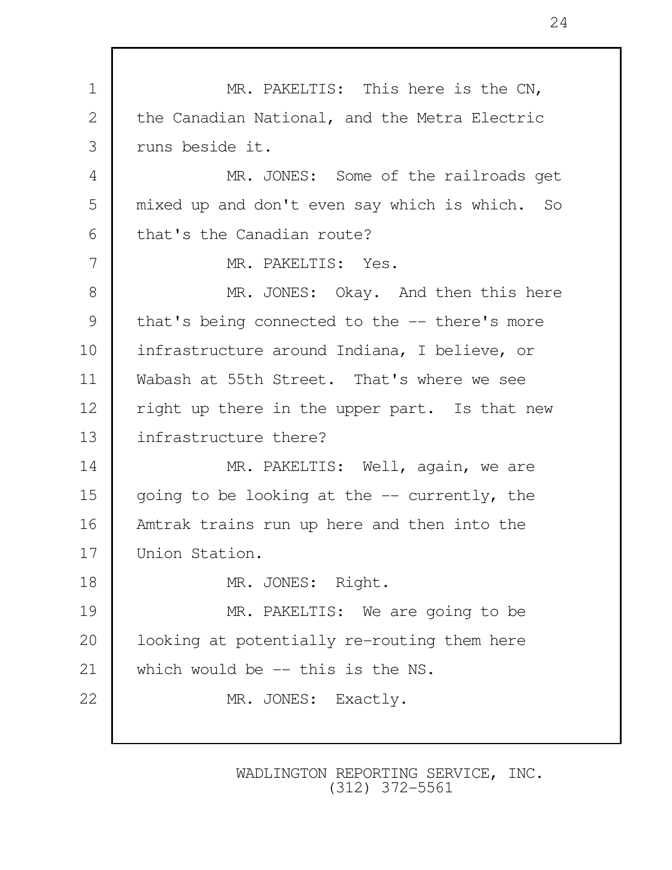1 MR. PAKELTIS: This here is the CN, 2 the Canadian National, and the Metra Electric 3 runs beside it. 4 MR. JONES: Some of the railroads get 5 mixed up and don't even say which is which. So 6 that's the Canadian route? 7 MR. PAKELTIS: Yes. 8 MR. JONES: Okay. And then this here 9 that's being connected to the -- there's more 10 infrastructure around Indiana, I believe, or 11 Wabash at 55th Street. That's where we see 12 | right up there in the upper part. Is that new 13 infrastructure there? 14 MR. PAKELTIS: Well, again, we are 15 qoing to be looking at the  $-$  currently, the 16 Amtrak trains run up here and then into the 17 Union Station. 18 MR. JONES: Right. 19 MR. PAKELTIS: We are going to be 20 | looking at potentially re-routing them here 21 which would be -- this is the NS. 22 MR. JONES: Exactly.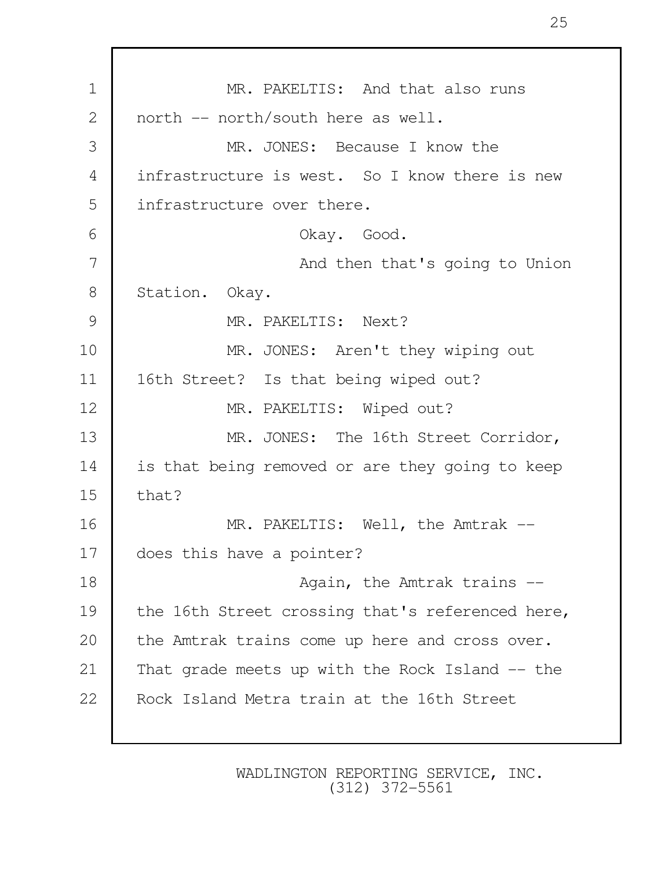| $\mathbf 1$  | MR. PAKELTIS: And that also runs                 |  |  |  |
|--------------|--------------------------------------------------|--|--|--|
| $\mathbf{2}$ | north -- north/south here as well.               |  |  |  |
| 3            | MR. JONES: Because I know the                    |  |  |  |
| 4            | infrastructure is west. So I know there is new   |  |  |  |
| 5            | infrastructure over there.                       |  |  |  |
| 6            | Okay. Good.                                      |  |  |  |
| 7            | And then that's going to Union                   |  |  |  |
| 8            | Station. Okay.                                   |  |  |  |
| 9            | MR. PAKELTIS: Next?                              |  |  |  |
| 10           | MR. JONES: Aren't they wiping out                |  |  |  |
| 11           | 16th Street? Is that being wiped out?            |  |  |  |
| 12           | MR. PAKELTIS: Wiped out?                         |  |  |  |
| 13           | MR. JONES: The 16th Street Corridor,             |  |  |  |
| 14           | is that being removed or are they going to keep  |  |  |  |
| 15           | that?                                            |  |  |  |
| 16           | MR. PAKELTIS: Well, the Amtrak --                |  |  |  |
| 17           | does this have a pointer?                        |  |  |  |
| 18           | Again, the Amtrak trains --                      |  |  |  |
| 19           | the 16th Street crossing that's referenced here, |  |  |  |
| 20           | the Amtrak trains come up here and cross over.   |  |  |  |
| 21           | That grade meets up with the Rock Island -- the  |  |  |  |
| 22           | Rock Island Metra train at the 16th Street       |  |  |  |
|              |                                                  |  |  |  |

Г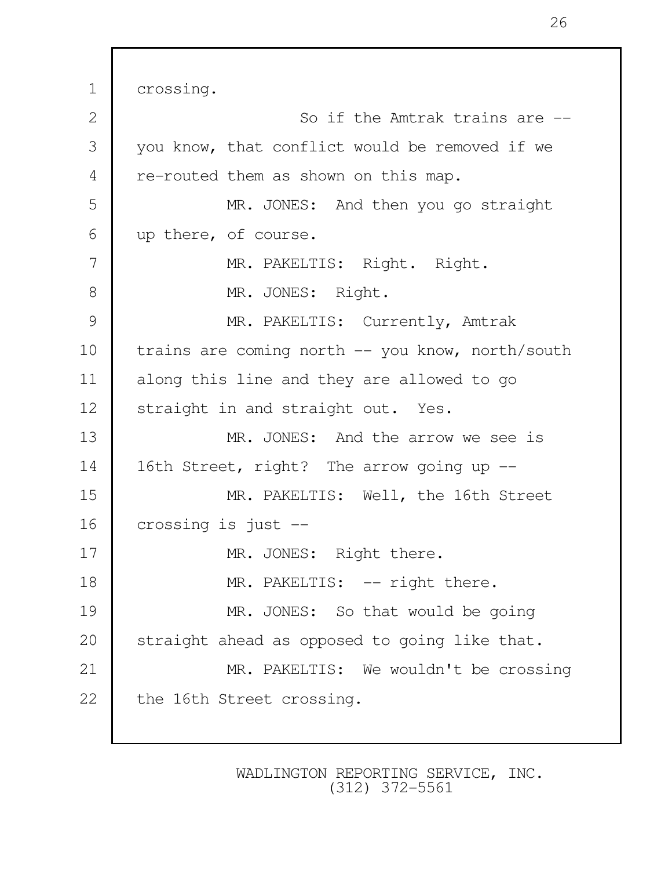1 crossing. 2 So if the Amtrak trains are  $-$ 3 you know, that conflict would be removed if we 4 re-routed them as shown on this map. 5 MR. JONES: And then you go straight 6 up there, of course. 7 MR. PAKELTIS: Right. Right. 8 MR. JONES: Right. 9 MR. PAKELTIS: Currently, Amtrak 10 | trains are coming north -- you know, north/south 11 along this line and they are allowed to go 12 Straight in and straight out. Yes. 13 MR. JONES: And the arrow we see is 14 | 16th Street, right? The arrow going up --15 MR. PAKELTIS: Well, the 16th Street 16 crossing is just -- 17 | MR. JONES: Right there. 18 MR. PAKELTIS: -- right there. 19 MR. JONES: So that would be going 20 Straight ahead as opposed to going like that. 21 | MR. PAKELTIS: We wouldn't be crossing 22 the 16th Street crossing.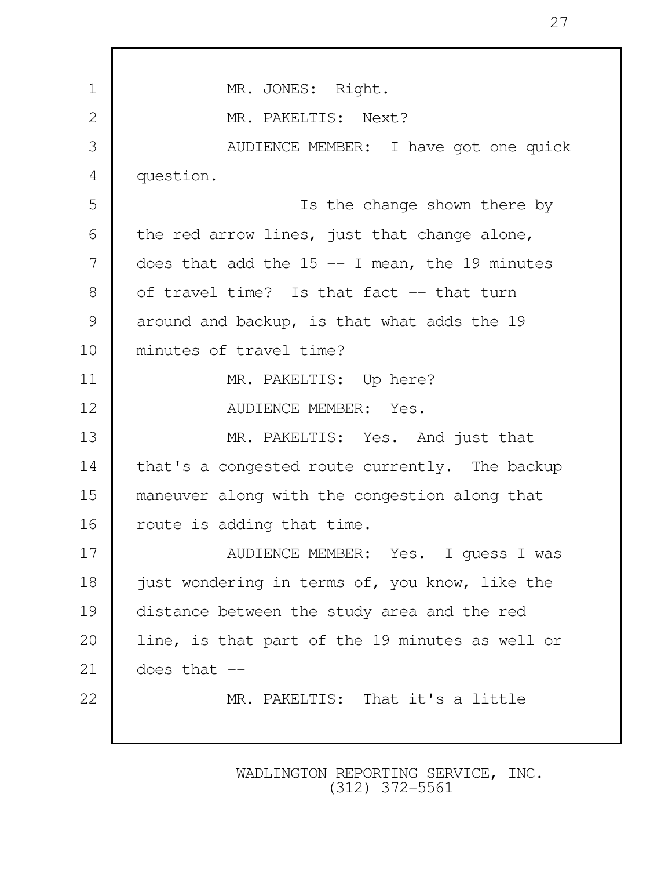| $\mathbf 1$ | MR. JONES: Right.                                |  |  |  |
|-------------|--------------------------------------------------|--|--|--|
| 2           | MR. PAKELTIS: Next?                              |  |  |  |
| 3           | AUDIENCE MEMBER: I have got one quick            |  |  |  |
| 4           | question.                                        |  |  |  |
| 5           | Is the change shown there by                     |  |  |  |
| 6           | the red arrow lines, just that change alone,     |  |  |  |
| 7           | does that add the $15$ -- I mean, the 19 minutes |  |  |  |
| 8           | of travel time? Is that fact -- that turn        |  |  |  |
| 9           | around and backup, is that what adds the 19      |  |  |  |
| 10          | minutes of travel time?                          |  |  |  |
| 11          | MR. PAKELTIS: Up here?                           |  |  |  |
| 12          | AUDIENCE MEMBER: Yes.                            |  |  |  |
| 13          | MR. PAKELTIS: Yes. And just that                 |  |  |  |
| 14          | that's a congested route currently. The backup   |  |  |  |
| 15          | maneuver along with the congestion along that    |  |  |  |
| 16          | route is adding that time.                       |  |  |  |
| 17          | AUDIENCE MEMBER: Yes. I guess I was              |  |  |  |
| 18          | just wondering in terms of, you know, like the   |  |  |  |
| 19          | distance between the study area and the red      |  |  |  |
| 20          | line, is that part of the 19 minutes as well or  |  |  |  |
| 21          | does that $--$                                   |  |  |  |
| 22          | MR. PAKELTIS: That it's a little                 |  |  |  |
|             |                                                  |  |  |  |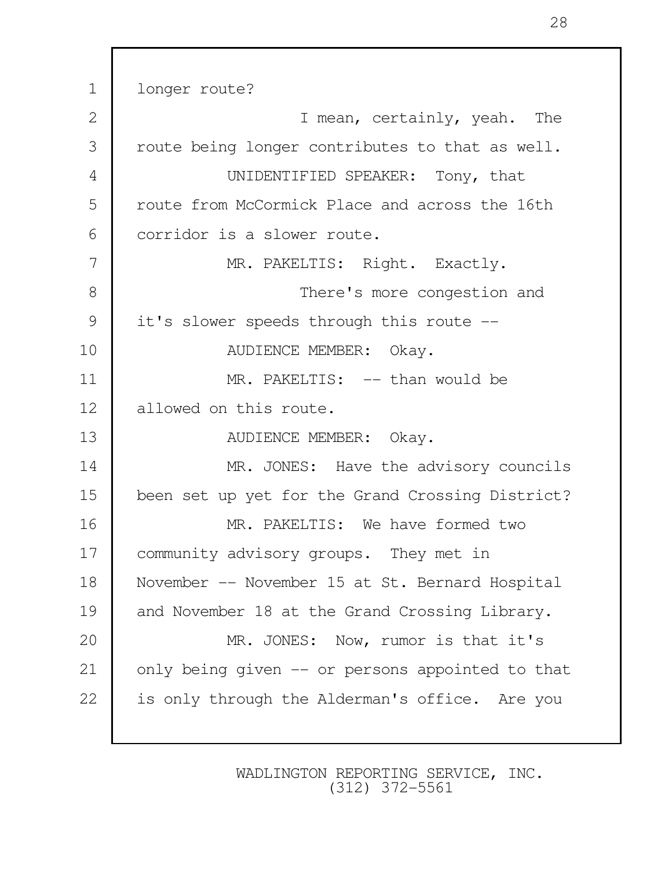1 longer route? 2 I mean, certainly, yeah. The 3 | route being longer contributes to that as well. 4 UNIDENTIFIED SPEAKER: Tony, that 5 route from McCormick Place and across the 16th 6 corridor is a slower route. 7 MR. PAKELTIS: Right. Exactly. 8 **There's more congestion and** 9 it's slower speeds through this route --10 NUDIENCE MEMBER: Okay. 11 MR. PAKELTIS: -- than would be 12 allowed on this route. 13 NUDIENCE MEMBER: Okay. 14 MR. JONES: Have the advisory councils 15 been set up yet for the Grand Crossing District? 16 MR. PAKELTIS: We have formed two 17 | community advisory groups. They met in 18 November -- November 15 at St. Bernard Hospital 19 and November 18 at the Grand Crossing Library. 20 MR. JONES: Now, rumor is that it's 21 | only being given -- or persons appointed to that 22 is only through the Alderman's office. Are you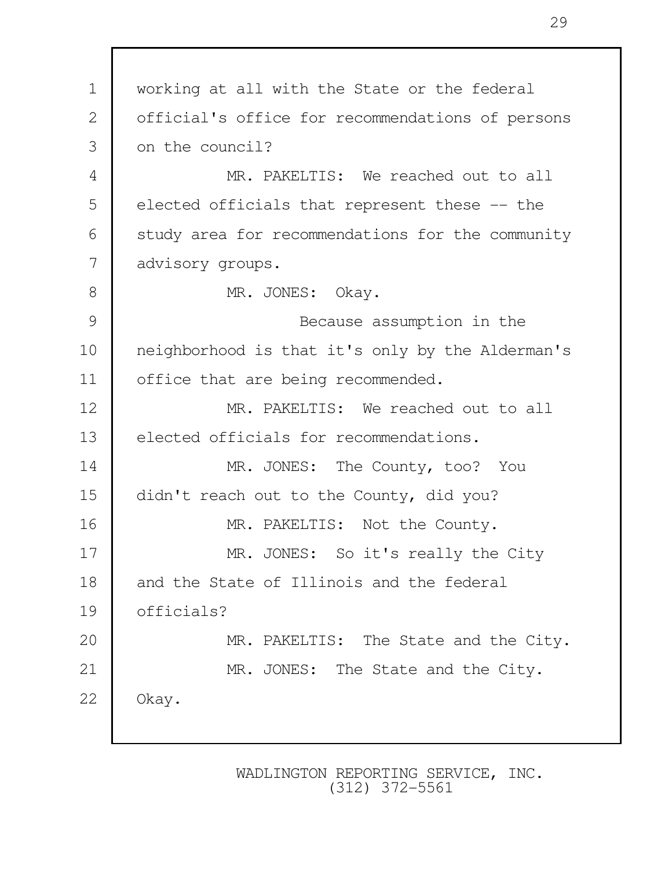| $\mathbf 1$    | working at all with the State or the federal     |  |  |  |
|----------------|--------------------------------------------------|--|--|--|
| $\overline{2}$ | official's office for recommendations of persons |  |  |  |
| 3              | on the council?                                  |  |  |  |
| 4              | MR. PAKELTIS: We reached out to all              |  |  |  |
| 5              | elected officials that represent these -- the    |  |  |  |
| 6              | study area for recommendations for the community |  |  |  |
| 7              | advisory groups.                                 |  |  |  |
| 8              | MR. JONES: Okay.                                 |  |  |  |
| 9              | Because assumption in the                        |  |  |  |
| 10             | neighborhood is that it's only by the Alderman's |  |  |  |
| 11             | office that are being recommended.               |  |  |  |
| 12             | MR. PAKELTIS: We reached out to all              |  |  |  |
| 13             | elected officials for recommendations.           |  |  |  |
| 14             | MR. JONES: The County, too? You                  |  |  |  |
| 15             | didn't reach out to the County, did you?         |  |  |  |
| 16             | MR. PAKELTIS: Not the County.                    |  |  |  |
| 17             | MR. JONES: So it's really the City               |  |  |  |
| 18             | and the State of Illinois and the federal        |  |  |  |
| 19             | officials?                                       |  |  |  |
| 20             | MR. PAKELTIS: The State and the City.            |  |  |  |
| 21             | MR. JONES: The State and the City.               |  |  |  |
| 22             | Okay.                                            |  |  |  |
|                |                                                  |  |  |  |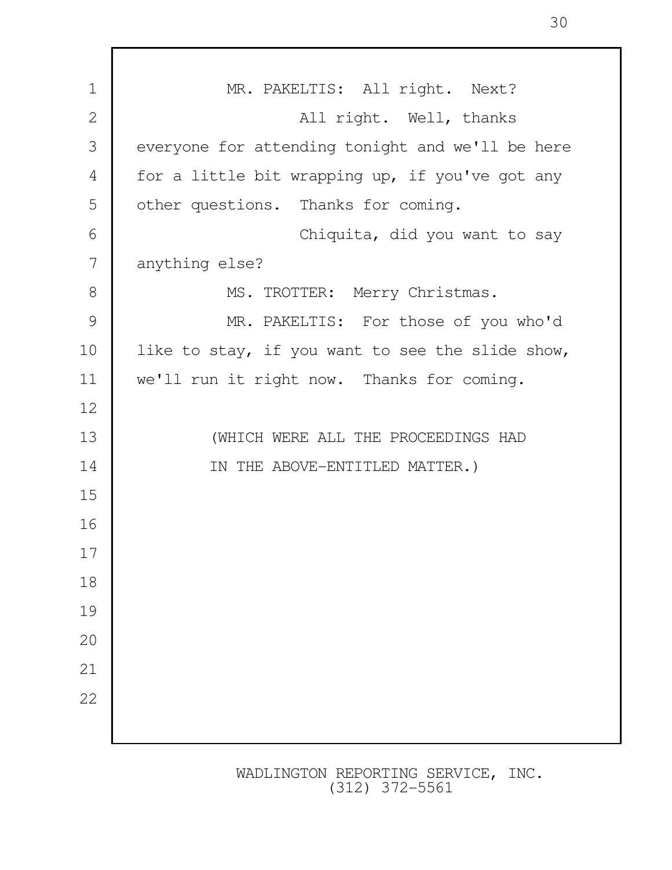| $\mathbf 1$    | MR. PAKELTIS: All right. Next?                   |  |  |  |
|----------------|--------------------------------------------------|--|--|--|
| $\mathbf{2}$   | All right. Well, thanks                          |  |  |  |
| 3              | everyone for attending tonight and we'll be here |  |  |  |
| $\overline{4}$ | for a little bit wrapping up, if you've got any  |  |  |  |
| 5              | other questions. Thanks for coming.              |  |  |  |
| 6              | Chiquita, did you want to say                    |  |  |  |
| 7              | anything else?                                   |  |  |  |
| 8              | MS. TROTTER: Merry Christmas.                    |  |  |  |
| 9              | MR. PAKELTIS: For those of you who'd             |  |  |  |
| 10             | like to stay, if you want to see the slide show, |  |  |  |
| 11             | we'll run it right now. Thanks for coming.       |  |  |  |
| 12             |                                                  |  |  |  |
| 13             | (WHICH WERE ALL THE PROCEEDINGS HAD              |  |  |  |
| 14             | IN THE ABOVE-ENTITLED MATTER.)                   |  |  |  |
| 15             |                                                  |  |  |  |
| 16             |                                                  |  |  |  |
| 17             |                                                  |  |  |  |
| 18             |                                                  |  |  |  |
| 19             |                                                  |  |  |  |
| 20             |                                                  |  |  |  |
| 21             |                                                  |  |  |  |
| 22             |                                                  |  |  |  |
|                |                                                  |  |  |  |
|                |                                                  |  |  |  |

Г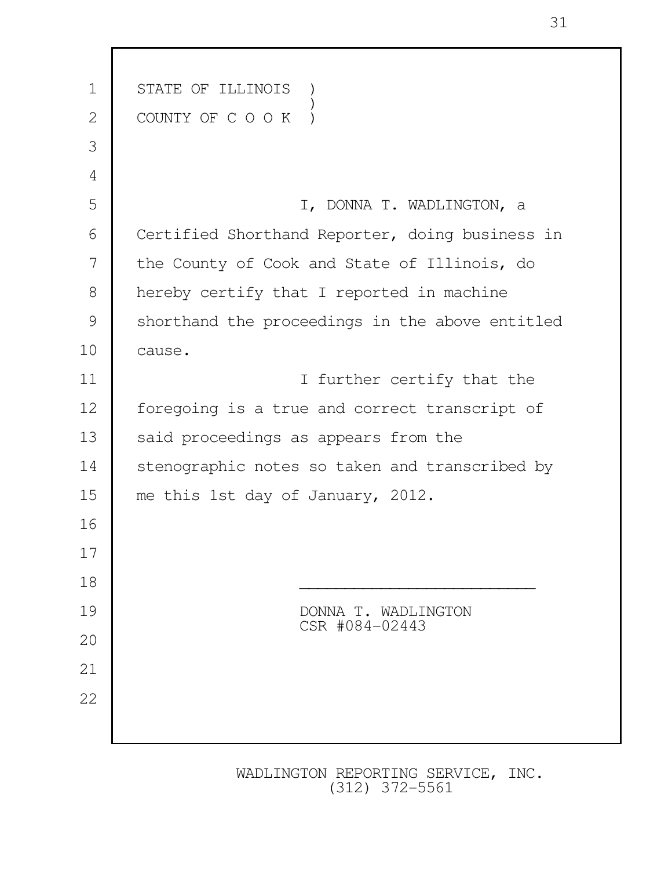| $\mathbf 1$  | STATE OF ILLINOIS                               |  |  |  |
|--------------|-------------------------------------------------|--|--|--|
| $\mathbf{2}$ | COUNTY OF C O O K                               |  |  |  |
| 3            |                                                 |  |  |  |
| 4            |                                                 |  |  |  |
| 5            | I, DONNA T. WADLINGTON, a                       |  |  |  |
| 6            | Certified Shorthand Reporter, doing business in |  |  |  |
| 7            | the County of Cook and State of Illinois, do    |  |  |  |
| 8            | hereby certify that I reported in machine       |  |  |  |
| 9            | shorthand the proceedings in the above entitled |  |  |  |
| 10           | cause.                                          |  |  |  |
| 11           | I further certify that the                      |  |  |  |
| 12           | foregoing is a true and correct transcript of   |  |  |  |
| 13           | said proceedings as appears from the            |  |  |  |
| 14           | stenographic notes so taken and transcribed by  |  |  |  |
| 15           | me this 1st day of January, 2012.               |  |  |  |
| 16           |                                                 |  |  |  |
| 17           |                                                 |  |  |  |
| 18           |                                                 |  |  |  |
| 19           | DONNA T. WADLINGTON<br>CSR #084-02443           |  |  |  |
| 20           |                                                 |  |  |  |
| 21           |                                                 |  |  |  |
| 22           |                                                 |  |  |  |
|              |                                                 |  |  |  |
|              |                                                 |  |  |  |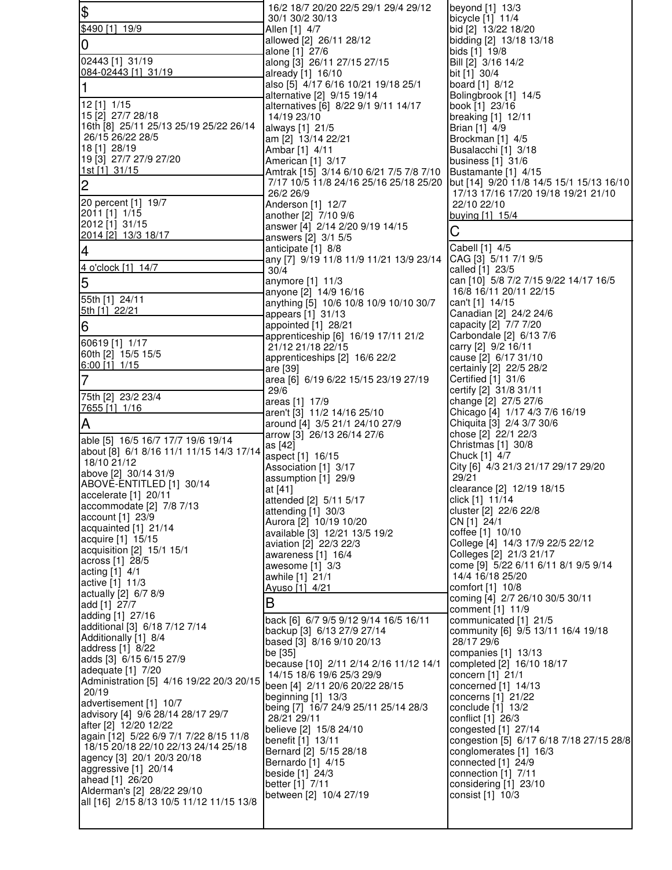| $\frac{1}{2}$                                                                 | 16/2 18/7 20/20 22/5 29/1 29/4 29/12<br>30/1 30/2 30/13                           | beyond [1] 13/3<br>bicycle [1] 11/4                             |
|-------------------------------------------------------------------------------|-----------------------------------------------------------------------------------|-----------------------------------------------------------------|
| \$490 [1] 19/9                                                                | Allen [1] 4/7                                                                     | bid [2] 13/22 18/20                                             |
| 0                                                                             | allowed [2] 26/11 28/12                                                           | bidding [2] 13/18 13/18                                         |
| 02443 [1] 31/19                                                               | alone [1] 27/6<br>along [3] 26/11 27/15 27/15                                     | bids [1] 19/8<br>Bill [2] 3/16 14/2                             |
| 084-02443 [1] 31/19                                                           | already [1] 16/10                                                                 | bit [1] 30/4                                                    |
| 1                                                                             | also [5] 4/17 6/16 10/21 19/18 25/1                                               | board [1] 8/12                                                  |
| 12 [1] 1/15                                                                   | alternative [2] 9/15 19/14<br>alternatives [6] 8/22 9/1 9/11 14/17                | Bolingbrook [1] 14/5<br>book [1] 23/16                          |
| 15 [2] 27/7 28/18                                                             | 14/19 23/10                                                                       | breaking [1] 12/11                                              |
| 16th [8] 25/11 25/13 25/19 25/22 26/14<br>26/15 26/22 28/5                    | always [1] 21/5<br>am [2] 13/14 22/21                                             | Brian [1] 4/9<br>Brockman [1] 4/5                               |
| 18 [1] 28/19                                                                  | Ambar [1] 4/11                                                                    | Busalacchi [1] 3/18                                             |
| 19 [3] 27/7 27/9 27/20<br>1st [1] 31/15                                       | American [1] 3/17                                                                 | business [1] 31/6                                               |
| $\overline{c}$                                                                | Amtrak [15] 3/14 6/10 6/21 7/5 7/8 7/10<br>7/17 10/5 11/8 24/16 25/16 25/18 25/20 | Bustamante [1] 4/15<br>but [14] 9/20 11/8 14/5 15/1 15/13 16/10 |
|                                                                               | 26/2 26/9                                                                         | 17/13 17/16 17/20 19/18 19/21 21/10                             |
| 20 percent [1] 19/7<br>2011 [1] 1/15                                          | Anderson [1] 12/7<br>another [2] 7/10 9/6                                         | 22/10 22/10<br>buying [1] 15/4                                  |
| 2012 [1] 31/15                                                                | answer [4] 2/14 2/20 9/19 14/15                                                   | С                                                               |
| 2014 [2] 13/3 18/17                                                           | answers [2] 3/1 5/5                                                               |                                                                 |
| $\overline{4}$                                                                | anticipate [1] 8/8<br>any [7] 9/19 11/8 11/9 11/21 13/9 23/14                     | Cabell [1] 4/5<br>CAG [3] 5/11 7/1 9/5                          |
| 4 o'clock [1] 14/7                                                            | 30/4                                                                              | called [1] 23/5                                                 |
| 5                                                                             | anymore [1] 11/3                                                                  | can [10] 5/8 7/2 7/15 9/22 14/17 16/5<br>16/8 16/11 20/11 22/15 |
| 55th [1] 24/11                                                                | anyone [2] 14/9 16/16<br>anything [5] 10/6 10/8 10/9 10/10 30/7                   | can't [1] 14/15                                                 |
| 5th [1] 22/21                                                                 | appears [1] 31/13                                                                 | Canadian [2] 24/2 24/6                                          |
| 6                                                                             | appointed [1] 28/21<br>apprenticeship [6] 16/19 17/11 21/2                        | capacity [2] 7/7 7/20<br>Carbondale [2] 6/13 7/6                |
| 60619 [1] 1/17                                                                | 21/12 21/18 22/15                                                                 | carry [2] 9/2 16/11                                             |
| 60th [2] 15/5 15/5<br>$6:00$ [1] $1/15$                                       | apprenticeships [2] 16/6 22/2                                                     | cause [2] 6/17 31/10                                            |
| $\overline{7}$                                                                | are [39]<br>area [6] 6/19 6/22 15/15 23/19 27/19                                  | certainly [2] 22/5 28/2<br>Certified [1] 31/6                   |
| 75th [2] 23/2 23/4                                                            | 29/6                                                                              | certify [2] 31/8 31/11                                          |
|                                                                               | areas [1] 17/9                                                                    | change [2] 27/5 27/6                                            |
| 7655 [1] 1/16                                                                 |                                                                                   |                                                                 |
| A                                                                             | aren't [3] 11/2 14/16 25/10<br>around [4] 3/5 21/1 24/10 27/9                     | Chicago [4] 1/17 4/3 7/6 16/19<br>Chiquita [3] 2/4 3/7 30/6     |
| able [5] 16/5 16/7 17/7 19/6 19/14                                            | arrow [3] 26/13 26/14 27/6                                                        | chose [2] 22/1 22/3                                             |
| about [8] 6/1 8/16 11/1 11/15 14/3 17/14                                      | as [42]                                                                           | Christmas [1] 30/8                                              |
| 18/10 21/12                                                                   | aspect [1] 16/15<br>Association [1] 3/17                                          | Chuck [1] 4/7<br>City [6] 4/3 21/3 21/17 29/17 29/20            |
| above [2] 30/14 31/9<br>ABOVE-ENTITLED [1] 30/14                              | assumption [1] 29/9                                                               | 29/21                                                           |
| accelerate [1] 20/11                                                          | at [41]<br>attended [2] 5/11 5/17                                                 | clearance [2] 12/19 18/15<br>click [1] 11/14                    |
| accommodate [2] 7/8 7/13                                                      | attending [1] 30/3                                                                | cluster [2] 22/6 22/8                                           |
| account [1] 23/9<br>acquainted [1] 21/14                                      | Aurora [2] 10/19 10/20                                                            | CN [1] 24/1                                                     |
| acquire [1] 15/15                                                             | available [3] 12/21 13/5 19/2<br>aviation [2] 22/3 22/3                           | coffee [1] 10/10<br>College [4] 14/3 17/9 22/5 22/12            |
| acquisition [2] 15/1 15/1<br>across [1] 28/5                                  | awareness [1] 16/4                                                                | Colleges [2] 21/3 21/17                                         |
| acting [1] 4/1                                                                | awesome $[1]$ 3/3<br>awhile [1] 21/1                                              | come [9] 5/22 6/11 6/11 8/1 9/5 9/14<br>14/4 16/18 25/20        |
| active [1] 11/3                                                               | Ayuso [1] 4/21                                                                    | comfort [1] 10/8                                                |
| actually [2] 6/7 8/9<br>add [1] 27/7                                          | B                                                                                 | coming [4] 2/7 26/10 30/5 30/11                                 |
| adding [1] 27/16                                                              | back [6] 6/7 9/5 9/12 9/14 16/5 16/11                                             | comment [1] 11/9<br>communicated [1] 21/5                       |
| additional [3] 6/18 7/12 7/14<br>Additionally [1] 8/4                         | backup [3] 6/13 27/9 27/14                                                        | community [6] 9/5 13/11 16/4 19/18                              |
| address [1] 8/22                                                              | based [3] 8/16 9/10 20/13<br>be [35]                                              | 28/17 29/6<br>companies [1] 13/13                               |
| adds [3] 6/15 6/15 27/9                                                       | because [10] 2/11 2/14 2/16 11/12 14/1                                            | completed [2] 16/10 18/17                                       |
| adequate [1] 7/20<br>Administration [5] 4/16 19/22 20/3 20/15                 | 14/15 18/6 19/6 25/3 29/9                                                         | concern [1] 21/1                                                |
| 20/19                                                                         | been [4] 2/11 20/6 20/22 28/15<br>beginning [1] 13/3                              | concerned [1] 14/13<br>concerns [1] 21/22                       |
| advertisement [1] 10/7<br>advisory [4] 9/6 28/14 28/17 29/7                   | being [7] 16/7 24/9 25/11 25/14 28/3                                              | conclude $[1]$ 13/2                                             |
| after [2] 12/20 12/22                                                         | 28/21 29/11<br>believe [2] 15/8 24/10                                             | conflict [1] 26/3<br>congested [1] 27/14                        |
| again [12] 5/22 6/9 7/1 7/22 8/15 11/8<br>18/15 20/18 22/10 22/13 24/14 25/18 | benefit [1] 13/11                                                                 | congestion [5] 6/17 6/18 7/18 27/15 28/8                        |
| agency [3] 20/1 20/3 20/18                                                    | Bernard [2] 5/15 28/18                                                            | conglomerates [1] 16/3                                          |
| aggressive [1] 20/14                                                          | Bernardo [1] 4/15<br>beside [1] 24/3                                              | connected [1] 24/9<br>connection [1] 7/11                       |
| ahead [1] 26/20<br>Alderman's [2] 28/22 29/10                                 | better [1] 7/11                                                                   | considering [1] 23/10                                           |
| all [16] 2/15 8/13 10/5 11/12 11/15 13/8                                      | between [2] 10/4 27/19                                                            | consist [1] 10/3                                                |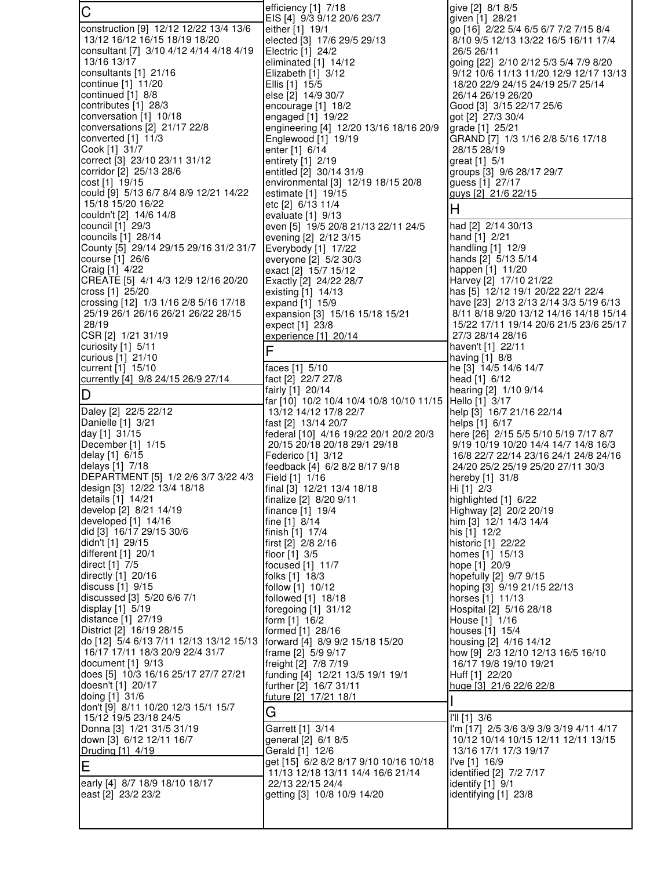| C                                                           | efficiency [1] 7/18                                               | give [2] 8/1 8/5                                                                 |
|-------------------------------------------------------------|-------------------------------------------------------------------|----------------------------------------------------------------------------------|
| construction [9] 12/12 12/22 13/4 13/6                      | EIS [4] 9/3 9/12 20/6 23/7<br>either [1] 19/1                     | given [1] 28/21<br>go [16] 2/22 5/4 6/5 6/7 7/2 7/15 8/4                         |
| 13/12 16/12 16/15 18/19 18/20                               | elected [3] 17/6 29/5 29/13                                       | 8/10 9/5 12/13 13/22 16/5 16/11 17/4                                             |
| consultant [7] 3/10 4/12 4/14 4/18 4/19                     | Electric [1] 24/2                                                 | 26/5 26/11                                                                       |
| 13/16 13/17<br>consultants [1] 21/16                        | eliminated $[1]$ 14/12<br>Elizabeth [1] 3/12                      | going [22] 2/10 2/12 5/3 5/4 7/9 8/20<br>9/12 10/6 11/13 11/20 12/9 12/17 13/13  |
| continue [1] 11/20                                          | Ellis [1] 15/5                                                    | 18/20 22/9 24/15 24/19 25/7 25/14                                                |
| continued [1] 8/8                                           | else [2] 14/9 30/7                                                | 26/14 26/19 26/20                                                                |
| contributes [1] 28/3<br>conversation [1] 10/18              | encourage [1] 18/2<br>engaged [1] 19/22                           | Good [3] 3/15 22/17 25/6<br>got [2] 27/3 30/4                                    |
| conversations [2] 21/17 22/8                                | engineering [4] 12/20 13/16 18/16 20/9                            | grade [1] 25/21                                                                  |
| converted $[1]$ 11/3                                        | Englewood [1] 19/19                                               | GRAND [7] 1/3 1/16 2/8 5/16 17/18                                                |
| Cook [1] 31/7<br>correct [3] 23/10 23/11 31/12              | enter [1] 6/14<br>entirety [1] 2/19                               | 28/15 28/19<br>great [1] 5/1                                                     |
| corridor [2] 25/13 28/6                                     | entitled [2] 30/14 31/9                                           | groups [3] 9/6 28/17 29/7                                                        |
| cost [1] 19/15                                              | environmental [3] 12/19 18/15 20/8                                | guess [1] 27/17                                                                  |
| could [9] 5/13 6/7 8/4 8/9 12/21 14/22<br>15/18 15/20 16/22 | estimate [1] 19/15<br>etc [2] 6/13 11/4                           | guys [2] 21/6 22/15                                                              |
| couldn't [2] 14/6 14/8                                      | evaluate $[1]$ 9/13                                               | H                                                                                |
| council [1] 29/3<br>councils [1] 28/14                      | even [5] 19/5 20/8 21/13 22/11 24/5                               | had [2] 2/14 30/13<br>hand [1] 2/21                                              |
| County [5] 29/14 29/15 29/16 31/2 31/7                      | evening [2] 2/12 3/15<br>Everybody [1] 17/22                      | handling [1] 12/9                                                                |
| course [1] 26/6                                             | everyone [2] 5/2 30/3                                             | hands [2] 5/13 5/14                                                              |
| Craig [1] 4/22<br>CREATE [5] 4/1 4/3 12/9 12/16 20/20       | exact [2] 15/7 15/12                                              | happen [1] 11/20<br>Harvey [2] 17/10 21/22                                       |
| cross [1] 25/20                                             | Exactly [2] 24/22 28/7<br>existing [1] 14/13                      | has [5] 12/12 19/1 20/22 22/1 22/4                                               |
| crossing [12] 1/3 1/16 2/8 5/16 17/18                       | expand [1] 15/9                                                   | have [23] 2/13 2/13 2/14 3/3 5/19 6/13                                           |
| 25/19 26/1 26/16 26/21 26/22 28/15<br>28/19                 | expansion [3] 15/16 15/18 15/21<br>expect [1] 23/8                | 8/11 8/18 9/20 13/12 14/16 14/18 15/14<br>15/22 17/11 19/14 20/6 21/5 23/6 25/17 |
| CSR [2] 1/21 31/19                                          | experience [1] 20/14                                              | 27/3 28/14 28/16                                                                 |
| curiosity [1] 5/11                                          | F                                                                 | haven't [1] 22/11                                                                |
| curious [1] 21/10<br>current [1] 15/10                      | faces [1] 5/10                                                    | having $[1]$ 8/8<br>he [3] 14/5 14/6 14/7                                        |
| currently [4] 9/8 24/15 26/9 27/14                          | fact [2] 22/7 27/8                                                | head [1] 6/12                                                                    |
| D                                                           | fairly [1] 20/14                                                  | hearing [2] 1/10 9/14                                                            |
| Daley [2] 22/5 22/12                                        | far [10] 10/2 10/4 10/4 10/8 10/10 11/15<br>13/12 14/12 17/8 22/7 | [HeII0 [1] 3/17]<br>help [3] 16/7 21/16 22/14                                    |
| Danielle [1] 3/21                                           | fast [2] 13/14 20/7                                               | helps [1] 6/17                                                                   |
| day [1] 31/15                                               | federal [10] 4/16 19/22 20/1 20/2 20/3                            | here [26] 2/15 5/5 5/10 5/19 7/17 8/7                                            |
| December [1] 1/15<br>delay [1] 6/15                         | 20/15 20/18 20/18 29/1 29/18<br>Federico [1] 3/12                 | 9/19 10/19 10/20 14/4 14/7 14/8 16/3<br>16/8 22/7 22/14 23/16 24/1 24/8 24/16    |
| delays [1] 7/18                                             | feedback [4] 6/2 8/2 8/17 9/18                                    | 24/20 25/2 25/19 25/20 27/11 30/3                                                |
| DEPARTMENT [5] 1/2 2/6 3/7 3/22 4/3                         | Field [1] 1/16                                                    | hereby [1] 31/8                                                                  |
| design [3] 12/22 13/4 18/18<br>details [1] 14/21            | final [3] 12/21 13/4 18/18<br>finalize [2] 8/20 9/11              | Hi [1] 2/3<br>highlighted [1] 6/22                                               |
| develop [2] 8/21 14/19                                      | finance [1] 19/4                                                  | Highway [2] 20/2 20/19                                                           |
| developed [1] 14/16                                         | fine $[1]$ 8/14                                                   | him [3] 12/1 14/3 14/4                                                           |
| did [3] 16/17 29/15 30/6<br>didn't [1] 29/15                | finish [1] 17/4<br>first [2] 2/8 2/16                             | his [1] 12/2<br>historic [1] 22/22                                               |
| different [1] 20/1                                          | floor [1] 3/5                                                     | homes [1] 15/13                                                                  |
| direct [1] 7/5<br>directly [1] 20/16                        | focused [1] 11/7<br>folks [1] 18/3                                | hope [1] 20/9<br>hopefully [2] 9/7 9/15                                          |
| discuss [1] 9/15                                            | follow [1] 10/12                                                  | hoping [3] 9/19 21/15 22/13                                                      |
| discussed [3] 5/20 6/6 7/1                                  | followed [1] 18/18                                                | horses [1] 11/13                                                                 |
| display [1] 5/19<br>distance [1] 27/19                      | foregoing [1] 31/12<br>form [1] 16/2                              | Hospital [2] 5/16 28/18<br>House [1] 1/16                                        |
| District [2] 16/19 28/15                                    | formed [1] 28/16                                                  | houses [1] 15/4                                                                  |
| do [12] 5/4 6/13 7/11 12/13 13/12 15/13                     | forward [4] 8/9 9/2 15/18 15/20                                   | housing [2] 4/16 14/12                                                           |
| 16/17 17/11 18/3 20/9 22/4 31/7<br>document [1] 9/13        | frame [2] 5/9 9/17<br>freight [2] 7/8 7/19                        | how [9] 2/3 12/10 12/13 16/5 16/10<br>16/17 19/8 19/10 19/21                     |
| does [5] 10/3 16/16 25/17 27/7 27/21                        | funding [4] 12/21 13/5 19/1 19/1                                  | Huff [1] 22/20                                                                   |
| doesn't [1] 20/17                                           | further [2] 16/7 31/11                                            | huge [3] 21/6 22/6 22/8                                                          |
| doing [1] 31/6<br>don't [9] 8/11 10/20 12/3 15/1 15/7       | future [2] 17/21 18/1                                             |                                                                                  |
| 15/12 19/5 23/18 24/5                                       | G                                                                 | I'll [1] 3/6                                                                     |
| Donna [3] 1/21 31/5 31/19                                   | Garrett [1] 3/14                                                  | I'm [17] 2/5 3/6 3/9 3/9 3/19 4/11 4/17                                          |
| down [3] 6/12 12/11 16/7<br>Druding [1] 4/19                | general [2] 6/1 8/5<br>Gerald [1] 12/6                            | 10/12 10/14 10/15 12/11 12/11 13/15<br>13/16 17/1 17/3 19/17                     |
| E                                                           | get [15] 6/2 8/2 8/17 9/10 10/16 10/18                            | I've [1] 16/9                                                                    |
|                                                             | 11/13 12/18 13/11 14/4 16/6 21/14                                 | identified [2] 7/2 7/17                                                          |
| early [4] 8/7 18/9 18/10 18/17<br>east [2] 23/2 23/2        | 22/13 22/15 24/4<br>getting [3] 10/8 10/9 14/20                   | identify [1] 9/1<br>identifying [1] 23/8                                         |
|                                                             |                                                                   |                                                                                  |
|                                                             |                                                                   |                                                                                  |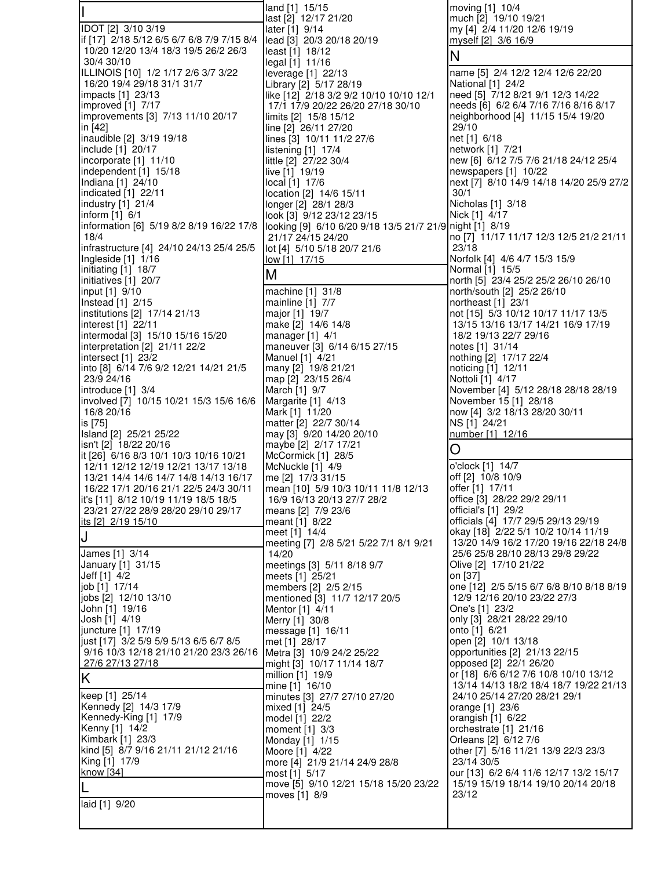|                                                                                  | land [1] 15/15                                                                | moving [1] 10/4                                                                 |
|----------------------------------------------------------------------------------|-------------------------------------------------------------------------------|---------------------------------------------------------------------------------|
| IDOT [2] 3/10 3/19                                                               | last [2] 12/17 21/20<br>later [1] 9/14                                        | much [2] 19/10 19/21<br>my [4] 2/4 11/20 12/6 19/19                             |
| if [17] 2/18 5/12 6/5 6/7 6/8 7/9 7/15 8/4                                       | lead [3] 20/3 20/18 20/19                                                     | myself [2] 3/6 16/9                                                             |
| 10/20 12/20 13/4 18/3 19/5 26/2 26/3<br>30/4 30/10                               | least [1] 18/12<br>legal [1] 11/16                                            | Ν                                                                               |
| ILLINOIS [10] 1/2 1/17 2/6 3/7 3/22                                              | leverage [1] 22/13                                                            | name [5] 2/4 12/2 12/4 12/6 22/20                                               |
| 16/20 19/4 29/18 31/1 31/7<br>impacts [1] 23/13                                  | Library [2] 5/17 28/19<br>like [12] 2/18 3/2 9/2 10/10 10/10 12/1             | National [1] 24/2<br>need [5] 7/12 8/21 9/1 12/3 14/22                          |
| improved [1] 7/17                                                                | 17/1 17/9 20/22 26/20 27/18 30/10                                             | needs [6] 6/2 6/4 7/16 7/16 8/16 8/17                                           |
| improvements [3] 7/13 11/10 20/17<br>in [42]                                     | limits [2] 15/8 15/12<br>line [2] 26/11 27/20                                 | neighborhood [4] 11/15 15/4 19/20<br>29/10                                      |
| inaudible [2] 3/19 19/18                                                         | lines [3] 10/11 11/2 27/6                                                     | net [1] 6/18                                                                    |
| include [1] 20/17<br>incorporate [1] 11/10                                       | listening [1] 17/4                                                            | network [1] 7/21<br>new [6] 6/12 7/5 7/6 21/18 24/12 25/4                       |
| independent $[1]$ 15/18                                                          | little [2] 27/22 30/4<br>live [1] 19/19                                       | newspapers [1] 10/22                                                            |
| Indiana [1] 24/10                                                                | local [1] 17/6                                                                | next [7] 8/10 14/9 14/18 14/20 25/9 27/2                                        |
| indicated [1] 22/11<br>industry [1] 21/4                                         | location [2] 14/6 15/11<br>longer [2] 28/1 28/3                               | 30/1<br>Nicholas [1] 3/18                                                       |
| inform [1] 6/1                                                                   | look [3] 9/12 23/12 23/15                                                     | Nick [1] 4/17                                                                   |
| information [6] 5/19 8/2 8/19 16/22 17/8<br>18/4                                 | looking [9] 6/10 6/20 9/18 13/5 21/7 21/9 night [1] 8/19<br>21/17 24/15 24/20 | no [7] 11/17 11/17 12/3 12/5 21/2 21/11                                         |
| infrastructure [4] 24/10 24/13 25/4 25/5                                         | lot [4] 5/10 5/18 20/7 21/6                                                   | 23/18                                                                           |
| Ingleside [1] 1/16<br>initiating [1] 18/7                                        | low [1] 17/15                                                                 | Norfolk [4] 4/6 4/7 15/3 15/9<br>Normal [1] 15/5                                |
| initiatives [1] 20/7                                                             | M                                                                             | north [5] 23/4 25/2 25/2 26/10 26/10                                            |
| input [1] 9/10<br>Instead [1] 2/15                                               | machine [1] 31/8<br>mainline [1] 7/7                                          | north/south [2] 25/2 26/10<br>northeast [1] 23/1                                |
| institutions [2] 17/14 21/13                                                     | major [1] 19/7                                                                | not [15] 5/3 10/12 10/17 11/17 13/5                                             |
| interest [1] 22/11                                                               | make [2] 14/6 14/8                                                            | 13/15 13/16 13/17 14/21 16/9 17/19                                              |
| intermodal [3] 15/10 15/16 15/20<br>interpretation [2] 21/11 22/2                | manager [1] 4/1<br>maneuver [3] 6/14 6/15 27/15                               | 18/2 19/13 22/7 29/16<br>notes [1] 31/14                                        |
| intersect [1] 23/2                                                               | Manuel [1] 4/21                                                               | nothing [2] 17/17 22/4                                                          |
| into [8] 6/14 7/6 9/2 12/21 14/21 21/5<br>23/9 24/16                             | many [2] 19/8 21/21<br>map [2] 23/15 26/4                                     | noticing [1] 12/11<br>Nottoli [1] 4/17                                          |
| introduce [1] 3/4                                                                | March [1] 9/7                                                                 | November [4] 5/12 28/18 28/18 28/19                                             |
| involved [7] 10/15 10/21 15/3 15/6 16/6<br>16/8 20/16                            | Margarite [1] 4/13<br>Mark [1] 11/20                                          | November 15 [1] 28/18<br>now [4] 3/2 18/13 28/20 30/11                          |
| is [75]                                                                          | matter [2] 22/7 30/14                                                         | NS [1] 24/21                                                                    |
| Island [2] 25/21 25/22<br>isn't [2] 18/22 20/16                                  | may [3] 9/20 14/20 20/10<br>maybe [2] 2/17 17/21                              | number [1] 12/16                                                                |
| it [26] 6/16 8/3 10/1 10/3 10/16 10/21                                           | McCormick [1] 28/5                                                            | O                                                                               |
| 12/11 12/12 12/19 12/21 13/17 13/18<br>13/21 14/4 14/6 14/7 14/8 14/13 16/17     | McNuckle [1] 4/9<br>me [2] 17/3 31/15                                         | o'clock [1] 14/7<br>off [2] 10/8 10/9                                           |
| 16/22 17/1 20/16 21/1 22/5 24/3 30/11                                            | mean [10] 5/9 10/3 10/11 11/8 12/13                                           | offer [1] 17/11                                                                 |
| it's [11] 8/12 10/19 11/19 18/5 18/5<br>23/21 27/22 28/9 28/20 29/10 29/17       | 16/9 16/13 20/13 27/7 28/2<br>means [2] 7/9 23/6                              | office [3] 28/22 29/2 29/11<br>official's [1] 29/2                              |
| its [2] 2/19 15/10                                                               | meant [1] 8/22                                                                | officials [4] 17/7 29/5 29/13 29/19                                             |
| J                                                                                | meet [1] 14/4                                                                 | okay [18] 2/22 5/1 10/2 10/14 11/19<br>13/20 14/9 16/2 17/20 19/16 22/18 24/8   |
| James [1] 3/14                                                                   | meeting [7] 2/8 5/21 5/22 7/1 8/1 9/21<br>14/20                               | 25/6 25/8 28/10 28/13 29/8 29/22                                                |
| January [1] 31/15                                                                | meetings [3] 5/11 8/18 9/7                                                    | Olive [2] 17/10 21/22                                                           |
| Jeff [1] 4/2<br>job [1] 17/14                                                    | meets [1] 25/21<br>members [2] 2/5 2/15                                       | on [37]<br>one [12] 2/5 5/15 6/7 6/8 8/10 8/18 8/19                             |
| jobs [2] 12/10 13/10                                                             | mentioned [3] 11/7 12/17 20/5                                                 | 12/9 12/16 20/10 23/22 27/3                                                     |
| John [1] 19/16<br>Josh [1] 4/19                                                  | Mentor [1] 4/11<br>Merry [1] 30/8                                             | One's [1] 23/2<br>only [3] 28/21 28/22 29/10                                    |
| juncture [1] 17/19                                                               | message [1] 16/11                                                             | onto [1] 6/21                                                                   |
| just [17] 3/2 5/9 5/9 5/13 6/5 6/7 8/5<br>9/16 10/3 12/18 21/10 21/20 23/3 26/16 | met [1] 28/17<br>Metra [3] 10/9 24/2 25/22                                    | open [2] 10/1 13/18<br>opportunities [2] 21/13 22/15                            |
| 27/6 27/13 27/18                                                                 | might [3] 10/17 11/14 18/7                                                    | opposed [2] 22/1 26/20                                                          |
| Κ                                                                                | million [1] 19/9<br>mine [1] 16/10                                            | or [18] 6/6 6/12 7/6 10/8 10/10 13/12<br>13/14 14/13 18/2 18/4 18/7 19/22 21/13 |
| keep [1] 25/14                                                                   | minutes [3] 27/7 27/10 27/20                                                  | 24/10 25/14 27/20 28/21 29/1                                                    |
| Kennedy [2] 14/3 17/9<br>Kennedy-King [1] 17/9                                   | mixed [1] 24/5<br>model [1] 22/2                                              | orange [1] 23/6<br>orangish [1] 6/22                                            |
| Kenny [1] 14/2                                                                   | moment $[1]$ 3/3                                                              | orchestrate [1] 21/16                                                           |
| Kimbark [1] 23/3<br>kind [5] 8/7 9/16 21/11 21/12 21/16                          | Monday [1] 1/15<br>Moore [1] 4/22                                             | Orleans [2] 6/12 7/6<br>other [7] 5/16 11/21 13/9 22/3 23/3                     |
| King [1] 17/9                                                                    | more [4] 21/9 21/14 24/9 28/8                                                 | 23/14 30/5                                                                      |
| know [34]                                                                        | most [1] 5/17                                                                 | our [13] 6/2 6/4 11/6 12/17 13/2 15/17                                          |
|                                                                                  | move [5] 9/10 12/21 15/18 15/20 23/22<br>moves [1] 8/9                        | 15/19 15/19 18/14 19/10 20/14 20/18<br>23/12                                    |
| laid [1] 9/20                                                                    |                                                                               |                                                                                 |
|                                                                                  |                                                                               |                                                                                 |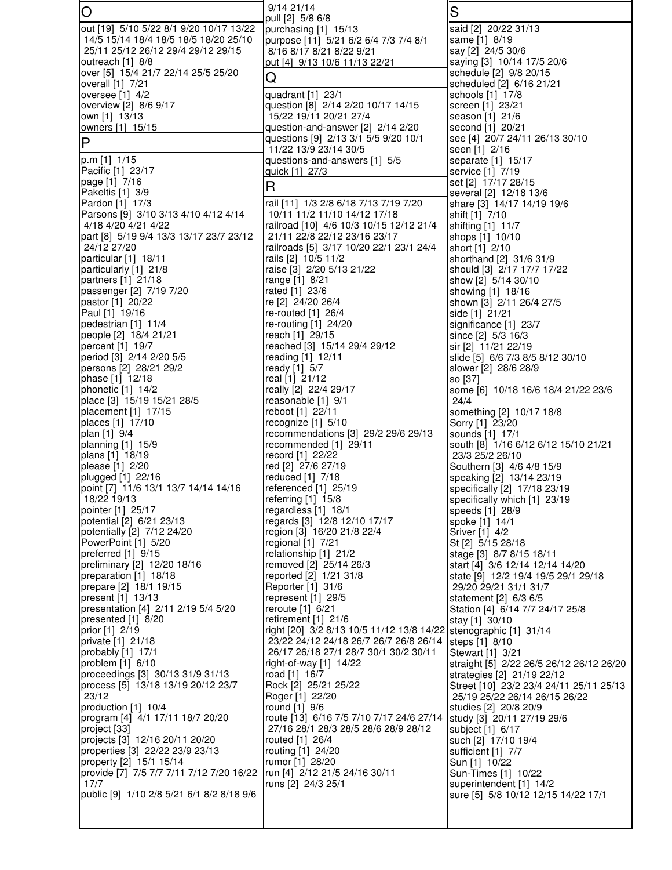| O                                                                      | 9/14 21/14<br>pull [2] 5/8 6/8                                                                             | S                                                                     |
|------------------------------------------------------------------------|------------------------------------------------------------------------------------------------------------|-----------------------------------------------------------------------|
| out [19] 5/10 5/22 8/1 9/20 10/17 13/22                                | purchasing [1] 15/13                                                                                       | said [2] 20/22 31/13                                                  |
| 14/5 15/14 18/4 18/5 18/5 18/20 25/10                                  | purpose [11] 5/21 6/2 6/4 7/3 7/4 8/1                                                                      | same [1] 8/19                                                         |
| 25/11 25/12 26/12 29/4 29/12 29/15<br>outreach [1] 8/8                 | 8/16 8/17 8/21 8/22 9/21<br>put [4] 9/13 10/6 11/13 22/21                                                  | say [2] 24/5 30/6<br>saying [3] 10/14 17/5 20/6                       |
| over [5] 15/4 21/7 22/14 25/5 25/20                                    | Q                                                                                                          | schedule [2] 9/8 20/15                                                |
| overall [1] 7/21                                                       |                                                                                                            | scheduled [2] 6/16 21/21                                              |
| oversee $[1]$ 4/2<br>overview [2] 8/6 9/17                             | quadrant [1] 23/1<br>question [8] 2/14 2/20 10/17 14/15                                                    | schools [1] 17/8<br>screen [1] 23/21                                  |
| own [1] 13/13                                                          | 15/22 19/11 20/21 27/4                                                                                     | season [1] 21/6                                                       |
| owners [1] 15/15                                                       | question-and-answer [2] 2/14 2/20                                                                          | second [1] 20/21                                                      |
| P                                                                      | questions [9] 2/13 3/1 5/5 9/20 10/1<br>11/22 13/9 23/14 30/5                                              | see [4] 20/7 24/11 26/13 30/10<br>seen [1] 2/16                       |
| p.m [1] 1/15                                                           | questions-and-answers [1] 5/5                                                                              | separate [1] 15/17                                                    |
| Pacific [1] 23/17                                                      | quick [1] 27/3                                                                                             | service [1] 7/19                                                      |
| page [1] 7/16<br>Pakeltis [1] 3/9                                      | R                                                                                                          | set [2] 17/17 28/15<br>several [2] 12/18 13/6                         |
| Pardon [1] 17/3                                                        | rail [11] 1/3 2/8 6/18 7/13 7/19 7/20                                                                      | share [3] 14/17 14/19 19/6                                            |
| Parsons [9] 3/10 3/13 4/10 4/12 4/14                                   | 10/11 11/2 11/10 14/12 17/18                                                                               | shift [1] 7/10                                                        |
| 4/18 4/20 4/21 4/22<br>part [8] 5/19 9/4 13/3 13/17 23/7 23/12         | railroad [10] 4/6 10/3 10/15 12/12 21/4<br>21/11 22/8 22/12 23/16 23/17                                    | shifting [1] 11/7<br>shops [1] 10/10                                  |
| 24/12 27/20                                                            | railroads [5] 3/17 10/20 22/1 23/1 24/4                                                                    | short [1] 2/10                                                        |
| particular [1] 18/11                                                   | rails [2] 10/5 11/2                                                                                        | shorthand [2] 31/6 31/9                                               |
| particularly [1] 21/8<br>partners [1] 21/18                            | raise [3] 2/20 5/13 21/22<br>range [1] 8/21                                                                | should [3] 2/17 17/7 17/22<br>show [2] 5/14 30/10                     |
| passenger [2] 7/19 7/20                                                | rated [1] 23/6                                                                                             | showing [1] 18/16                                                     |
| pastor [1] 20/22                                                       | re [2] 24/20 26/4                                                                                          | shown [3] 2/11 26/4 27/5                                              |
| Paul [1] 19/16<br>pedestrian [1] 11/4                                  | re-routed $[1]$ 26/4<br>re-routing $[1]$ 24/20                                                             | side [1] 21/21<br>significance [1] 23/7                               |
| people [2] 18/4 21/21                                                  | reach [1] 29/15                                                                                            | since [2] 5/3 16/3                                                    |
| percent [1] 19/7                                                       | reached [3] 15/14 29/4 29/12                                                                               | sir [2] 11/21 22/19                                                   |
| period [3] 2/14 2/20 5/5<br>persons [2] 28/21 29/2                     | reading [1] 12/11<br>ready [1] 5/7                                                                         | slide [5] 6/6 7/3 8/5 8/12 30/10<br>slower [2] 28/6 28/9              |
| phase [1] 12/18                                                        | real [1] 21/12                                                                                             | so [37]                                                               |
| phonetic $[1]$ 14/2                                                    | really [2] 22/4 29/17                                                                                      | some [6] 10/18 16/6 18/4 21/22 23/6                                   |
| place [3] 15/19 15/21 28/5<br>placement [1] 17/15                      | reasonable [1] 9/1<br>reboot [1] 22/11                                                                     | 24/4<br>something [2] 10/17 18/8                                      |
| places [1] 17/10                                                       | recognize $[1]$ 5/10                                                                                       | Sorry [1] 23/20                                                       |
| plan [1] 9/4                                                           | recommendations [3] 29/2 29/6 29/13                                                                        | sounds [1] 17/1                                                       |
| planning [1] 15/9<br>plans [1] 18/19                                   | recommended [1] 29/11<br>record [1] 22/22                                                                  | south [8] 1/16 6/12 6/12 15/10 21/21<br>23/3 25/2 26/10               |
| please [1] 2/20                                                        | red [2] 27/6 27/19                                                                                         | Southern [3] 4/6 4/8 15/9                                             |
| plugged [1] 22/16                                                      | reduced [1] 7/18                                                                                           | speaking [2] 13/14 23/19                                              |
| point [7] 11/6 13/1 13/7 14/14 14/16<br>18/22 19/13                    | referenced [1] 25/19<br>referring [1] 15/8                                                                 | specifically [2] 17/18 23/19<br>specifically which [1] 23/19          |
| pointer [1] 25/17                                                      | regardless [1] 18/1                                                                                        | speeds [1] 28/9                                                       |
| potential [2] 6/21 23/13                                               | regards [3] 12/8 12/10 17/17                                                                               | spoke [1] 14/1                                                        |
| potentially [2] 7/12 24/20<br>PowerPoint [1] 5/20                      | region [3] 16/20 21/8 22/4<br>regional [1] 7/21                                                            | Sriver [1] 4/2                                                        |
| preferred [1] 9/15                                                     | relationship [1] 21/2                                                                                      | St [2] 5/15 28/18<br>stage [3] 8/7 8/15 18/11                         |
| preliminary [2] 12/20 18/16                                            | removed [2] 25/14 26/3                                                                                     | start [4] 3/6 12/14 12/14 14/20                                       |
| preparation [1] 18/18                                                  | reported [2] 1/21 31/8                                                                                     | state [9] 12/2 19/4 19/5 29/1 29/18                                   |
| prepare [2] 18/1 19/15<br>present [1] 13/13                            | Reporter [1] 31/6<br>represent [1] 29/5                                                                    | 29/20 29/21 31/1 31/7<br>statement [2] 6/3 6/5                        |
| presentation [4] 2/11 2/19 5/4 5/20                                    | reroute [1] 6/21                                                                                           | Station [4] 6/14 7/7 24/17 25/8                                       |
| presented [1] 8/20                                                     | retirement [1] 21/6                                                                                        | stay [1] 30/10                                                        |
| prior [1] 2/19<br>private [1] 21/18                                    | right [20] 3/2 8/13 10/5 11/12 13/8 14/22 stenographic [1] 31/14<br>23/22 24/12 24/18 26/7 26/7 26/8 26/14 | steps [1] 8/10                                                        |
| probably [1] 17/1                                                      | 26/17 26/18 27/1 28/7 30/1 30/2 30/11                                                                      | Stewart [1] 3/21                                                      |
| problem $[1]$ 6/10                                                     | right-of-way $[1]$ 14/22                                                                                   | straight [5] 2/22 26/5 26/12 26/12 26/20                              |
| proceedings [3] 30/13 31/9 31/13<br>process [5] 13/18 13/19 20/12 23/7 | road [1] 16/7<br>Rock [2] 25/21 25/22                                                                      | strategies [2] 21/19 22/12<br>Street [10] 23/2 23/4 24/11 25/11 25/13 |
| 23/12                                                                  | Roger [1] 22/20                                                                                            | 25/19 25/22 26/14 26/15 26/22                                         |
| production [1] 10/4                                                    | round [1] 9/6                                                                                              | studies [2] 20/8 20/9                                                 |
| program [4] 4/1 17/11 18/7 20/20<br>project [33]                       | route [13] 6/16 7/5 7/10 7/17 24/6 27/14<br>27/16 28/1 28/3 28/5 28/6 28/9 28/12                           | study [3] 20/11 27/19 29/6<br>subject [1] 6/17                        |
| projects [3] 12/16 20/11 20/20                                         | routed [1] 26/4                                                                                            | such [2] 17/10 19/4                                                   |
| properties [3] 22/22 23/9 23/13                                        | routing [1] 24/20                                                                                          | sufficient [1] 7/7                                                    |
| property [2] 15/1 15/14<br>provide [7] 7/5 7/7 7/11 7/12 7/20 16/22    | rumor [1] 28/20<br>run [4] 2/12 21/5 24/16 30/11                                                           | Sun [1] 10/22<br>Sun-Times [1] 10/22                                  |
| 17/7                                                                   | runs [2] 24/3 25/1                                                                                         | superintendent [1] 14/2                                               |
| public [9] 1/10 2/8 5/21 6/1 8/2 8/18 9/6                              |                                                                                                            | sure [5] 5/8 10/12 12/15 14/22 17/1                                   |
|                                                                        |                                                                                                            |                                                                       |
|                                                                        |                                                                                                            |                                                                       |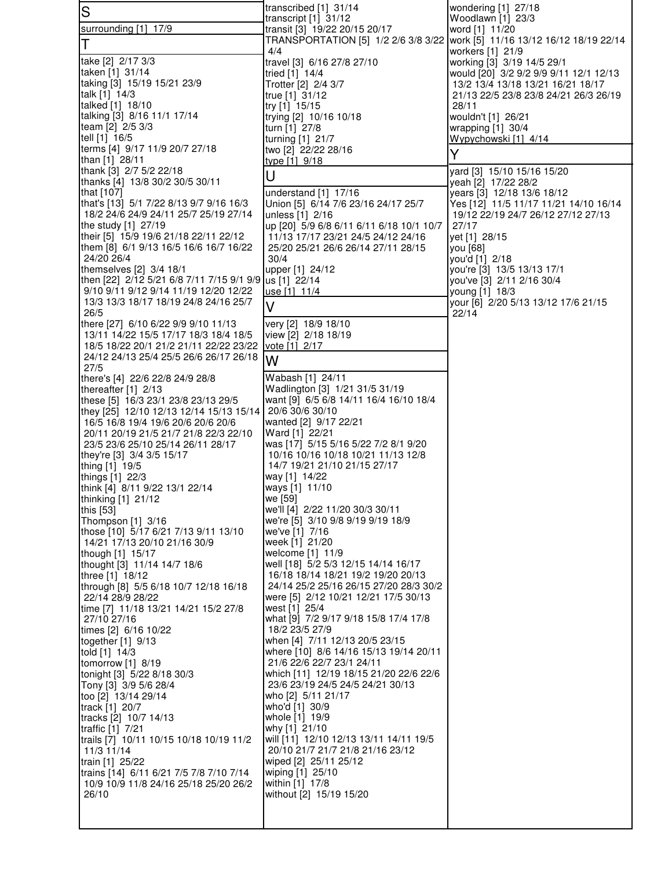| $\overline{\mathsf{S}}$                                                            | transcribed [1] 31/14                                                             | wondering [1] 27/18<br>Woodlawn [1] 23/3                                   |
|------------------------------------------------------------------------------------|-----------------------------------------------------------------------------------|----------------------------------------------------------------------------|
| surrounding [1] 17/9                                                               | transcript $[1]$ 31/12<br>transit [3] 19/22 20/15 20/17                           | word [1] 11/20                                                             |
| Τ                                                                                  | TRANSPORTATION [5] 1/2 2/6 3/8 3/22 work [5] 11/16 13/12 16/12 18/19 22/14<br>4/4 | workers [1] 21/9                                                           |
| take [2] 2/17 3/3                                                                  | travel [3] 6/16 27/8 27/10                                                        | working [3] 3/19 14/5 29/1                                                 |
| taken [1] 31/14                                                                    | tried [1] 14/4                                                                    | would [20] 3/2 9/2 9/9 9/11 12/1 12/13                                     |
| taking [3] 15/19 15/21 23/9<br>talk [1] 14/3                                       | Trotter [2] 2/4 3/7<br>true [1] 31/12                                             | 13/2 13/4 13/18 13/21 16/21 18/17<br>21/13 22/5 23/8 23/8 24/21 26/3 26/19 |
| talked [1] 18/10                                                                   | try [1] 15/15                                                                     | 28/11                                                                      |
| talking [3] 8/16 11/1 17/14                                                        | trying [2] 10/16 10/18                                                            | wouldn't [1] 26/21                                                         |
| team [2] 2/5 3/3                                                                   | turn [1] 27/8                                                                     | wrapping $[1]$ 30/4                                                        |
| tell [1] 16/5<br>terms [4] 9/17 11/9 20/7 27/18                                    | turning [1] 21/7<br>two [2] 22/22 28/16                                           | Wypychowski [1] 4/14                                                       |
| than [1] 28/11                                                                     | type [1] 9/18                                                                     | Y                                                                          |
| thank [3] 2/7 5/2 22/18                                                            | U                                                                                 | yard [3] 15/10 15/16 15/20                                                 |
| thanks [4] 13/8 30/2 30/5 30/11<br>that [107]                                      | understand [1] 17/16                                                              | yeah [2] 17/22 28/2<br>years [3] 12/18 13/6 18/12                          |
| that's [13] 5/1 7/22 8/13 9/7 9/16 16/3                                            | Union [5] 6/14 7/6 23/16 24/17 25/7                                               | Yes [12] 11/5 11/17 11/21 14/10 16/14                                      |
| 18/2 24/6 24/9 24/11 25/7 25/19 27/14                                              | unless [1] 2/16                                                                   | 19/12 22/19 24/7 26/12 27/12 27/13                                         |
| the study [1] 27/19<br>their [5] 15/9 19/6 21/18 22/11 22/12                       | up [20] 5/9 6/8 6/11 6/11 6/18 10/1 10/7                                          | 27/17                                                                      |
| them [8] 6/1 9/13 16/5 16/6 16/7 16/22                                             | 11/13 17/17 23/21 24/5 24/12 24/16<br>25/20 25/21 26/6 26/14 27/11 28/15          | yet [1] 28/15<br>you [68]                                                  |
| 24/20 26/4                                                                         | 30/4                                                                              | you'd [1] 2/18                                                             |
| themselves [2] 3/4 18/1                                                            | upper [1] 24/12                                                                   | you're [3] 13/5 13/13 17/1                                                 |
| then [22] 2/12 5/21 6/8 7/11 7/15 9/1 9/9<br>9/10 9/11 9/12 9/14 11/19 12/20 12/22 | us [1] 22/14<br>use [1] 11/4                                                      | you've [3] 2/11 2/16 30/4                                                  |
| 13/3 13/3 18/17 18/19 24/8 24/16 25/7                                              |                                                                                   | young [1] 18/3<br>your [6] 2/20 5/13 13/12 17/6 21/15                      |
| 26/5                                                                               | V                                                                                 | 22/14                                                                      |
| there [27] 6/10 6/22 9/9 9/10 11/13                                                | very [2] 18/9 18/10                                                               |                                                                            |
| 13/11 14/22 15/5 17/17 18/3 18/4 18/5<br>18/5 18/22 20/1 21/2 21/11 22/22 23/22    | view [2] 2/18 18/19<br>vote [1] 2/17                                              |                                                                            |
| 24/12 24/13 25/4 25/5 26/6 26/17 26/18                                             | W                                                                                 |                                                                            |
| 27/5                                                                               |                                                                                   |                                                                            |
| there's [4] 22/6 22/8 24/9 28/8<br>thereafter $[1]$ 2/13                           | Wabash [1] 24/11<br>Wadlington [3] 1/21 31/5 31/19                                |                                                                            |
| these [5] 16/3 23/1 23/8 23/13 29/5                                                | want [9] 6/5 6/8 14/11 16/4 16/10 18/4                                            |                                                                            |
| they [25] 12/10 12/13 12/14 15/13 15/14                                            | 20/6 30/6 30/10                                                                   |                                                                            |
| 16/5 16/8 19/4 19/6 20/6 20/6 20/6                                                 | wanted [2] 9/17 22/21                                                             |                                                                            |
| 20/11 20/19 21/5 21/7 21/8 22/3 22/10<br>23/5 23/6 25/10 25/14 26/11 28/17         | Ward [1] 22/21<br>was [17] 5/15 5/16 5/22 7/2 8/1 9/20                            |                                                                            |
| they're [3] 3/4 3/5 15/17                                                          | 10/16 10/16 10/18 10/21 11/13 12/8                                                |                                                                            |
| thing [1] 19/5                                                                     | 14/7 19/21 21/10 21/15 27/17                                                      |                                                                            |
| things [1] 22/3<br>think [4] 8/11 9/22 13/1 22/14                                  | way [1] 14/22<br>ways [1] 11/10                                                   |                                                                            |
| thinking [1] 21/12                                                                 | we [59]                                                                           |                                                                            |
| this [53]                                                                          | we'll [4] 2/22 11/20 30/3 30/11                                                   |                                                                            |
| Thompson [1] 3/16<br>those [10] 5/17 6/21 7/13 9/11 13/10                          | we're [5] 3/10 9/8 9/19 9/19 18/9<br>we've [1] 7/16                               |                                                                            |
| 14/21 17/13 20/10 21/16 30/9                                                       | week [1] 21/20                                                                    |                                                                            |
| though [1] 15/17                                                                   | welcome [1] 11/9                                                                  |                                                                            |
| thought [3] 11/14 14/7 18/6                                                        | well [18] 5/2 5/3 12/15 14/14 16/17<br>16/18 18/14 18/21 19/2 19/20 20/13         |                                                                            |
| three [1] 18/12<br>through [8] 5/5 6/18 10/7 12/18 16/18                           | 24/14 25/2 25/16 26/15 27/20 28/3 30/2                                            |                                                                            |
| 22/14 28/9 28/22                                                                   | were [5] 2/12 10/21 12/21 17/5 30/13                                              |                                                                            |
| time [7] 11/18 13/21 14/21 15/2 27/8                                               | west [1] 25/4                                                                     |                                                                            |
| 27/10 27/16<br>times [2] 6/16 10/22                                                | what [9] 7/2 9/17 9/18 15/8 17/4 17/8<br>18/2 23/5 27/9                           |                                                                            |
| together $[1]$ 9/13                                                                | when [4] 7/11 12/13 20/5 23/15                                                    |                                                                            |
| told [1] 14/3                                                                      | where [10] 8/6 14/16 15/13 19/14 20/11                                            |                                                                            |
| tomorrow [1] 8/19<br>tonight [3] 5/22 8/18 30/3                                    | 21/6 22/6 22/7 23/1 24/11<br>which [11] 12/19 18/15 21/20 22/6 22/6               |                                                                            |
| Tony [3] 3/9 5/6 28/4                                                              | 23/6 23/19 24/5 24/5 24/21 30/13                                                  |                                                                            |
| too [2] 13/14 29/14                                                                | who [2] 5/11 21/17                                                                |                                                                            |
| track [1] 20/7<br>tracks [2] 10/7 14/13                                            | who'd [1] 30/9<br>whole [1] 19/9                                                  |                                                                            |
| traffic [1] 7/21                                                                   | why [1] 21/10                                                                     |                                                                            |
| trails [7] 10/11 10/15 10/18 10/19 11/2                                            | will [11] 12/10 12/13 13/11 14/11 19/5                                            |                                                                            |
| 11/3 11/14<br>train [1] 25/22                                                      | 20/10 21/7 21/7 21/8 21/16 23/12<br>wiped [2] 25/11 25/12                         |                                                                            |
| trains [14] 6/11 6/21 7/5 7/8 7/10 7/14                                            | wiping [1] 25/10                                                                  |                                                                            |
| 10/9 10/9 11/8 24/16 25/18 25/20 26/2                                              | within [1] 17/8                                                                   |                                                                            |
| 26/10                                                                              | without [2] 15/19 15/20                                                           |                                                                            |
|                                                                                    |                                                                                   |                                                                            |
|                                                                                    |                                                                                   |                                                                            |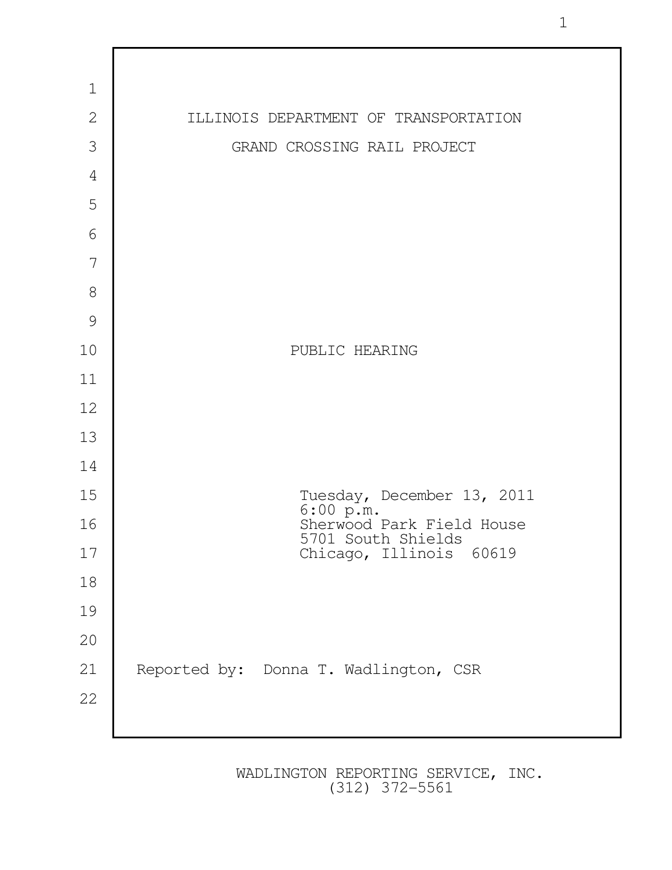

1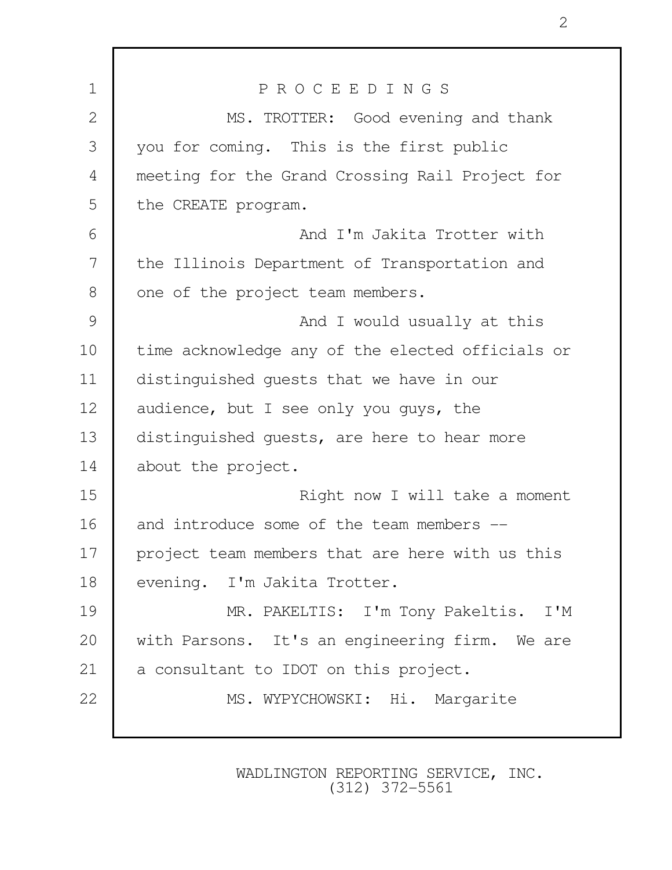| $\mathbf 1$  | PROCEEDINGS                                      |
|--------------|--------------------------------------------------|
| $\mathbf{2}$ | MS. TROTTER: Good evening and thank              |
| 3            | you for coming. This is the first public         |
| 4            | meeting for the Grand Crossing Rail Project for  |
| 5            | the CREATE program.                              |
| 6            | And I'm Jakita Trotter with                      |
| 7            | the Illinois Department of Transportation and    |
| 8            | one of the project team members.                 |
| 9            | And I would usually at this                      |
| 10           | time acknowledge any of the elected officials or |
| 11           | distinguished guests that we have in our         |
| 12           | audience, but I see only you guys, the           |
| 13           | distinguished guests, are here to hear more      |
| 14           | about the project.                               |
| 15           | Right now I will take a moment                   |
| 16           | and introduce some of the team members --        |
| 17           | project team members that are here with us this  |
| 18           | evening. I'm Jakita Trotter.                     |
| 19           | MR. PAKELTIS: I'm Tony Pakeltis. I'M             |
| 20           | with Parsons. It's an engineering firm. We are   |
| 21           | a consultant to IDOT on this project.            |
| 22           | MS. WYPYCHOWSKI: Hi. Margarite                   |
|              |                                                  |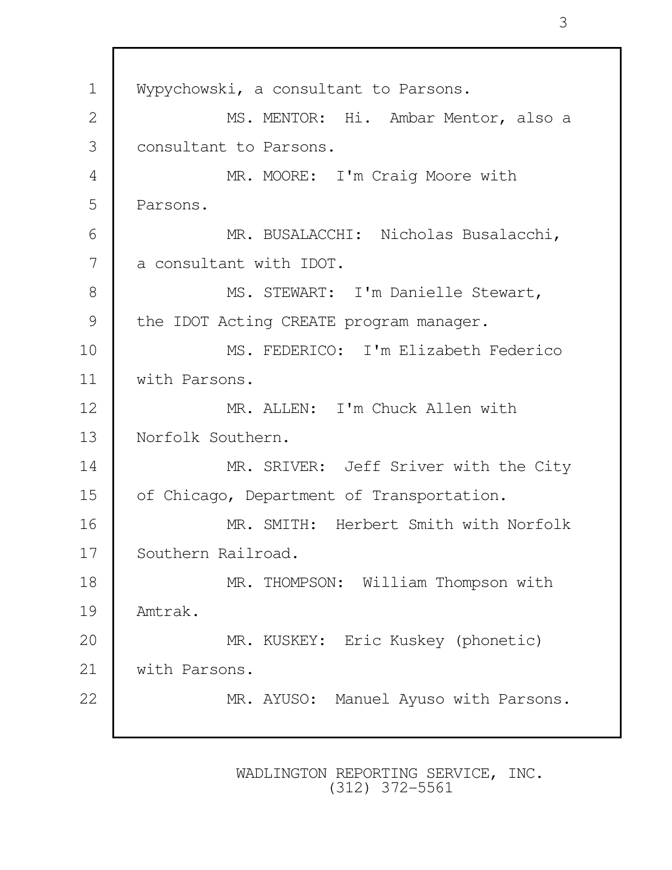1 | Wypychowski, a consultant to Parsons. 2 | MS. MENTOR: Hi. Ambar Mentor, also a 3 consultant to Parsons. 4 MR. MOORE: I'm Craig Moore with 5 Parsons. 6 MR. BUSALACCHI: Nicholas Busalacchi, 7 a consultant with IDOT. 8 | MS. STEWART: I'm Danielle Stewart, 9 the IDOT Acting CREATE program manager. 10 MS. FEDERICO: I'm Elizabeth Federico 11 with Parsons. 12 MR. ALLEN: I'm Chuck Allen with 13 Norfolk Southern. 14 MR. SRIVER: Jeff Sriver with the City 15 of Chicago, Department of Transportation. 16 MR. SMITH: Herbert Smith with Norfolk 17 Southern Railroad. 18 MR. THOMPSON: William Thompson with 19 Amtrak. 20 MR. KUSKEY: Eric Kuskey (phonetic) 21 With Parsons. 22 MR. AYUSO: Manuel Ayuso with Parsons.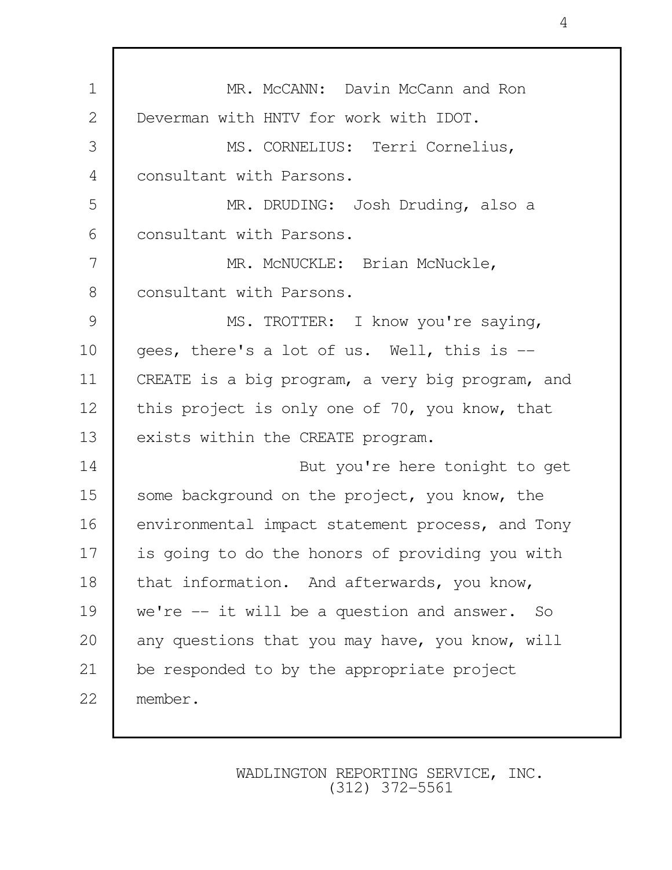1 **MR. McCANN:** Davin McCann and Ron 2 Deverman with HNTV for work with IDOT. 3 MS. CORNELIUS: Terri Cornelius, 4 consultant with Parsons. 5 MR. DRUDING: Josh Druding, also a 6 **consultant with Parsons.** 7 MR. McNUCKLE: Brian McNuckle, 8 consultant with Parsons. 9 MS. TROTTER: I know you're saying, 10 qees, there's a lot of us. Well, this is --11 CREATE is a big program, a very big program, and 12 this project is only one of 70, you know, that 13 exists within the CREATE program. 14 But you're here tonight to get 15 some background on the project, you know, the 16 environmental impact statement process, and Tony 17 is going to do the honors of providing you with 18 that information. And afterwards, you know, 19 we're -- it will be a question and answer. So 20 any questions that you may have, you know, will 21 be responded to by the appropriate project 22 member.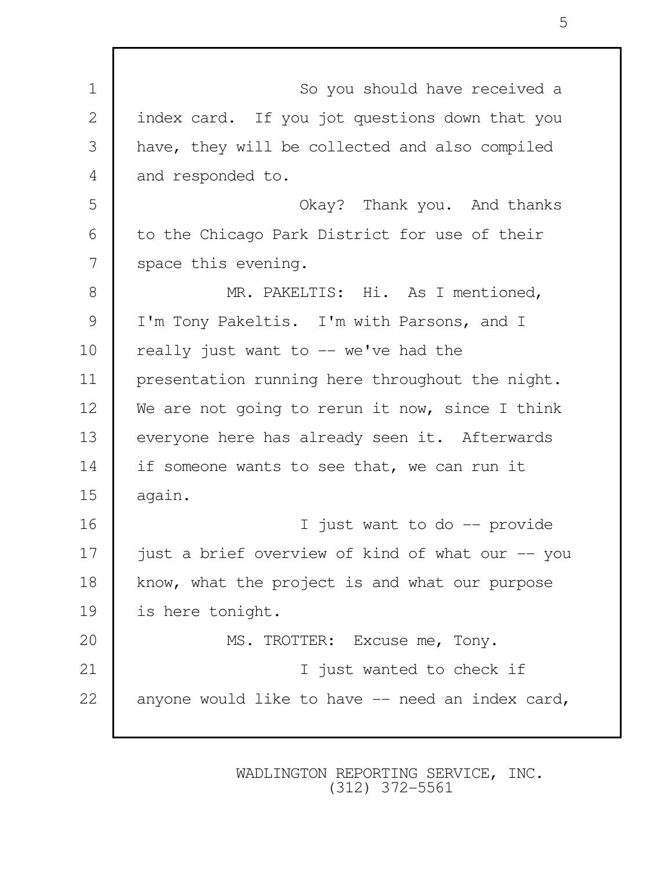| $\mathbf 1$  | So you should have received a                    |
|--------------|--------------------------------------------------|
| $\mathbf{2}$ | index card. If you jot questions down that you   |
| 3            | have, they will be collected and also compiled   |
| 4            | and responded to.                                |
| 5            | Okay? Thank you. And thanks                      |
| 6            | to the Chicago Park District for use of their    |
| 7            | space this evening.                              |
| 8            | MR. PAKELTIS: Hi. As I mentioned,                |
| 9            | I'm Tony Pakeltis. I'm with Parsons, and I       |
| 10           | really just want to -- we've had the             |
| 11           | presentation running here throughout the night.  |
| 12           | We are not going to rerun it now, since I think  |
| 13           | everyone here has already seen it. Afterwards    |
| 14           | if someone wants to see that, we can run it      |
| 15           | again.                                           |
| 16           | just want to do -- provide<br>I.                 |
| 17           | just a brief overview of kind of what our -- you |
| 18           | know, what the project is and what our purpose   |
| 19           | is here tonight.                                 |
| 20           | MS. TROTTER: Excuse me, Tony.                    |
| 21           | I just wanted to check if                        |
| 22           | anyone would like to have -- need an index card, |
|              |                                                  |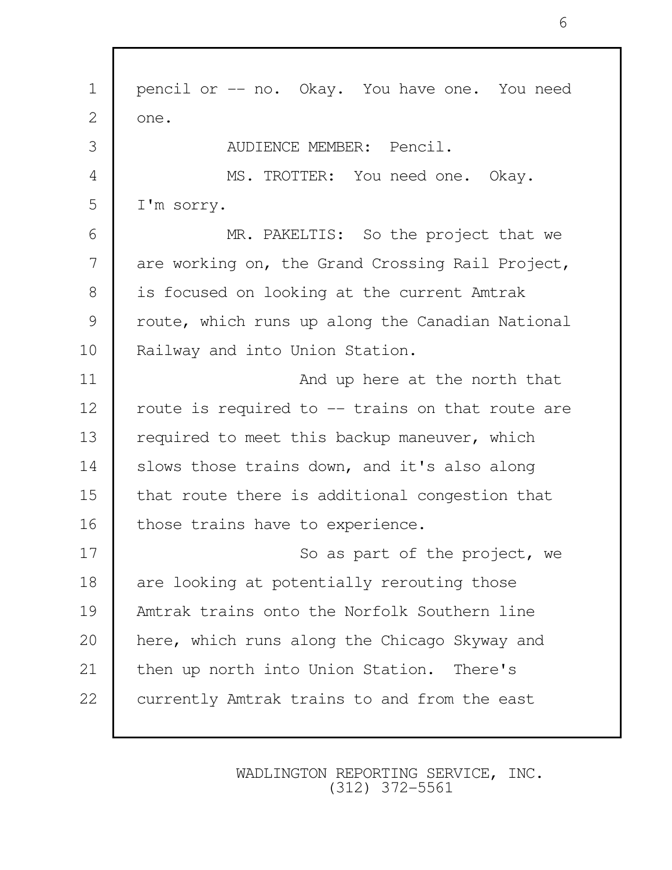1 pencil or -- no. Okay. You have one. You need  $2 \mid$  one. 3 AUDIENCE MEMBER: Pencil. 4 MS. TROTTER: You need one. Okay. 5 I'm sorry. 6 MR. PAKELTIS: So the project that we 7 are working on, the Grand Crossing Rail Project, 8 is focused on looking at the current Amtrak 9 | route, which runs up along the Canadian National 10 | Railway and into Union Station. 11 | And up here at the north that 12 | route is required to -- trains on that route are 13 required to meet this backup maneuver, which 14 Slows those trains down, and it's also along 15 that route there is additional congestion that 16 those trains have to experience. 17 So as part of the project, we 18 are looking at potentially rerouting those 19 Amtrak trains onto the Norfolk Southern line 20 here, which runs along the Chicago Skyway and 21 | then up north into Union Station. There's 22 currently Amtrak trains to and from the east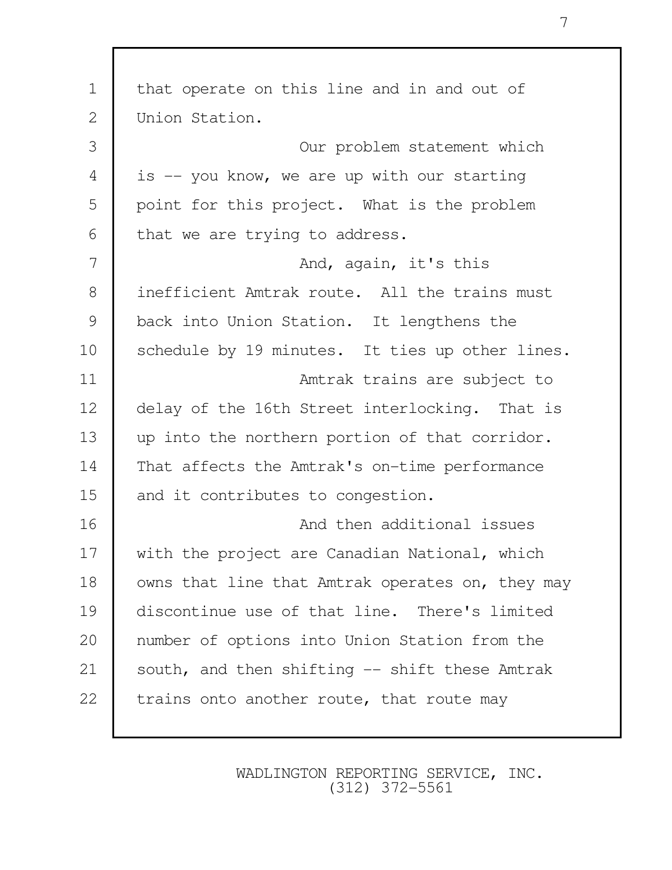| $\mathbf 1$   | that operate on this line and in and out of      |
|---------------|--------------------------------------------------|
| $\mathbf{2}$  | Union Station.                                   |
| 3             | Our problem statement which                      |
| 4             | is -- you know, we are up with our starting      |
| 5             | point for this project. What is the problem      |
| 6             | that we are trying to address.                   |
| 7             | And, again, it's this                            |
| $8\,$         | inefficient Amtrak route. All the trains must    |
| $\mathcal{G}$ | back into Union Station. It lengthens the        |
| 10            | schedule by 19 minutes. It ties up other lines.  |
| 11            | Amtrak trains are subject to                     |
| 12            | delay of the 16th Street interlocking. That is   |
| 13            | up into the northern portion of that corridor.   |
| 14            | That affects the Amtrak's on-time performance    |
| 15            | and it contributes to congestion.                |
| 16            | And then additional issues                       |
| 17            | with the project are Canadian National, which    |
| 18            | owns that line that Amtrak operates on, they may |
| 19            | discontinue use of that line. There's limited    |
| 20            | number of options into Union Station from the    |
| 21            | south, and then shifting -- shift these Amtrak   |
| 22            | trains onto another route, that route may        |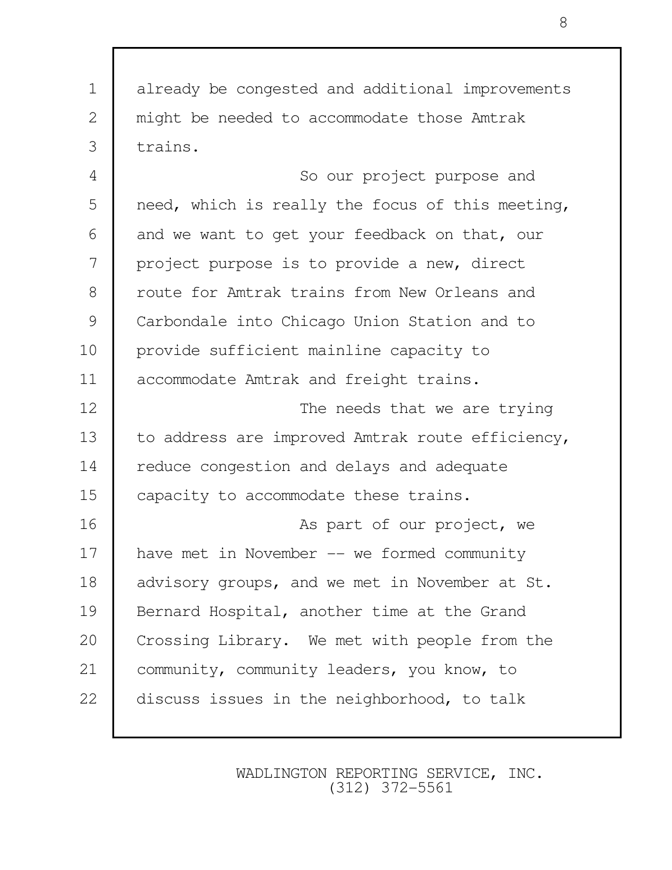1 already be congested and additional improvements 2 might be needed to accommodate those Amtrak 3 trains. 4 So our project purpose and

5 need, which is really the focus of this meeting, 6 and we want to get your feedback on that, our 7 project purpose is to provide a new, direct 8 T route for Amtrak trains from New Orleans and 9 Carbondale into Chicago Union Station and to 10 provide sufficient mainline capacity to 11 | accommodate Amtrak and freight trains.

12 The needs that we are trying 13 to address are improved Amtrak route efficiency, 14 reduce congestion and delays and adequate 15 capacity to accommodate these trains.

16 **As part of our project, we** 17 have met in November -- we formed community 18 advisory groups, and we met in November at St. 19 Bernard Hospital, another time at the Grand 20 Crossing Library. We met with people from the 21 community, community leaders, you know, to 22 discuss issues in the neighborhood, to talk

> WADLINGTON REPORTING SERVICE, INC. (312) 372-5561

8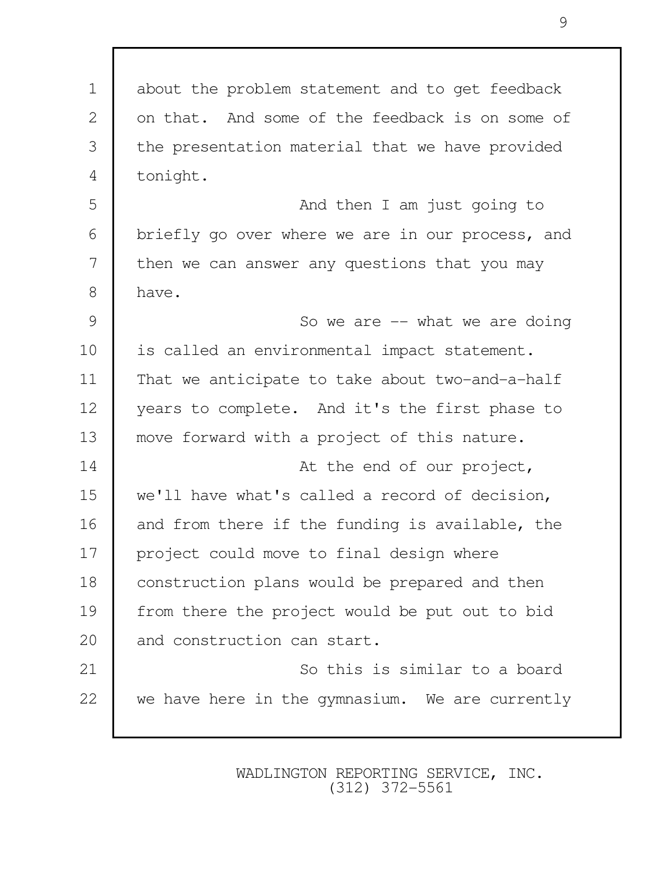| $\mathbf 1$    | about the problem statement and to get feedback  |
|----------------|--------------------------------------------------|
| $\mathbf{2}$   | on that. And some of the feedback is on some of  |
| 3              | the presentation material that we have provided  |
| $\overline{4}$ | tonight.                                         |
| 5              | And then I am just going to                      |
| 6              | briefly go over where we are in our process, and |
| 7              | then we can answer any questions that you may    |
| 8              | have.                                            |
| $\mathcal{G}$  | So we are $-$ what we are doing                  |
| 10             | is called an environmental impact statement.     |
| 11             | That we anticipate to take about two-and-a-half  |
| 12             | years to complete. And it's the first phase to   |
| 13             | move forward with a project of this nature.      |
| 14             | At the end of our project,                       |
| 15             | we'll have what's called a record of decision,   |
| 16             | and from there if the funding is available, the  |
| 17             | project could move to final design where         |
| 18             | construction plans would be prepared and then    |
| 19             | from there the project would be put out to bid   |
| 20             | and construction can start.                      |
| 21             | So this is similar to a board                    |
| 22             | we have here in the gymnasium. We are currently  |
|                |                                                  |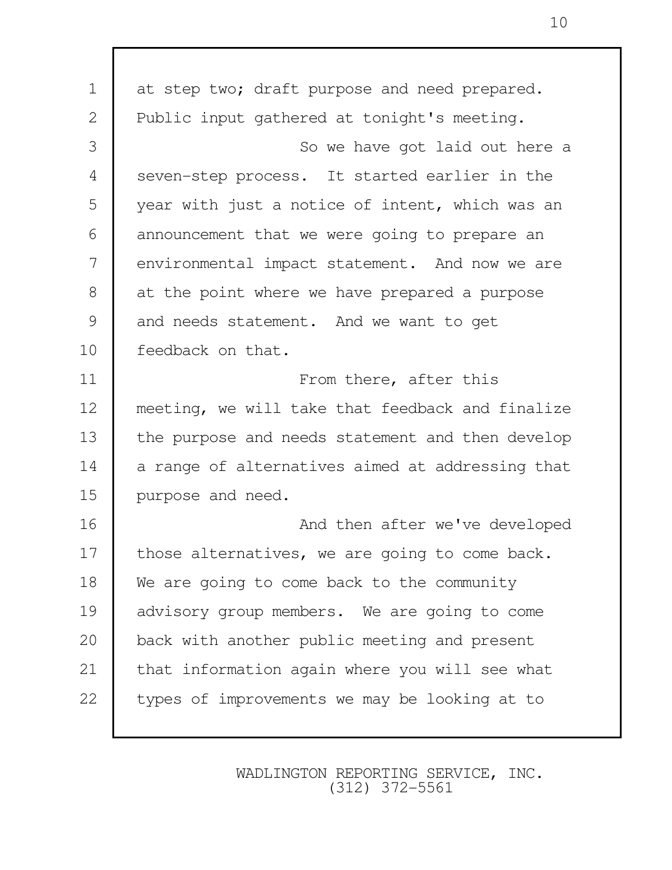1 at step two; draft purpose and need prepared. 2 Public input gathered at tonight's meeting. 3 So we have got laid out here a 4 seven-step process. It started earlier in the 5 year with just a notice of intent, which was an 6 announcement that we were going to prepare an 7 environmental impact statement. And now we are 8 at the point where we have prepared a purpose 9 and needs statement. And we want to get 10 Feedback on that. 11 **From there, after this** 12 meeting, we will take that feedback and finalize 13 the purpose and needs statement and then develop 14 a range of alternatives aimed at addressing that 15 purpose and need. 16 **And then after we've developed** 17 those alternatives, we are going to come back. 18 We are going to come back to the community 19 advisory group members. We are going to come 20 back with another public meeting and present 21 that information again where you will see what 22 types of improvements we may be looking at to

> WADLINGTON REPORTING SERVICE, INC. (312) 372-5561

10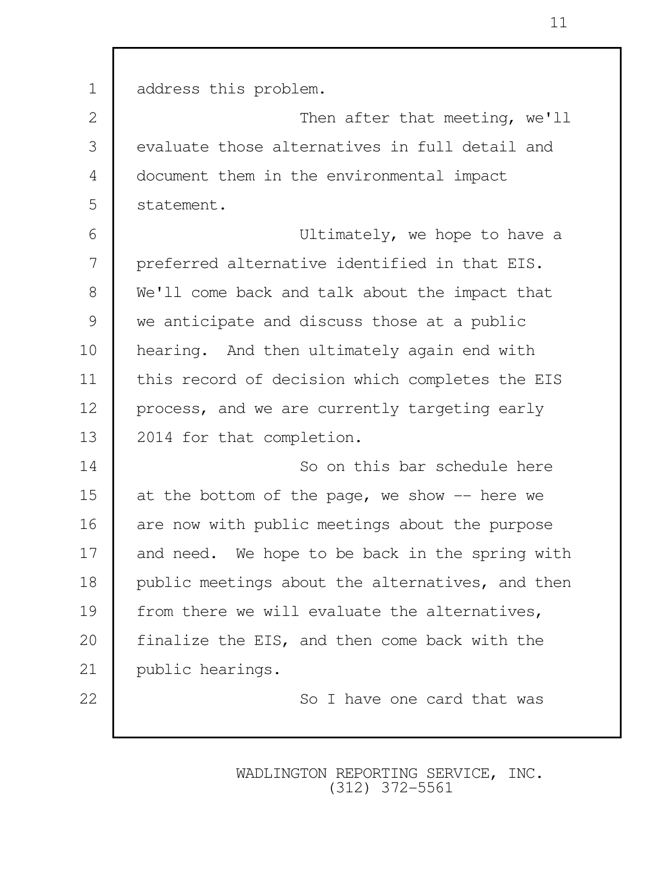| $\mathbf 1$    | address this problem.                            |
|----------------|--------------------------------------------------|
| 2              | Then after that meeting, we'll                   |
| 3              | evaluate those alternatives in full detail and   |
| $\overline{4}$ | document them in the environmental impact        |
| 5              | statement.                                       |
| 6              | Ultimately, we hope to have a                    |
| 7              | preferred alternative identified in that EIS.    |
| $8\,$          | We'll come back and talk about the impact that   |
| $\mathcal{G}$  | we anticipate and discuss those at a public      |
| 10             | hearing. And then ultimately again end with      |
| 11             | this record of decision which completes the EIS  |
| 12             | process, and we are currently targeting early    |
| 13             | 2014 for that completion.                        |
| 14             | So on this bar schedule here                     |
| 15             | at the bottom of the page, we show $-$ here we   |
| 16             | are now with public meetings about the purpose   |
| 17             | and need. We hope to be back in the spring with  |
| 18             | public meetings about the alternatives, and then |
| 19             | from there we will evaluate the alternatives,    |
| 20             | finalize the EIS, and then come back with the    |
| 21             | public hearings.                                 |
| 22             | So I have one card that was                      |
|                |                                                  |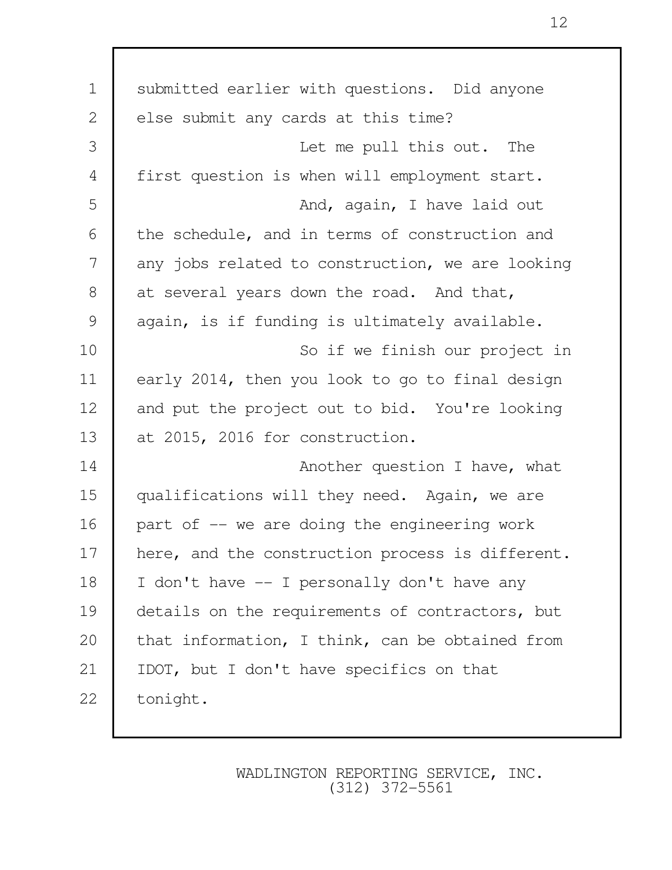| submitted earlier with questions. Did anyone     |
|--------------------------------------------------|
| else submit any cards at this time?              |
| Let me pull this out. The                        |
| first question is when will employment start.    |
| And, again, I have laid out                      |
| the schedule, and in terms of construction and   |
| any jobs related to construction, we are looking |
| at several years down the road. And that,        |
| again, is if funding is ultimately available.    |
| So if we finish our project in                   |
| early 2014, then you look to go to final design  |
| and put the project out to bid. You're looking   |
| at 2015, 2016 for construction.                  |
| Another question I have, what                    |
| qualifications will they need. Again, we are     |
| part of -- we are doing the engineering work     |
| here, and the construction process is different. |
| I don't have -- I personally don't have any      |
| details on the requirements of contractors, but  |
| that information, I think, can be obtained from  |
| IDOT, but I don't have specifics on that         |
| tonight.                                         |
|                                                  |

12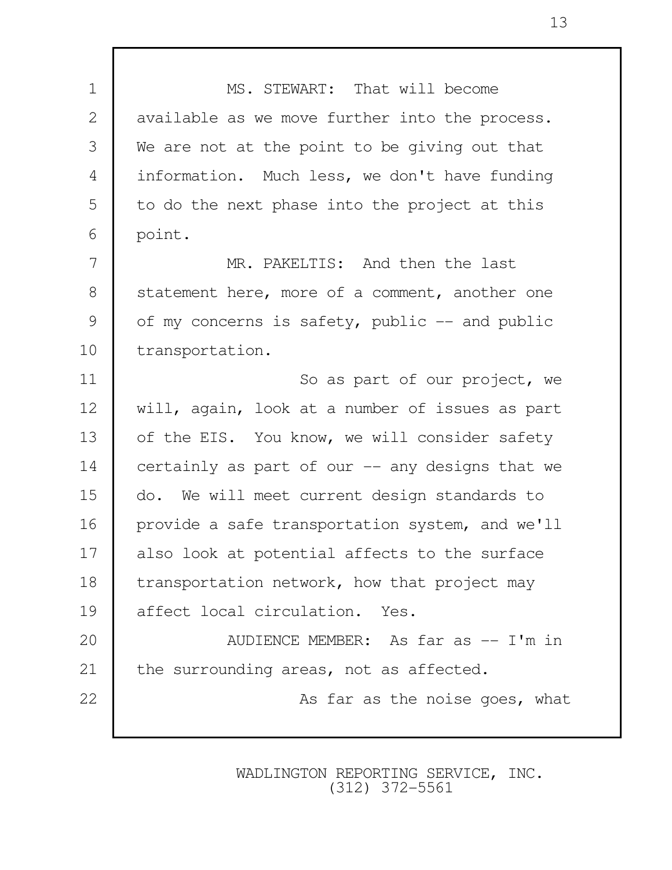1 MS. STEWART: That will become 2 available as we move further into the process. 3 We are not at the point to be giving out that 4 information. Much less, we don't have funding 5 to do the next phase into the project at this 6 point. 7 MR. PAKELTIS: And then the last 8 statement here, more of a comment, another one 9 of my concerns is safety, public -- and public 10 | transportation. 11 **I** So as part of our project, we 12 will, again, look at a number of issues as part 13 of the EIS. You know, we will consider safety 14 certainly as part of our -- any designs that we 15 do. We will meet current design standards to 16 provide a safe transportation system, and we'll 17 also look at potential affects to the surface 18 transportation network, how that project may 19 affect local circulation. Yes. 20 **AUDIENCE MEMBER:** As far as -- I'm in 21 the surrounding areas, not as affected. 22 **As far as the noise goes, what**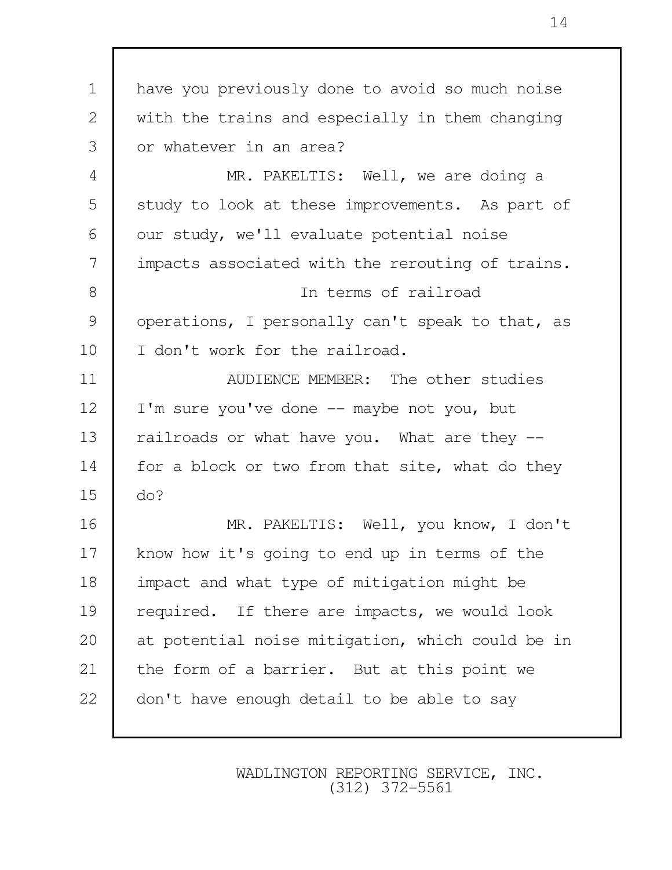| $\mathbf 1$    | have you previously done to avoid so much noise  |
|----------------|--------------------------------------------------|
| 2              | with the trains and especially in them changing  |
| 3              | or whatever in an area?                          |
| $\overline{4}$ | MR. PAKELTIS: Well, we are doing a               |
| 5              | study to look at these improvements. As part of  |
| 6              | our study, we'll evaluate potential noise        |
| 7              | impacts associated with the rerouting of trains. |
| $8\,$          | In terms of railroad                             |
| $\mathcal{G}$  | operations, I personally can't speak to that, as |
| 10             | I don't work for the railroad.                   |
| 11             | AUDIENCE MEMBER: The other studies               |
| 12             | I'm sure you've done -- maybe not you, but       |
| 13             | railroads or what have you. What are they --     |
| 14             | for a block or two from that site, what do they  |
| 15             | do?                                              |
| 16             | MR. PAKELTIS: Well, you know, I don't            |
| 17             | know how it's going to end up in terms of the    |
| 18             | impact and what type of mitigation might be      |
| 19             | required. If there are impacts, we would look    |
| 20             | at potential noise mitigation, which could be in |
| 21             | the form of a barrier. But at this point we      |
| 22             | don't have enough detail to be able to say       |
|                |                                                  |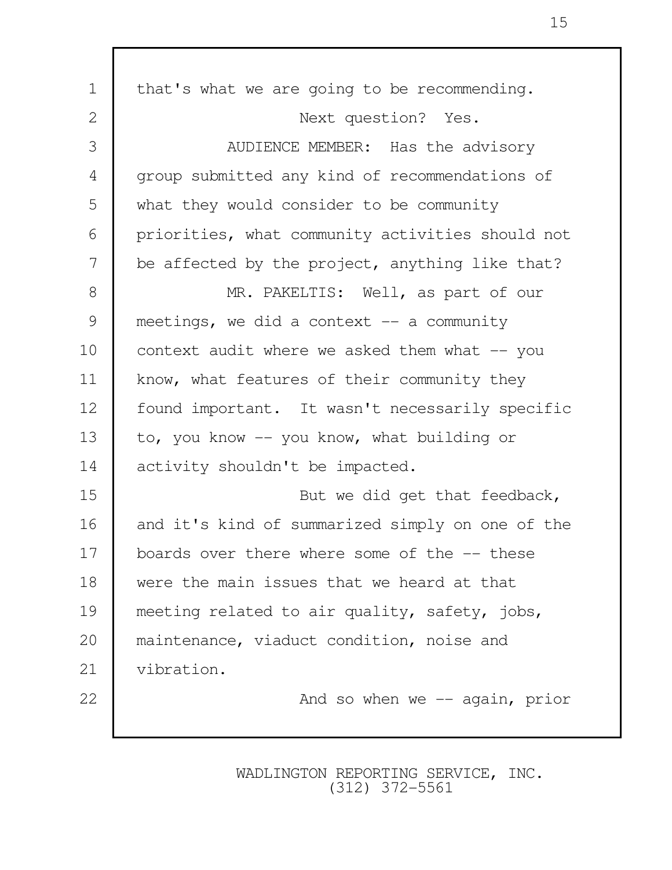| $\mathbf 1$    | that's what we are going to be recommending.     |
|----------------|--------------------------------------------------|
| 2              | Next question? Yes.                              |
| 3              | AUDIENCE MEMBER: Has the advisory                |
| $\overline{4}$ | group submitted any kind of recommendations of   |
| 5              | what they would consider to be community         |
| 6              | priorities, what community activities should not |
| 7              | be affected by the project, anything like that?  |
| 8              | MR. PAKELTIS: Well, as part of our               |
| $\mathcal{G}$  | meetings, we did a context $-$ a community       |
| 10             | context audit where we asked them what -- you    |
| 11             | know, what features of their community they      |
| 12             | found important. It wasn't necessarily specific  |
| 13             | to, you know -- you know, what building or       |
| 14             | activity shouldn't be impacted.                  |
| 15             | But we did get that feedback,                    |
| 16             | and it's kind of summarized simply on one of the |
| 17             | boards over there where some of the -- these     |
| 18             | were the main issues that we heard at that       |
| 19             | meeting related to air quality, safety, jobs,    |
| 20             | maintenance, viaduct condition, noise and        |
| 21             | vibration.                                       |
| 22             | And so when we $-$ again, prior                  |
|                |                                                  |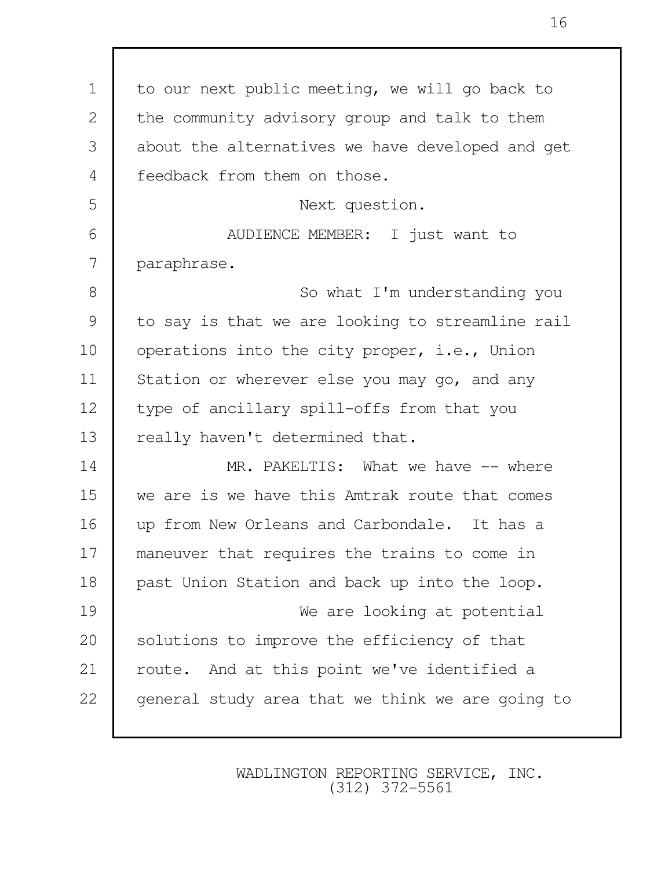1 to our next public meeting, we will go back to 2 the community advisory group and talk to them 3 about the alternatives we have developed and get 4 Feedback from them on those. 5 Next question. 6 AUDIENCE MEMBER: I just want to 7 paraphrase. 8 So what I'm understanding you 9 to say is that we are looking to streamline rail 10 | operations into the city proper, i.e., Union 11 Station or wherever else you may go, and any 12 type of ancillary spill-offs from that you 13 really haven't determined that. 14 MR. PAKELTIS: What we have  $-$  where 15 we are is we have this Amtrak route that comes 16 up from New Orleans and Carbondale. It has a 17 maneuver that requires the trains to come in 18 past Union Station and back up into the loop. 19 We are looking at potential 20 Solutions to improve the efficiency of that 21 | route. And at this point we've identified a 22 general study area that we think we are going to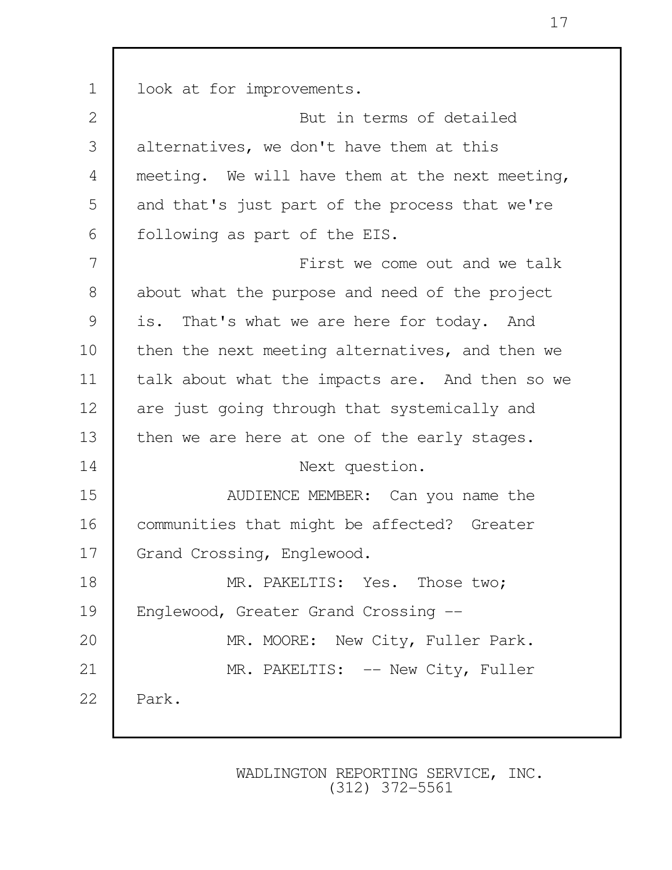| $\mathbf 1$   | look at for improvements.                       |
|---------------|-------------------------------------------------|
| $\mathbf{2}$  | But in terms of detailed                        |
| 3             | alternatives, we don't have them at this        |
| 4             | meeting. We will have them at the next meeting, |
| 5             | and that's just part of the process that we're  |
| 6             | following as part of the EIS.                   |
| 7             | First we come out and we talk                   |
| $8\,$         | about what the purpose and need of the project  |
| $\mathcal{G}$ | is. That's what we are here for today. And      |
| 10            | then the next meeting alternatives, and then we |
| 11            | talk about what the impacts are. And then so we |
| 12            | are just going through that systemically and    |
| 13            | then we are here at one of the early stages.    |
| 14            | Next question.                                  |
| 15            | AUDIENCE MEMBER: Can you name the               |
| 16            | communities that might be affected? Greater     |
| 17            | Grand Crossing, Englewood.                      |
| 18            | MR. PAKELTIS: Yes. Those two;                   |
| 19            | Englewood, Greater Grand Crossing --            |
| 20            | MR. MOORE: New City, Fuller Park.               |
| 21            | MR. PAKELTIS: -- New City, Fuller               |
| 22            | Park.                                           |
|               |                                                 |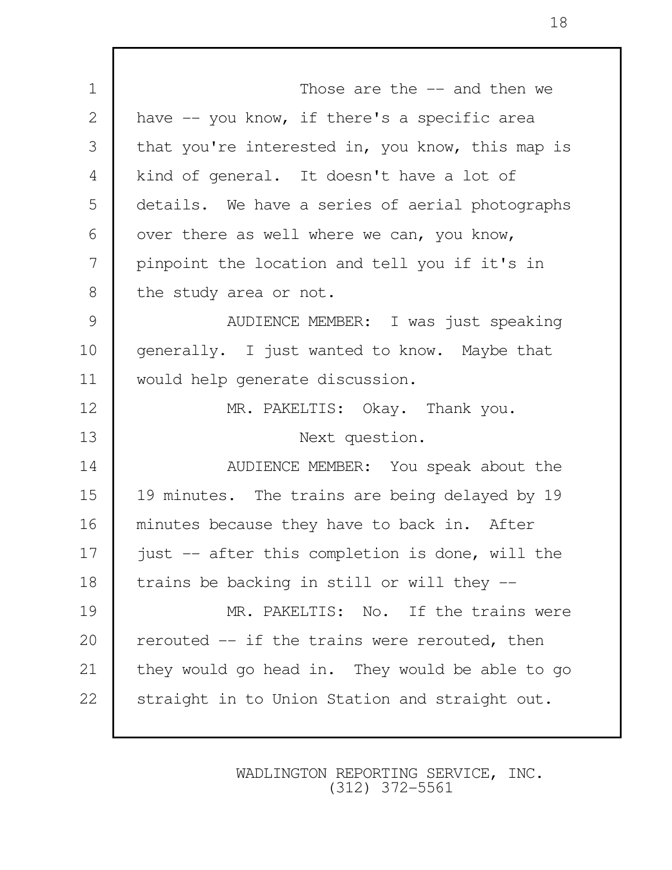1 Those are the  $-$  and then we 2 have -- you know, if there's a specific area 3 that you're interested in, you know, this map is 4 kind of general. It doesn't have a lot of 5 details. We have a series of aerial photographs  $6$  over there as well where we can, you know, 7 pinpoint the location and tell you if it's in 8 the study area or not. 9 | AUDIENCE MEMBER: I was just speaking 10 generally. I just wanted to know. Maybe that 11 would help generate discussion. 12 MR. PAKELTIS: Okay. Thank you. 13 Next question. 14 NUDIENCE MEMBER: You speak about the 15 | 19 minutes. The trains are being delayed by 19 16 minutes because they have to back in. After 17 | just -- after this completion is done, will the 18 trains be backing in still or will they --19 MR. PAKELTIS: No. If the trains were 20  $\vert$  rerouted  $\vert$ - if the trains were rerouted, then 21 they would go head in. They would be able to go 22 Straight in to Union Station and straight out.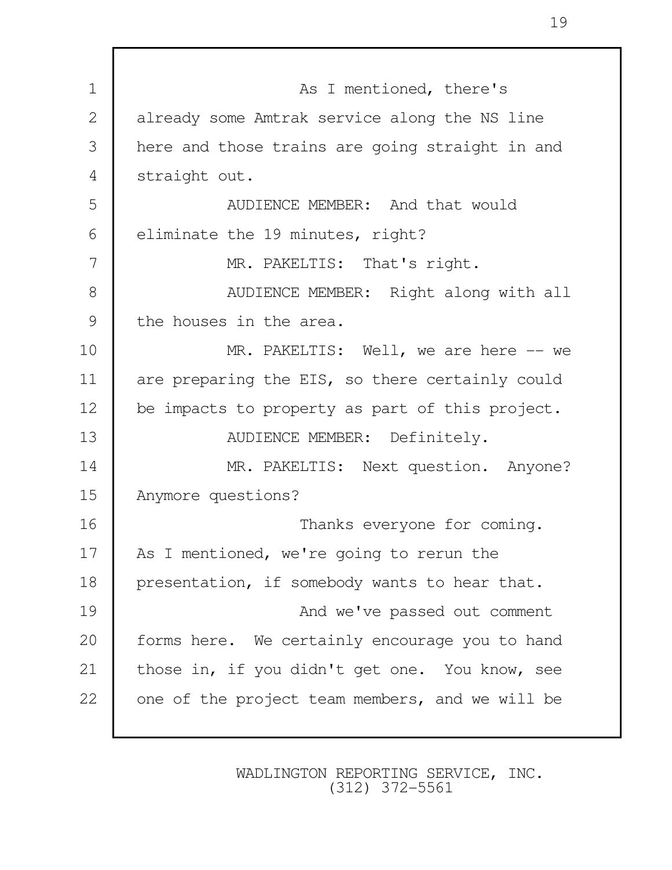| $\mathbf 1$    | As I mentioned, there's                         |
|----------------|-------------------------------------------------|
| $\overline{2}$ | already some Amtrak service along the NS line   |
| 3              | here and those trains are going straight in and |
| 4              | straight out.                                   |
| 5              | AUDIENCE MEMBER: And that would                 |
| 6              | eliminate the 19 minutes, right?                |
| 7              | MR. PAKELTIS: That's right.                     |
| 8              | AUDIENCE MEMBER: Right along with all           |
| 9              | the houses in the area.                         |
| 10             | MR. PAKELTIS: Well, we are here -- we           |
| 11             | are preparing the EIS, so there certainly could |
| 12             | be impacts to property as part of this project. |
| 13             | AUDIENCE MEMBER: Definitely.                    |
| 14             | MR. PAKELTIS: Next question. Anyone?            |
| 15             | Anymore questions?                              |
| 16             | Thanks everyone for coming.                     |
| 17             | As I mentioned, we're going to rerun the        |
| 18             | presentation, if somebody wants to hear that.   |
| 19             | And we've passed out comment                    |
| 20             | forms here. We certainly encourage you to hand  |
| 21             | those in, if you didn't get one. You know, see  |
| 22             | one of the project team members, and we will be |
|                |                                                 |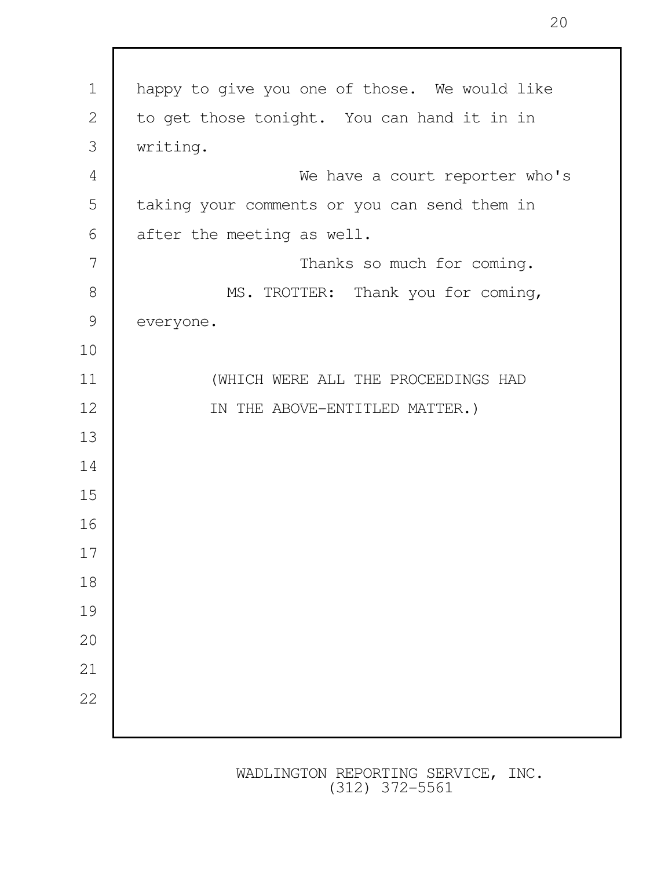| $\mathbf 1$   | happy to give you one of those. We would like |
|---------------|-----------------------------------------------|
| $\mathbf{2}$  | to get those tonight. You can hand it in in   |
| 3             | writing.                                      |
| 4             | We have a court reporter who's                |
| 5             | taking your comments or you can send them in  |
| 6             | after the meeting as well.                    |
| 7             | Thanks so much for coming.                    |
| $\,8\,$       | MS. TROTTER: Thank you for coming,            |
| $\mathcal{G}$ | everyone.                                     |
| 10            |                                               |
| 11            | (WHICH WERE ALL THE PROCEEDINGS HAD           |
| 12            | IN THE ABOVE-ENTITLED MATTER.)                |
| 13            |                                               |
| 14            |                                               |
| 15            |                                               |
| 16            |                                               |
| 17            |                                               |
| 18            |                                               |
| 19            |                                               |
| 20            |                                               |
| 21            |                                               |
| 22            |                                               |
|               |                                               |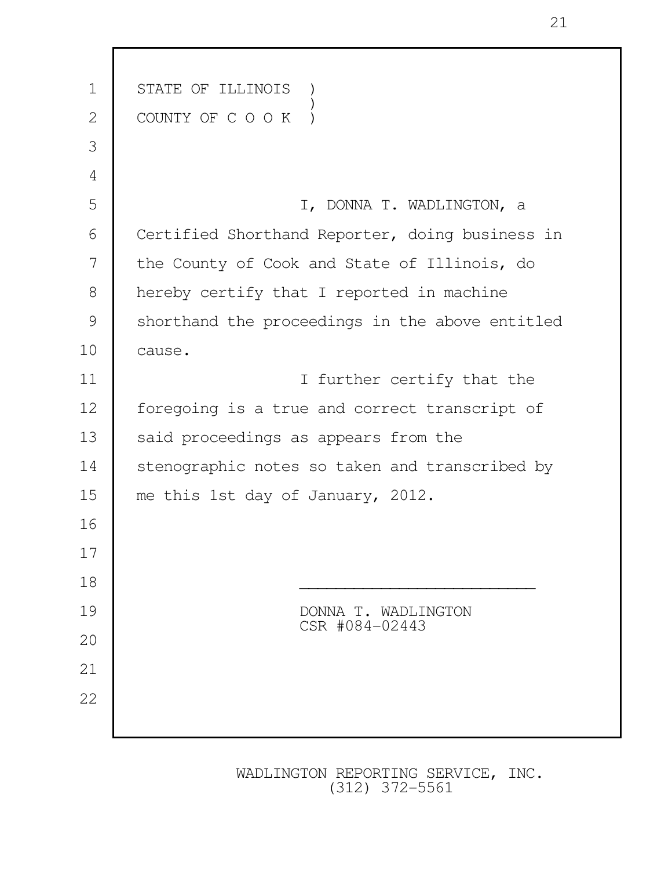| $\mathbf 1$    | STATE OF ILLINOIS                               |
|----------------|-------------------------------------------------|
| $\overline{2}$ | COUNTY OF C O O K                               |
| 3              |                                                 |
| 4              |                                                 |
| 5              | I, DONNA T. WADLINGTON, a                       |
| 6              | Certified Shorthand Reporter, doing business in |
| 7              | the County of Cook and State of Illinois, do    |
| 8              | hereby certify that I reported in machine       |
| 9              | shorthand the proceedings in the above entitled |
| 10             | cause.                                          |
| 11             | I further certify that the                      |
| 12             | foregoing is a true and correct transcript of   |
| 13             | said proceedings as appears from the            |
| 14             | stenographic notes so taken and transcribed by  |
| 15             | me this 1st day of January, 2012.               |
| 16             |                                                 |
| 17             |                                                 |
| 18             |                                                 |
| 19             | DONNA T. WADLINGTON<br>CSR #084-02443           |
| 20             |                                                 |
| 21             |                                                 |
| 22             |                                                 |
|                |                                                 |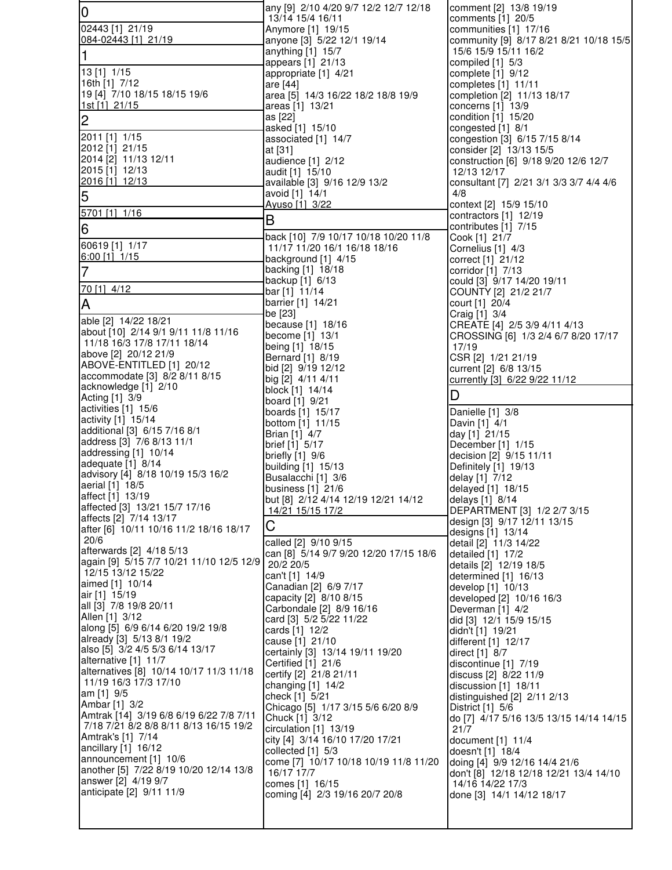| 0                                                                    | any [9] 2/10 4/20 9/7 12/2 12/7 12/18                    | comment [2] 13/8 19/19                                   |
|----------------------------------------------------------------------|----------------------------------------------------------|----------------------------------------------------------|
| 02443 [1] 21/19                                                      | 13/14 15/4 16/11<br>Anymore [1] 19/15                    | comments [1] 20/5<br>communities [1] 17/16               |
| 084-02443 [1] 21/19                                                  | anyone [3] 5/22 12/1 19/14                               | community [9] 8/17 8/21 8/21 10/18 15/5                  |
| 1                                                                    | anything [1] 15/7<br>appears [1] 21/13                   | 15/6 15/9 15/11 16/2<br>compiled [1] 5/3                 |
| 13 [1] 1/15                                                          | appropriate [1] 4/21                                     | complete [1] 9/12                                        |
| 16th [1] 7/12                                                        | are [44]                                                 | completes [1] 11/11                                      |
| 19 [4] 7/10 18/15 18/15 19/6<br>1st [1] 21/15                        | area [5] 14/3 16/22 18/2 18/8 19/9<br>areas [1] 13/21    | completion [2] 11/13 18/17<br>concerns [1] 13/9          |
| $\overline{c}$                                                       | as [22]                                                  | condition [1] 15/20                                      |
|                                                                      | asked [1] 15/10                                          | congested [1] 8/1                                        |
| 2011 [1] 1/15<br>2012 [1] 21/15                                      | associated [1] 14/7<br>at [31]                           | congestion [3] 6/15 7/15 8/14<br>consider [2] 13/13 15/5 |
| 2014 [2] 11/13 12/11                                                 | audience [1] 2/12                                        | construction [6] 9/18 9/20 12/6 12/7                     |
| 2015 [1] 12/13                                                       | audit [1] 15/10                                          | 12/13 12/17                                              |
| 2016 [1] 12/13                                                       | available [3] 9/16 12/9 13/2<br>avoid [1] 14/1           | consultant [7] 2/21 3/1 3/3 3/7 4/4 4/6<br>4/8           |
| 5                                                                    | Ayuso [1] 3/22                                           | context [2] 15/9 15/10                                   |
| 5701 [1] 1/16                                                        | B                                                        | contractors [1] 12/19                                    |
| 6                                                                    | back [10] 7/9 10/17 10/18 10/20 11/8                     | contributes [1] 7/15<br>Cook [1] 21/7                    |
| 60619 [1] 1/17                                                       | 11/17 11/20 16/1 16/18 18/16                             | Cornelius [1] 4/3                                        |
| $6:00$ [1] $1/15$                                                    | background [1] 4/15                                      | correct [1] 21/12                                        |
| $\overline{7}$                                                       | backing [1] 18/18<br>backup [1] 6/13                     | corridor [1] 7/13<br>could [3] 9/17 14/20 19/11          |
| 70 [1] 4/12                                                          | bar [1] 11/14                                            | COUNTY [2] 21/2 21/7                                     |
| A                                                                    | barrier [1] 14/21                                        | court [1] 20/4                                           |
| able [2] 14/22 18/21                                                 | be [23]<br>because [1] 18/16                             | Craig [1] 3/4<br>CREATE [4] 2/5 3/9 4/11 4/13            |
| about [10] 2/14 9/1 9/11 11/8 11/16                                  | become [1] 13/1                                          | CROSSING [6] 1/3 2/4 6/7 8/20 17/17                      |
| 11/18 16/3 17/8 17/11 18/14<br>above [2] 20/12 21/9                  | being [1] 18/15                                          | 17/19                                                    |
| ABOVE-ENTITLED [1] 20/12                                             | Bernard [1] 8/19<br>bid [2] 9/19 12/12                   | CSR [2] 1/21 21/19<br>current [2] 6/8 13/15              |
| accommodate [3] 8/2 8/11 8/15                                        | big [2] 4/11 4/11                                        | currently [3] 6/22 9/22 11/12                            |
| acknowledge [1] 2/10<br>Acting [1] 3/9                               | block [1] 14/14                                          | D                                                        |
| activities [1] 15/6                                                  | board [1] 9/21<br>boards [1] 15/17                       | Danielle [1] 3/8                                         |
| activity [1] 15/14                                                   | bottom [1] 11/15                                         | Davin [1] 4/1                                            |
| additional [3] 6/15 7/16 8/1<br>address [3] 7/6 8/13 11/1            | Brian [1] 4/7                                            | day [1] 21/15                                            |
| addressing [1] 10/14                                                 | brief [1] 5/17<br>briefly $[1]$ 9/6                      | December [1] 1/15<br>decision [2] 9/15 11/11             |
| adequate [1] 8/14                                                    | building [1] 15/13                                       | Definitely [1] 19/13                                     |
| advisory [4] 8/18 10/19 15/3 16/2<br>aerial [1] 18/5                 | Busalacchi [1] 3/6                                       | delay [1] 7/12                                           |
| affect [1] 13/19                                                     | business [1] 21/6<br>but [8] 2/12 4/14 12/19 12/21 14/12 | delayed [1] 18/15<br>delays [1] 8/14                     |
| affected [3] 13/21 15/7 17/16                                        | 14/21 15/15 17/2                                         | DEPARTMENT [3] 1/2 2/7 3/15                              |
| affects [2] 7/14 13/17<br>after [6] 10/11 10/16 11/2 18/16 18/17     | С                                                        | design [3] 9/17 12/11 13/15                              |
| 20/6                                                                 | called [2] 9/10 9/15                                     | designs [1] 13/14<br>detail [2] 11/3 14/22               |
| afterwards [2] 4/18 5/13<br>again [9] 5/15 7/7 10/21 11/10 12/5 12/9 | can [8] 5/14 9/7 9/20 12/20 17/15 18/6                   | detailed [1] 17/2                                        |
| 12/15 13/12 15/22                                                    | 20/2 20/5<br>can't [1] 14/9                              | details [2] 12/19 18/5<br>determined [1] 16/13           |
| aimed [1] 10/14                                                      | Canadian [2] 6/9 7/17                                    | develop [1] 10/13                                        |
| air [1] 15/19<br>all [3] 7/8 19/8 20/11                              | capacity [2] 8/10 8/15                                   | developed [2] 10/16 16/3                                 |
| Allen [1] 3/12                                                       | Carbondale [2] 8/9 16/16<br>card [3] 5/2 5/22 11/22      | Deverman [1] 4/2<br>did [3] 12/1 15/9 15/15              |
| along [5] 6/9 6/14 6/20 19/2 19/8                                    | cards [1] 12/2                                           | didn't [1] 19/21                                         |
| already [3] 5/13 8/1 19/2<br>also [5] 3/2 4/5 5/3 6/14 13/17         | cause [1] 21/10                                          | different [1] 12/17                                      |
| alternative [1] 11/7                                                 | certainly [3] 13/14 19/11 19/20<br>Certified [1] 21/6    | direct [1] 8/7<br>discontinue [1] 7/19                   |
| alternatives [8] 10/14 10/17 11/3 11/18                              | certify [2] 21/8 21/11                                   | discuss [2] 8/22 11/9                                    |
| 11/19 16/3 17/3 17/10<br>am [1] 9/5                                  | changing [1] 14/2                                        | discussion [1] 18/11                                     |
| Ambar [1] 3/2                                                        | check [1] 5/21<br>Chicago [5] 1/17 3/15 5/6 6/20 8/9     | distinguished [2] 2/11 2/13<br>District [1] 5/6          |
| Amtrak [14] 3/19 6/8 6/19 6/22 7/8 7/11                              | Chuck [1] 3/12                                           | do [7] 4/17 5/16 13/5 13/15 14/14 14/15                  |
| 7/18 7/21 8/2 8/8 8/11 8/13 16/15 19/2<br>Amtrak's [1] 7/14          | circulation [1] 13/19                                    | 21/7                                                     |
| ancillary [1] 16/12                                                  | city [4] 3/14 16/10 17/20 17/21<br>collected [1] 5/3     | document [1] 11/4<br>doesn't [1] 18/4                    |
| announcement [1] 10/6                                                | come [7] 10/17 10/18 10/19 11/8 11/20                    | doing [4] 9/9 12/16 14/4 21/6                            |
| another [5] 7/22 8/19 10/20 12/14 13/8<br>answer [2] 4/19 9/7        | 16/17 17/7                                               | don't [8] 12/18 12/18 12/21 13/4 14/10                   |
| anticipate [2] 9/11 11/9                                             | comes [1] 16/15<br>coming [4] 2/3 19/16 20/7 20/8        | 14/16 14/22 17/3<br>done [3] 14/1 14/12 18/17            |
|                                                                      |                                                          |                                                          |
|                                                                      |                                                          |                                                          |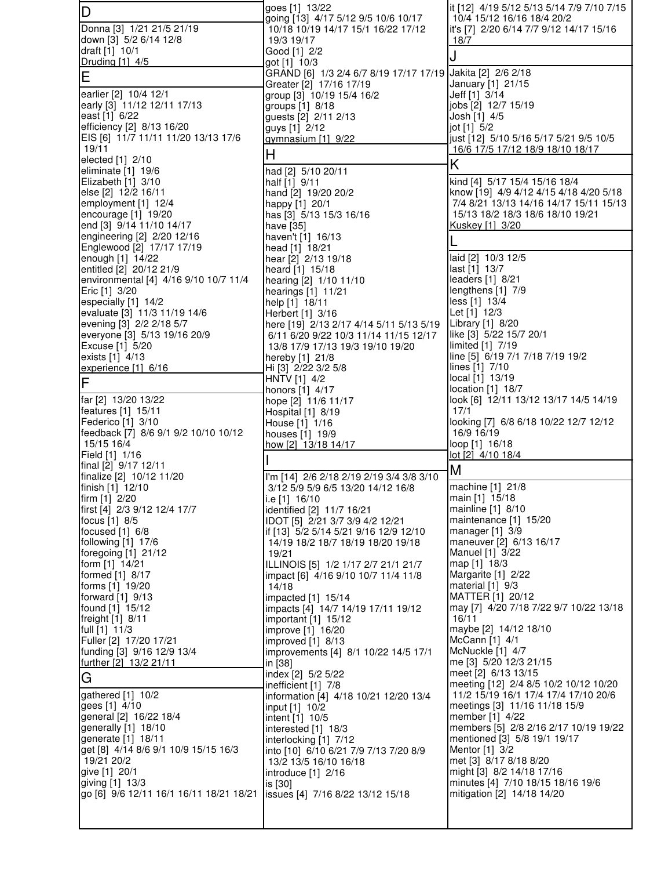| D                                                    | goes [1] 13/22<br>going [13] 4/17 5/12 9/5 10/6 10/17                      | it [12] 4/19 5/12 5/13 5/14 7/9 7/10 7/15<br>10/4 15/12 16/16 18/4 20/2          |
|------------------------------------------------------|----------------------------------------------------------------------------|----------------------------------------------------------------------------------|
| Donna [3] 1/21 21/5 21/19                            | 10/18 10/19 14/17 15/1 16/22 17/12                                         | it's [7] 2/20 6/14 7/7 9/12 14/17 15/16                                          |
| down [3] 5/2 6/14 12/8                               | 19/3 19/17                                                                 | 18/7                                                                             |
| draft [1] 10/1<br>Druding [1] 4/5                    | Good [1] 2/2<br>got [1] 10/3                                               | J                                                                                |
| Ε                                                    | GRAND [6] 1/3 2/4 6/7 8/19 17/17 17/19 Jakita [2] 2/6 2/18                 |                                                                                  |
|                                                      | Greater [2] 17/16 17/19                                                    | January [1] 21/15                                                                |
| earlier [2] 10/4 12/1<br>early [3] 11/12 12/11 17/13 | group [3] 10/19 15/4 16/2<br>groups [1] 8/18                               | Jeff [1] 3/14<br>jobs [2] 12/7 15/19                                             |
| east [1] 6/22                                        | guests [2] 2/11 2/13                                                       | Josh [1] 4/5                                                                     |
| efficiency [2] 8/13 16/20                            | guys [1] 2/12                                                              | jot [1] 5/2                                                                      |
| EIS [6] 11/7 11/11 11/20 13/13 17/6<br>19/11         | gymnasium $[1]$ 9/22                                                       | just [12] 5/10 5/16 5/17 5/21 9/5 10/5                                           |
| elected [1] 2/10                                     | H                                                                          | 16/6 17/5 17/12 18/9 18/10 18/17                                                 |
| eliminate [1] 19/6                                   | had [2] 5/10 20/11                                                         | Κ                                                                                |
| Elizabeth [1] 3/10                                   | half [1] 9/11                                                              | kind [4] 5/17 15/4 15/16 18/4                                                    |
| else [2] 12/2 16/11<br>employment [1] 12/4           | hand [2] 19/20 20/2<br>happy [1] 20/1                                      | know [19] 4/9 4/12 4/15 4/18 4/20 5/18<br>7/4 8/21 13/13 14/16 14/17 15/11 15/13 |
| encourage $[1]$ 19/20                                | has [3] 5/13 15/3 16/16                                                    | 15/13 18/2 18/3 18/6 18/10 19/21                                                 |
| end [3] 9/14 11/10 14/17                             | have [35]                                                                  | Kuskey [1] 3/20                                                                  |
| engineering [2] 2/20 12/16                           | haven't [1] 16/13                                                          |                                                                                  |
| Englewood [2] 17/17 17/19<br>enough [1] 14/22        | head [1] 18/21<br>hear [2] 2/13 19/18                                      | laid [2] 10/3 12/5                                                               |
| entitled [2] 20/12 21/9                              | heard [1] 15/18                                                            | last [1] 13/7                                                                    |
| environmental [4] 4/16 9/10 10/7 11/4                | hearing [2] 1/10 11/10                                                     | leaders [1] 8/21                                                                 |
| Eric [1] 3/20                                        | hearings [1] 11/21                                                         | lengthens [1] 7/9<br>less [1] 13/4                                               |
| especially [1] 14/2<br>evaluate [3] 11/3 11/19 14/6  | help [1] 18/11<br>Herbert [1] 3/16                                         | Let [1] 12/3                                                                     |
| evening [3] 2/2 2/18 5/7                             | here [19] 2/13 2/17 4/14 5/11 5/13 5/19                                    | Library [1] 8/20                                                                 |
| everyone [3] 5/13 19/16 20/9                         | 6/11 6/20 9/22 10/3 11/14 11/15 12/17                                      | like [3] 5/22 15/7 20/1                                                          |
| Excuse [1] 5/20<br>exists [1] 4/13                   | 13/8 17/9 17/13 19/3 19/10 19/20                                           | limited [1] 7/19<br>line [5] 6/19 7/1 7/18 7/19 19/2                             |
| experience [1] 6/16                                  | hereby [1] 21/8<br>Hi [3] 2/22 3/2 5/8                                     | lines [1] 7/10                                                                   |
| F                                                    | HNTV [1] 4/2                                                               | local [1] 13/19                                                                  |
|                                                      | honors [1] 4/17                                                            | location [1] 18/7                                                                |
| far [2] 13/20 13/22<br>features [1] 15/11            | hope [2] 11/6 11/17<br>Hospital [1] 8/19                                   | look [6] 12/11 13/12 13/17 14/5 14/19<br>17/1                                    |
| Federico [1] 3/10                                    | House [1] 1/16                                                             | looking [7] 6/8 6/18 10/22 12/7 12/12                                            |
|                                                      |                                                                            |                                                                                  |
| feedback [7] 8/6 9/1 9/2 10/10 10/12                 | houses [1] 19/9                                                            | 16/9 16/19                                                                       |
| 15/15 16/4                                           | how [2] 13/18 14/17                                                        | loop [1] 16/18                                                                   |
| Field [1] 1/16                                       |                                                                            | $lot [2]$ 4/10 18/4                                                              |
| final [2] 9/17 12/11<br>finalize [2] 10/12 11/20     | I'm [14] 2/6 2/18 2/19 2/19 3/4 3/8 3/10                                   | M                                                                                |
| finish [1] 12/10                                     | 3/12 5/9 5/9 6/5 13/20 14/12 16/8                                          | machine [1] 21/8                                                                 |
| firm [1] 2/20                                        | i.e [1] 16/10                                                              | main [1] 15/18                                                                   |
| first [4] 2/3 9/12 12/4 17/7<br>focus [1] 8/5        | identified [2] 11/7 16/21<br>IDOT [5] 2/21 3/7 3/9 4/2 12/21               | mainline [1] 8/10<br>maintenance [1] 15/20                                       |
| focused [1] 6/8                                      | if [13] 5/2 5/14 5/21 9/16 12/9 12/10                                      | manager [1] 3/9                                                                  |
| following [1] 17/6                                   | 14/19 18/2 18/7 18/19 18/20 19/18                                          | maneuver [2] 6/13 16/17                                                          |
| foregoing [1] 21/12<br>form [1] 14/21                | 19/21                                                                      | Manuel [1] 3/22                                                                  |
| formed [1] 8/17                                      | ILLINOIS [5] 1/2 1/17 2/7 21/1 21/7<br>impact [6] 4/16 9/10 10/7 11/4 11/8 | map [1] 18/3<br>Margarite [1] 2/22                                               |
| forms [1] 19/20                                      | 14/18                                                                      | material [1] 9/3                                                                 |
| forward [1] 9/13                                     | impacted [1] 15/14                                                         | MATTER [1] 20/12                                                                 |
| found [1] 15/12<br>freight [1] 8/11                  | impacts [4] 14/7 14/19 17/11 19/12<br>important $[1]$ 15/12                | may [7] 4/20 7/18 7/22 9/7 10/22 13/18<br>16/11                                  |
| full [1] 11/3                                        | improve [1] 16/20                                                          | maybe [2] 14/12 18/10                                                            |
| Fuller [2] 17/20 17/21                               | improved [1] 8/13                                                          | McCann [1] 4/1                                                                   |
| funding [3] 9/16 12/9 13/4                           | improvements [4] 8/1 10/22 14/5 17/1                                       | McNuckle [1] 4/7<br>me [3] 5/20 12/3 21/15                                       |
| further [2] 13/2 21/11                               | in [38]<br>index [2] 5/2 5/22                                              | meet [2] 6/13 13/15                                                              |
| G                                                    | inefficient [1] 7/8                                                        | meeting [12] 2/4 8/5 10/2 10/12 10/20                                            |
| gathered [1] 10/2                                    | information [4] 4/18 10/21 12/20 13/4                                      | 11/2 15/19 16/1 17/4 17/4 17/10 20/6                                             |
| gees [1] 4/10<br>general [2] 16/22 18/4              | input [1] 10/2<br>intent [1] 10/5                                          | meetings [3] 11/16 11/18 15/9<br>member [1] 4/22                                 |
| generally [1] 18/10                                  | interested [1] 18/3                                                        | members [5] 2/8 2/16 2/17 10/19 19/22                                            |
| generate [1] 18/11                                   | interlocking [1] 7/12                                                      | mentioned [3] 5/8 19/1 19/17                                                     |
| get [8] 4/14 8/6 9/1 10/9 15/15 16/3<br>19/21 20/2   | into [10] 6/10 6/21 7/9 7/13 7/20 8/9                                      | Mentor [1] 3/2<br>met [3] 8/17 8/18 8/20                                         |
| give [1] 20/1                                        | 13/2 13/5 16/10 16/18<br>introduce [1] 2/16                                | might [3] 8/2 14/18 17/16                                                        |
| giving [1] 13/3                                      | is [30]                                                                    | minutes [4] 7/10 18/15 18/16 19/6                                                |
| go [6] 9/6 12/11 16/1 16/11 18/21 18/21              | issues [4] 7/16 8/22 13/12 15/18                                           | mitigation [2] 14/18 14/20                                                       |
|                                                      |                                                                            |                                                                                  |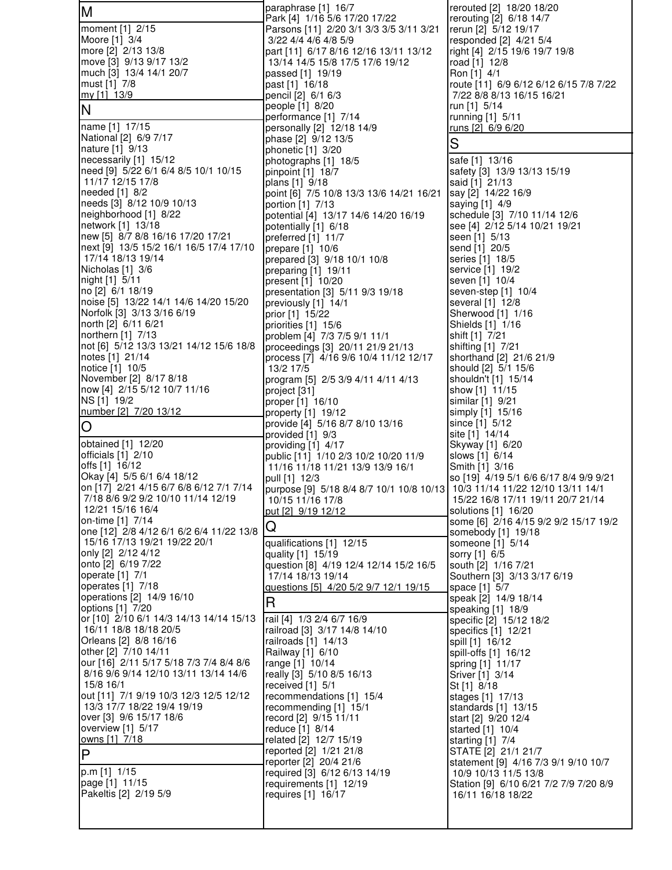| M                                                                     | paraphrase [1] 16/7<br>Park [4] 1/16 5/6 17/20 17/22                                        | rerouted [2] 18/20 18/20<br>rerouting [2] 6/18 14/7           |
|-----------------------------------------------------------------------|---------------------------------------------------------------------------------------------|---------------------------------------------------------------|
| moment [1] 2/15                                                       | Parsons [11] 2/20 3/1 3/3 3/5 3/11 3/21                                                     | rerun [2] 5/12 19/17                                          |
| Moore [1] 3/4                                                         | 3/22 4/4 4/6 4/8 5/9                                                                        | responded [2] 4/21 5/4                                        |
| more [2] 2/13 13/8<br>move [3] 9/13 9/17 13/2                         | part [11] 6/17 8/16 12/16 13/11 13/12<br>13/14 14/5 15/8 17/5 17/6 19/12                    | right [4] 2/15 19/6 19/7 19/8<br>road [1] 12/8                |
| much [3] 13/4 14/1 20/7                                               | passed [1] 19/19                                                                            | Ron [1] 4/1                                                   |
| must [1] 7/8                                                          | past [1] 16/18                                                                              | route [11] 6/9 6/12 6/12 6/15 7/8 7/22                        |
| my [1] 13/9                                                           | pencil [2] 6/1 6/3<br>people [1] 8/20                                                       | 7/22 8/8 8/13 16/15 16/21<br>run [1] 5/14                     |
| N                                                                     | performance [1] 7/14                                                                        | running [1] 5/11                                              |
| name [1] 17/15<br>National [2] 6/9 7/17                               | personally [2] 12/18 14/9                                                                   | <u>runs</u> [2] 6/9 6/20                                      |
| nature [1] 9/13                                                       | phase [2] 9/12 13/5<br>phonetic [1] 3/20                                                    | S                                                             |
| necessarily [1] 15/12                                                 | photographs [1] 18/5                                                                        | safe [1] 13/16                                                |
| need [9] 5/22 6/1 6/4 8/5 10/1 10/15<br>11/17 12/15 17/8              | pinpoint [1] 18/7<br>plans [1] 9/18                                                         | safety [3] 13/9 13/13 15/19<br>said [1] 21/13                 |
| needed [1] 8/2                                                        | point [6] 7/5 10/8 13/3 13/6 14/21 16/21                                                    | say [2] 14/22 16/9                                            |
| needs [3] 8/12 10/9 10/13                                             | portion [1] 7/13                                                                            | saying [1] 4/9                                                |
| neighborhood [1] 8/22<br>network [1] 13/18                            | potential [4] 13/17 14/6 14/20 16/19<br>potentially [1] 6/18                                | schedule [3] 7/10 11/14 12/6<br>see [4] 2/12 5/14 10/21 19/21 |
| new [5] 8/7 8/8 16/16 17/20 17/21                                     | preferred [1] 11/7                                                                          | seen [1] 5/13                                                 |
| next [9] 13/5 15/2 16/1 16/5 17/4 17/10                               | prepare [1] 10/6                                                                            | send [1] 20/5                                                 |
| 17/14 18/13 19/14<br>Nicholas [1] 3/6                                 | prepared [3] 9/18 10/1 10/8<br>preparing [1] 19/11                                          | series [1] 18/5<br>service [1] 19/2                           |
| night [1] 5/11                                                        | present [1] 10/20                                                                           | seven [1] 10/4                                                |
| no [2] 6/1 18/19<br>noise [5] 13/22 14/1 14/6 14/20 15/20             | presentation [3] 5/11 9/3 19/18                                                             | seven-step [1] 10/4                                           |
| Norfolk [3] 3/13 3/16 6/19                                            | previously [1] 14/1<br>prior [1] 15/22                                                      | several [1] 12/8<br>Sherwood [1] 1/16                         |
| north [2] 6/11 6/21                                                   | priorities [1] 15/6                                                                         | Shields [1] 1/16                                              |
| northern [1] 7/13<br>not [6] 5/12 13/3 13/21 14/12 15/6 18/8          | problem [4] 7/3 7/5 9/1 11/1                                                                | shift [1] 7/21                                                |
| notes [1] 21/14                                                       | proceedings [3] 20/11 21/9 21/13<br>process [7] 4/16 9/6 10/4 11/12 12/17                   | shifting [1] 7/21<br>shorthand [2] 21/6 21/9                  |
| notice [1] 10/5                                                       | 13/2 17/5                                                                                   | should [2] 5/1 15/6                                           |
| November [2] 8/17 8/18<br>now [4] 2/15 5/12 10/7 11/16                | program [5] 2/5 3/9 4/11 4/11 4/13                                                          | shouldn't [1] 15/14                                           |
| NS [1] 19/2                                                           | project [31]<br>proper [1] 16/10                                                            | show [1] 11/15<br>similar [1] 9/21                            |
| number [2] 7/20 13/12                                                 | property $[1]$ 19/12                                                                        | simply [1] 15/16                                              |
|                                                                       |                                                                                             |                                                               |
| O                                                                     | provide [4] 5/16 8/7 8/10 13/16                                                             | since [1] 5/12                                                |
| obtained [1] 12/20                                                    | provided [1] 9/3                                                                            | site [1] 14/14<br>Skyway [1] 6/20                             |
| officials [1] 2/10                                                    | providing [1] 4/17<br>public [11] 1/10 2/3 10/2 10/20 11/9                                  | slows [1] 6/14                                                |
| offs [1] 16/12                                                        | 11/16 11/18 11/21 13/9 13/9 16/1                                                            | Smith [1] 3/16                                                |
| Okay [4] 5/5 6/1 6/4 18/12<br>on [17] 2/21 4/15 6/7 6/8 6/12 7/1 7/14 | pull [1] 12/3<br>purpose [9] 5/18 8/4 8/7 10/1 10/8 10/13 10/3 11/14 11/22 12/10 13/11 14/1 | so [19] 4/19 5/1 6/6 6/17 8/4 9/9 9/21                        |
| 7/18 8/6 9/2 9/2 10/10 11/14 12/19                                    | 10/15 11/16 17/8                                                                            | 15/22 16/8 17/11 19/11 20/7 21/14                             |
| 12/21 15/16 16/4<br>on-time [1] 7/14                                  | put [2] 9/19 12/12                                                                          | solutions [1] 16/20                                           |
| one [12] 2/8 4/12 6/1 6/2 6/4 11/22 13/8                              | Q                                                                                           | some [6] 2/16 4/15 9/2 9/2 15/17 19/2<br>somebody [1] 19/18   |
| 15/16 17/13 19/21 19/22 20/1                                          | qualifications [1] 12/15                                                                    | someone [1] 5/14                                              |
| only [2] 2/12 4/12<br>onto [2] 6/19 7/22                              | quality [1] 15/19<br>question [8] 4/19 12/4 12/14 15/2 16/5                                 | sorry [1] 6/5<br>south [2] 1/16 7/21                          |
| operate [1] 7/1                                                       | 17/14 18/13 19/14                                                                           | Southern [3] 3/13 3/17 6/19                                   |
| operates [1] 7/18                                                     | questions [5] 4/20 5/2 9/7 12/1 19/15                                                       | space [1] 5/7                                                 |
| operations [2] 14/9 16/10<br>options [1] 7/20                         | R                                                                                           | speak [2] 14/9 18/14<br>speaking [1] 18/9                     |
| or [10] 2/10 6/1 14/3 14/13 14/14 15/13                               | rail [4] 1/3 2/4 6/7 16/9                                                                   | specific [2] 15/12 18/2                                       |
| 16/11 18/8 18/18 20/5                                                 | railroad [3] 3/17 14/8 14/10                                                                | specifics [1] 12/21                                           |
| Orleans [2] 8/8 16/16<br>other [2] 7/10 14/11                         | railroads [1] 14/13<br>Railway [1] 6/10                                                     | spill [1] 16/12<br>spill-offs [1] 16/12                       |
| our [16] 2/11 5/17 5/18 7/3 7/4 8/4 8/6                               | range [1] 10/14                                                                             | spring [1] 11/17                                              |
| 8/16 9/6 9/14 12/10 13/11 13/14 14/6<br>15/8 16/1                     | really [3] 5/10 8/5 16/13<br>received [1] 5/1                                               | Sriver [1] 3/14                                               |
| out [11] 7/1 9/19 10/3 12/3 12/5 12/12                                | recommendations [1] 15/4                                                                    | St [1] 8/18<br>stages [1] 17/13                               |
| 13/3 17/7 18/22 19/4 19/19                                            | recommending [1] 15/1                                                                       | standards $[1]$ 13/15                                         |
| over [3] 9/6 15/17 18/6<br>overview [1] 5/17                          | record [2] 9/15 11/11<br>reduce [1] 8/14                                                    | start [2] 9/20 12/4<br>started [1] 10/4                       |
| owns [1] 7/18                                                         | related [2] 12/7 15/19                                                                      | starting [1] 7/4                                              |
| P                                                                     | reported [2] 1/21 21/8                                                                      | STATE [2] 21/1 21/7                                           |
| p.m [1] 1/15                                                          | reporter [2] 20/4 21/6<br>required [3] 6/12 6/13 14/19                                      | statement [9] 4/16 7/3 9/1 9/10 10/7<br>10/9 10/13 11/5 13/8  |
| page [1] 11/15                                                        | requirements [1] 12/19                                                                      | Station [9] 6/10 6/21 7/2 7/9 7/20 8/9                        |
| Pakeltis [2] 2/19 5/9                                                 | requires [1] 16/17                                                                          | 16/11 16/18 18/22                                             |
|                                                                       |                                                                                             |                                                               |